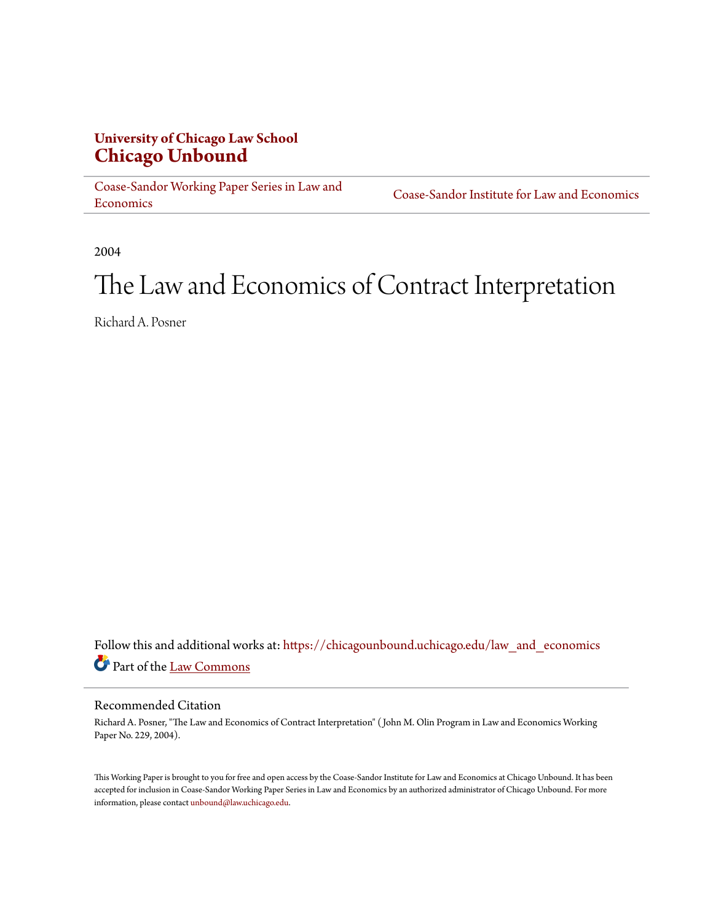## **University of Chicago Law School [Chicago Unbound](https://chicagounbound.uchicago.edu?utm_source=chicagounbound.uchicago.edu%2Flaw_and_economics%2F540&utm_medium=PDF&utm_campaign=PDFCoverPages)**

[Coase-Sandor Working Paper Series in Law and](https://chicagounbound.uchicago.edu/law_and_economics?utm_source=chicagounbound.uchicago.edu%2Flaw_and_economics%2F540&utm_medium=PDF&utm_campaign=PDFCoverPages) [Economics](https://chicagounbound.uchicago.edu/law_and_economics?utm_source=chicagounbound.uchicago.edu%2Flaw_and_economics%2F540&utm_medium=PDF&utm_campaign=PDFCoverPages)

[Coase-Sandor Institute for Law and Economics](https://chicagounbound.uchicago.edu/coase_sandor_institute?utm_source=chicagounbound.uchicago.edu%2Flaw_and_economics%2F540&utm_medium=PDF&utm_campaign=PDFCoverPages)

2004

# The Law and Economics of Contract Interpretation

Richard A. Posner

Follow this and additional works at: [https://chicagounbound.uchicago.edu/law\\_and\\_economics](https://chicagounbound.uchicago.edu/law_and_economics?utm_source=chicagounbound.uchicago.edu%2Flaw_and_economics%2F540&utm_medium=PDF&utm_campaign=PDFCoverPages) Part of the [Law Commons](http://network.bepress.com/hgg/discipline/578?utm_source=chicagounbound.uchicago.edu%2Flaw_and_economics%2F540&utm_medium=PDF&utm_campaign=PDFCoverPages)

#### Recommended Citation

Richard A. Posner, "The Law and Economics of Contract Interpretation" ( John M. Olin Program in Law and Economics Working Paper No. 229, 2004).

This Working Paper is brought to you for free and open access by the Coase-Sandor Institute for Law and Economics at Chicago Unbound. It has been accepted for inclusion in Coase-Sandor Working Paper Series in Law and Economics by an authorized administrator of Chicago Unbound. For more information, please contact [unbound@law.uchicago.edu.](mailto:unbound@law.uchicago.edu)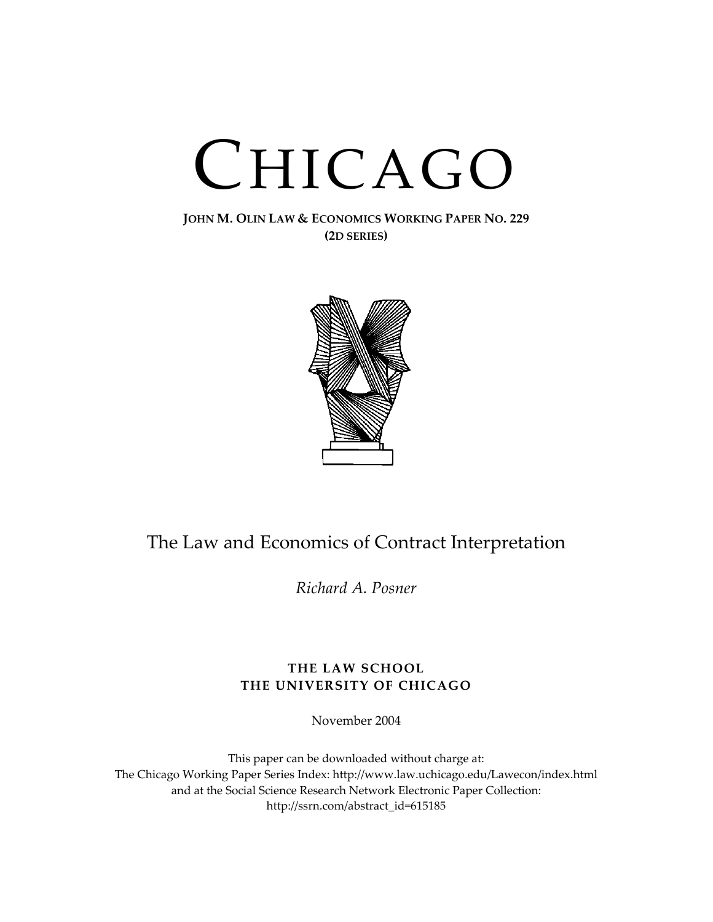# CHICAGO

**JOHN M. OLIN LAW & ECONOMICS WORKING PAPER NO. 229 (2D SERIES)**



# The Law and Economics of Contract Interpretation

*Richard A. Posner* 

#### **THE LAW SCHOOL THE UNIVERSITY OF CHICAGO**

November 2004

This paper can be downloaded without charge at: The Chicago Working Paper Series Index: <http://www.law.uchicago.edu/Lawecon/index.html> and at the Social Science Research Network Electronic Paper Collection: [http://ssrn.com/abstract\\_id=615185](http://papers.ssrn.com/sol3/search.taf)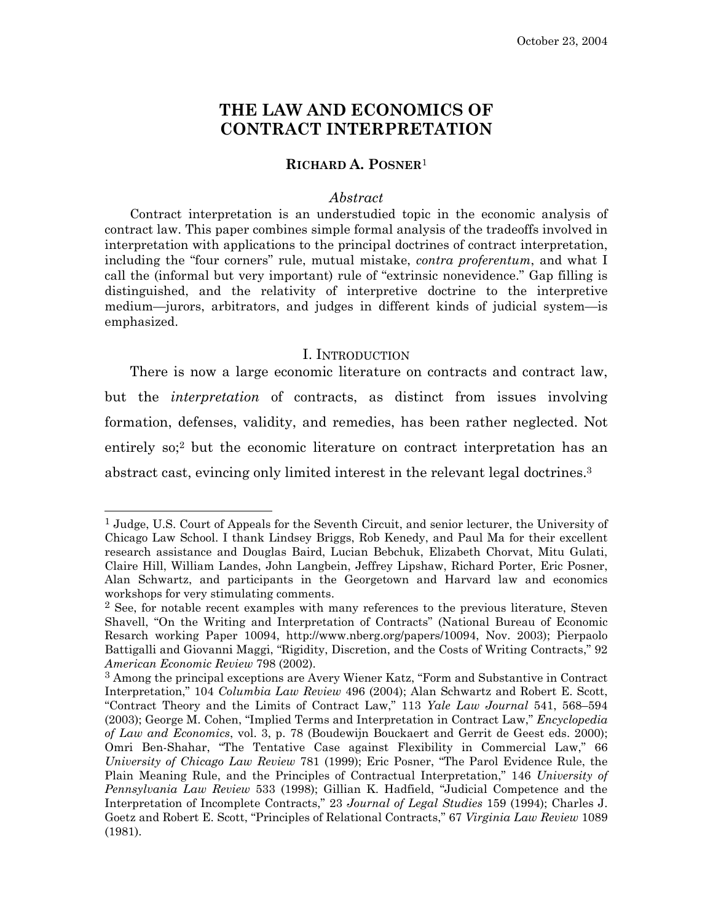## **THE LAW AND ECONOMICS OF CONTRACT INTERPRETATION**

#### **RICHARD A. POSNER**[1](#page-2-0)

#### *Abstract*

Contract interpretation is an understudied topic in the economic analysis of contract law. This paper combines simple formal analysis of the tradeoffs involved in interpretation with applications to the principal doctrines of contract interpretation, including the "four corners" rule, mutual mistake, *contra proferentum*, and what I call the (informal but very important) rule of "extrinsic nonevidence." Gap filling is distinguished, and the relativity of interpretive doctrine to the interpretive medium—jurors, arbitrators, and judges in different kinds of judicial system—is emphasized.

#### I. INTRODUCTION

There is now a large economic literature on contracts and contract law, but the *interpretation* of contracts, as distinct from issues involving formation, defenses, validity, and remedies, has been rather neglected. Not entirely so;<sup>2</sup> but the economic literature on contract interpretation has an abstract cast, evincing only limited interest in the relevant legal doctrines[.3](#page-2-2)

<span id="page-2-0"></span> <sup>1</sup> Judge, U.S. Court of Appeals for the Seventh Circuit, and senior lecturer, the University of Chicago Law School. I thank Lindsey Briggs, Rob Kenedy, and Paul Ma for their excellent research assistance and Douglas Baird, Lucian Bebchuk, Elizabeth Chorvat, Mitu Gulati, Claire Hill, William Landes, John Langbein, Jeffrey Lipshaw, Richard Porter, Eric Posner, Alan Schwartz, and participants in the Georgetown and Harvard law and economics workshops for very stimulating comments.

<span id="page-2-1"></span><sup>2</sup> See, for notable recent examples with many references to the previous literature, Steven Shavell, "On the Writing and Interpretation of Contracts" (National Bureau of Economic Resarch working Paper 10094, [http://www.nberg.org/papers/10094,](http://www.nberg.org/papers/10094) Nov. 2003); Pierpaolo Battigalli and Giovanni Maggi, "Rigidity, Discretion, and the Costs of Writing Contracts," 92 *American Economic Review* 798 (2002).

<span id="page-2-2"></span><sup>3</sup> Among the principal exceptions are Avery Wiener Katz, "Form and Substantive in Contract Interpretation," 104 *Columbia Law Review* 496 (2004); Alan Schwartz and Robert E. Scott, "Contract Theory and the Limits of Contract Law," 113 *Yale Law Journal* 541, 568–594 (2003); George M. Cohen, "Implied Terms and Interpretation in Contract Law," *Encyclopedia of Law and Economics*, vol. 3, p. 78 (Boudewijn Bouckaert and Gerrit de Geest eds. 2000); Omri Ben-Shahar, "The Tentative Case against Flexibility in Commercial Law," 66 *University of Chicago Law Review* 781 (1999); Eric Posner, "The Parol Evidence Rule, the Plain Meaning Rule, and the Principles of Contractual Interpretation," 146 *University of Pennsylvania Law Review* 533 (1998); Gillian K. Hadfield, "Judicial Competence and the Interpretation of Incomplete Contracts," 23 *Journal of Legal Studies* 159 (1994); Charles J. Goetz and Robert E. Scott, "Principles of Relational Contracts," 67 *Virginia Law Review* 1089 (1981).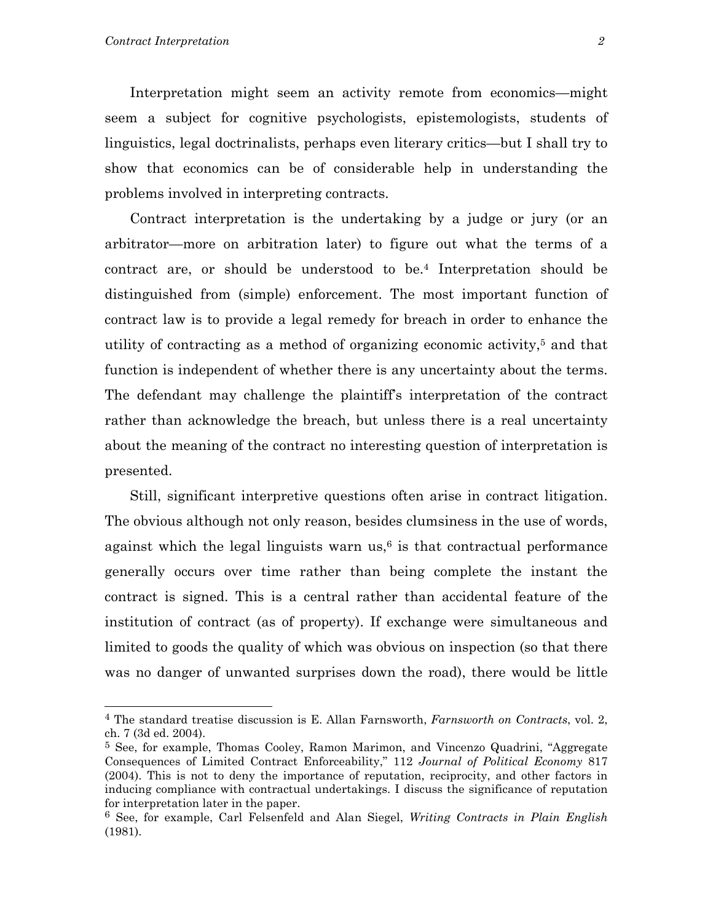Interpretation might seem an activity remote from economics—might seem a subject for cognitive psychologists, epistemologists, students of linguistics, legal doctrinalists, perhaps even literary critics—but I shall try to show that economics can be of considerable help in understanding the problems involved in interpreting contracts.

 Contract interpretation is the undertaking by a judge or jury (or an arbitrator—more on arbitration later) to figure out what the terms of a contract are, or should be understood to be.[4](#page-3-0) Interpretation should be distinguished from (simple) enforcement. The most important function of contract law is to provide a legal remedy for breach in order to enhance the utility of contracting as a method of organizing economic activity[,5](#page-3-1) and that function is independent of whether there is any uncertainty about the terms. The defendant may challenge the plaintiff's interpretation of the contract rather than acknowledge the breach, but unless there is a real uncertainty about the meaning of the contract no interesting question of interpretation is presented.

Still, significant interpretive questions often arise in contract litigation. The obvious although not only reason, besides clumsiness in the use of words, against which the legal linguists warn  $us<sup>6</sup>$  is that contractual performance generally occurs over time rather than being complete the instant the contract is signed. This is a central rather than accidental feature of the institution of contract (as of property). If exchange were simultaneous and limited to goods the quality of which was obvious on inspection (so that there was no danger of unwanted surprises down the road), there would be little

<span id="page-3-0"></span><sup>4</sup> The standard treatise discussion is E. Allan Farnsworth, *Farnsworth on Contracts*, vol. 2, ch. 7 (3d ed. 2004).

<span id="page-3-1"></span><sup>5</sup> See, for example, Thomas Cooley, Ramon Marimon, and Vincenzo Quadrini, "Aggregate Consequences of Limited Contract Enforceability," 112 *Journal of Political Economy* 817 (2004). This is not to deny the importance of reputation, reciprocity, and other factors in inducing compliance with contractual undertakings. I discuss the significance of reputation for interpretation later in the paper.

<span id="page-3-2"></span><sup>6</sup> See, for example, Carl Felsenfeld and Alan Siegel, *Writing Contracts in Plain English* (1981).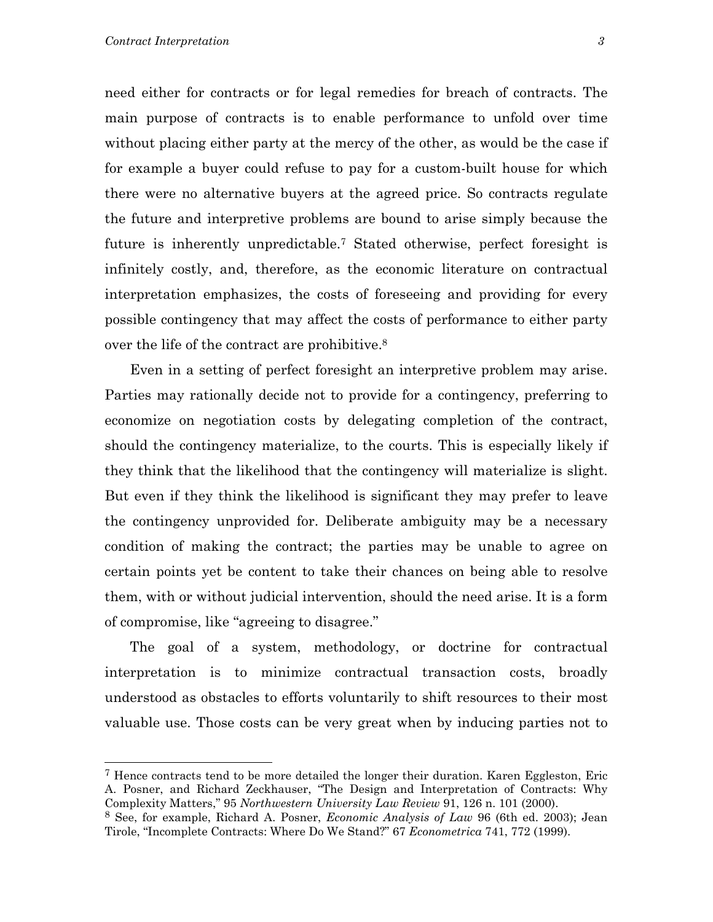need either for contracts or for legal remedies for breach of contracts. The main purpose of contracts is to enable performance to unfold over time without placing either party at the mercy of the other, as would be the case if for example a buyer could refuse to pay for a custom-built house for which there were no alternative buyers at the agreed price. So contracts regulate the future and interpretive problems are bound to arise simply because the future is inherently unpredictable.[7](#page-4-0) Stated otherwise, perfect foresight is infinitely costly, and, therefore, as the economic literature on contractual interpretation emphasizes, the costs of foreseeing and providing for every possible contingency that may affect the costs of performance to either party over the life of the contract are prohibitive[.8](#page-4-1)

Even in a setting of perfect foresight an interpretive problem may arise. Parties may rationally decide not to provide for a contingency, preferring to economize on negotiation costs by delegating completion of the contract, should the contingency materialize, to the courts. This is especially likely if they think that the likelihood that the contingency will materialize is slight. But even if they think the likelihood is significant they may prefer to leave the contingency unprovided for. Deliberate ambiguity may be a necessary condition of making the contract; the parties may be unable to agree on certain points yet be content to take their chances on being able to resolve them, with or without judicial intervention, should the need arise. It is a form of compromise, like "agreeing to disagree."

 The goal of a system, methodology, or doctrine for contractual interpretation is to minimize contractual transaction costs, broadly understood as obstacles to efforts voluntarily to shift resources to their most valuable use. Those costs can be very great when by inducing parties not to

<span id="page-4-0"></span><sup>7</sup> Hence contracts tend to be more detailed the longer their duration. Karen Eggleston, Eric A. Posner, and Richard Zeckhauser, "The Design and Interpretation of Contracts: Why Complexity Matters," 95 *Northwestern University Law Review* 91, 126 n. 101 (2000).

<span id="page-4-1"></span><sup>8</sup> See, for example, Richard A. Posner, *Economic Analysis of Law* 96 (6th ed. 2003); Jean Tirole, "Incomplete Contracts: Where Do We Stand?" 67 *Econometrica* 741, 772 (1999).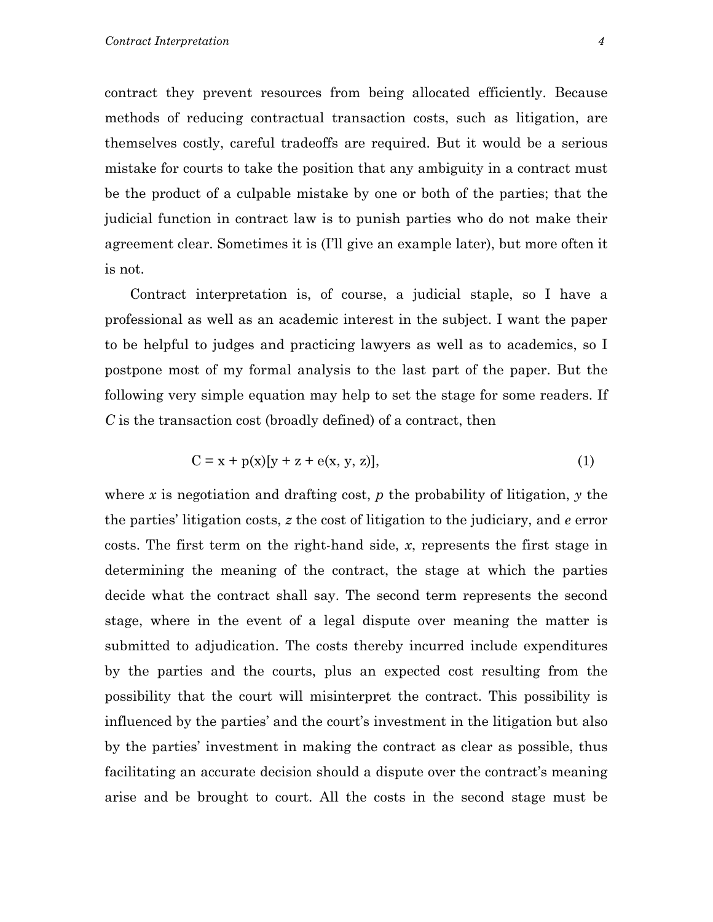contract they prevent resources from being allocated efficiently. Because methods of reducing contractual transaction costs, such as litigation, are themselves costly, careful tradeoffs are required. But it would be a serious mistake for courts to take the position that any ambiguity in a contract must be the product of a culpable mistake by one or both of the parties; that the judicial function in contract law is to punish parties who do not make their agreement clear. Sometimes it is (I'll give an example later), but more often it is not.

Contract interpretation is, of course, a judicial staple, so I have a professional as well as an academic interest in the subject. I want the paper to be helpful to judges and practicing lawyers as well as to academics, so I postpone most of my formal analysis to the last part of the paper. But the following very simple equation may help to set the stage for some readers. If *C* is the transaction cost (broadly defined) of a contract, then

$$
C = x + p(x)[y + z + e(x, y, z)],
$$
 (1)

where *x* is negotiation and drafting cost, *p* the probability of litigation, *y* the the parties' litigation costs, *z* the cost of litigation to the judiciary, and *e* error costs. The first term on the right-hand side, *x*, represents the first stage in determining the meaning of the contract, the stage at which the parties decide what the contract shall say. The second term represents the second stage, where in the event of a legal dispute over meaning the matter is submitted to adjudication. The costs thereby incurred include expenditures by the parties and the courts, plus an expected cost resulting from the possibility that the court will misinterpret the contract. This possibility is influenced by the parties' and the court's investment in the litigation but also by the parties' investment in making the contract as clear as possible, thus facilitating an accurate decision should a dispute over the contract's meaning arise and be brought to court. All the costs in the second stage must be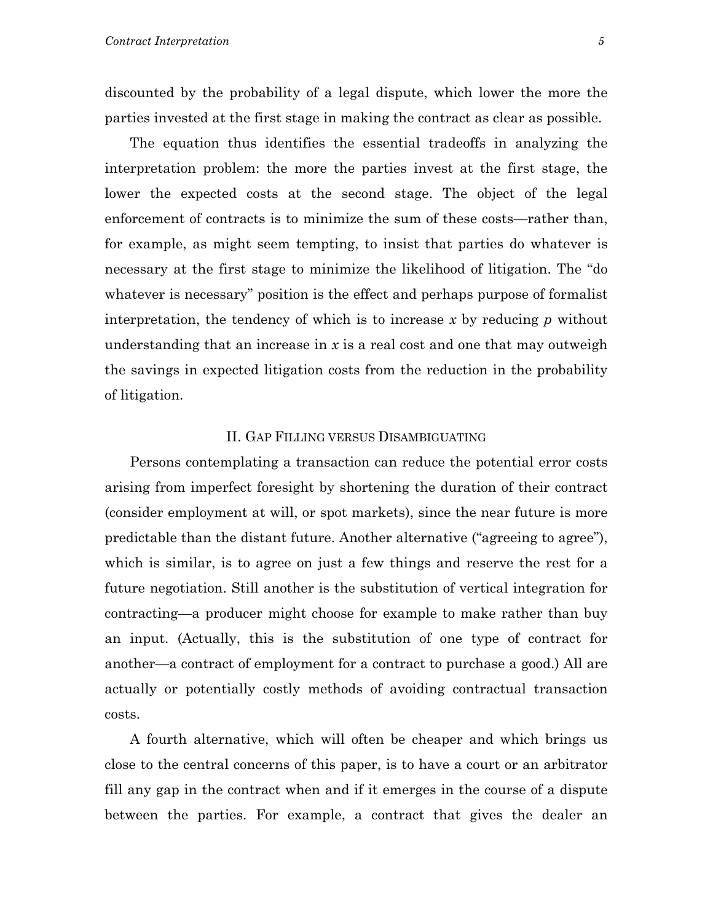discounted by the probability of a legal dispute, which lower the more the parties invested at the first stage in making the contract as clear as possible.

 The equation thus identifies the essential tradeoffs in analyzing the interpretation problem: the more the parties invest at the first stage, the lower the expected costs at the second stage. The object of the legal enforcement of contracts is to minimize the sum of these costs—rather than, for example, as might seem tempting, to insist that parties do whatever is necessary at the first stage to minimize the likelihood of litigation. The "do whatever is necessary" position is the effect and perhaps purpose of formalist interpretation, the tendency of which is to increase *x* by reducing *p* without understanding that an increase in *x* is a real cost and one that may outweigh the savings in expected litigation costs from the reduction in the probability of litigation.

#### II. GAP FILLING VERSUS DISAMBIGUATING

 Persons contemplating a transaction can reduce the potential error costs arising from imperfect foresight by shortening the duration of their contract (consider employment at will, or spot markets), since the near future is more predictable than the distant future. Another alternative ("agreeing to agree"), which is similar, is to agree on just a few things and reserve the rest for a future negotiation. Still another is the substitution of vertical integration for contracting—a producer might choose for example to make rather than buy an input. (Actually, this is the substitution of one type of contract for another—a contract of employment for a contract to purchase a good.) All are actually or potentially costly methods of avoiding contractual transaction costs.

A fourth alternative, which will often be cheaper and which brings us close to the central concerns of this paper, is to have a court or an arbitrator fill any gap in the contract when and if it emerges in the course of a dispute between the parties. For example, a contract that gives the dealer an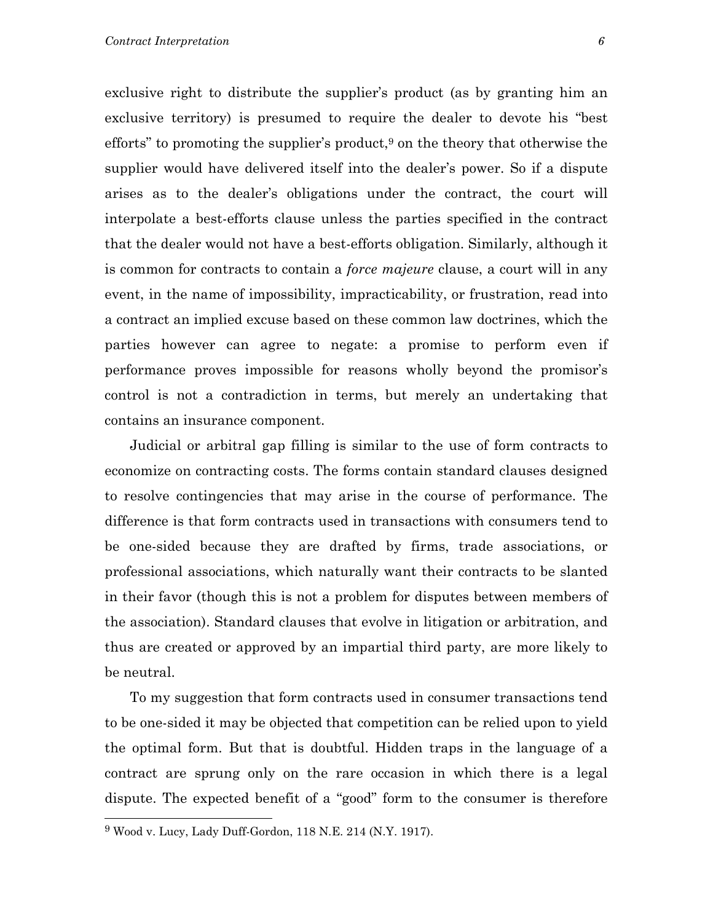exclusive right to distribute the supplier's product (as by granting him an exclusive territory) is presumed to require the dealer to devote his "best efforts" to promoting the supplier's product, $9$  on the theory that otherwise the supplier would have delivered itself into the dealer's power. So if a dispute arises as to the dealer's obligations under the contract, the court will interpolate a best-efforts clause unless the parties specified in the contract that the dealer would not have a best-efforts obligation. Similarly, although it is common for contracts to contain a *force majeure* clause, a court will in any event, in the name of impossibility, impracticability, or frustration, read into a contract an implied excuse based on these common law doctrines, which the parties however can agree to negate: a promise to perform even if performance proves impossible for reasons wholly beyond the promisor's control is not a contradiction in terms, but merely an undertaking that contains an insurance component.

 Judicial or arbitral gap filling is similar to the use of form contracts to economize on contracting costs. The forms contain standard clauses designed to resolve contingencies that may arise in the course of performance. The difference is that form contracts used in transactions with consumers tend to be one-sided because they are drafted by firms, trade associations, or professional associations, which naturally want their contracts to be slanted in their favor (though this is not a problem for disputes between members of the association). Standard clauses that evolve in litigation or arbitration, and thus are created or approved by an impartial third party, are more likely to be neutral.

 To my suggestion that form contracts used in consumer transactions tend to be one-sided it may be objected that competition can be relied upon to yield the optimal form. But that is doubtful. Hidden traps in the language of a contract are sprung only on the rare occasion in which there is a legal dispute. The expected benefit of a "good" form to the consumer is therefore

<span id="page-7-0"></span><sup>9</sup> Wood v. Lucy, Lady Duff-Gordon, 118 N.E. 214 (N.Y. 1917).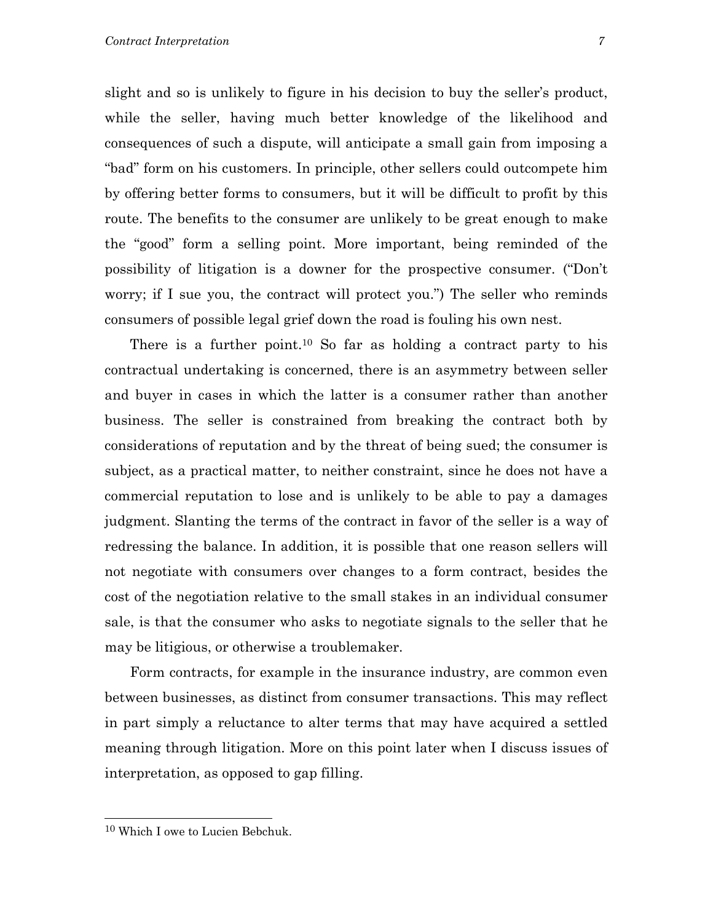slight and so is unlikely to figure in his decision to buy the seller's product, while the seller, having much better knowledge of the likelihood and consequences of such a dispute, will anticipate a small gain from imposing a "bad" form on his customers. In principle, other sellers could outcompete him by offering better forms to consumers, but it will be difficult to profit by this route. The benefits to the consumer are unlikely to be great enough to make the "good" form a selling point. More important, being reminded of the possibility of litigation is a downer for the prospective consumer. ("Don't worry; if I sue you, the contract will protect you.") The seller who reminds consumers of possible legal grief down the road is fouling his own nest.

There is a further point.<sup>10</sup> So far as holding a contract party to his contractual undertaking is concerned, there is an asymmetry between seller and buyer in cases in which the latter is a consumer rather than another business. The seller is constrained from breaking the contract both by considerations of reputation and by the threat of being sued; the consumer is subject, as a practical matter, to neither constraint, since he does not have a commercial reputation to lose and is unlikely to be able to pay a damages judgment. Slanting the terms of the contract in favor of the seller is a way of redressing the balance. In addition, it is possible that one reason sellers will not negotiate with consumers over changes to a form contract, besides the cost of the negotiation relative to the small stakes in an individual consumer sale, is that the consumer who asks to negotiate signals to the seller that he may be litigious, or otherwise a troublemaker.

 Form contracts, for example in the insurance industry, are common even between businesses, as distinct from consumer transactions. This may reflect in part simply a reluctance to alter terms that may have acquired a settled meaning through litigation. More on this point later when I discuss issues of interpretation, as opposed to gap filling.

<span id="page-8-0"></span><sup>10</sup> Which I owe to Lucien Bebchuk.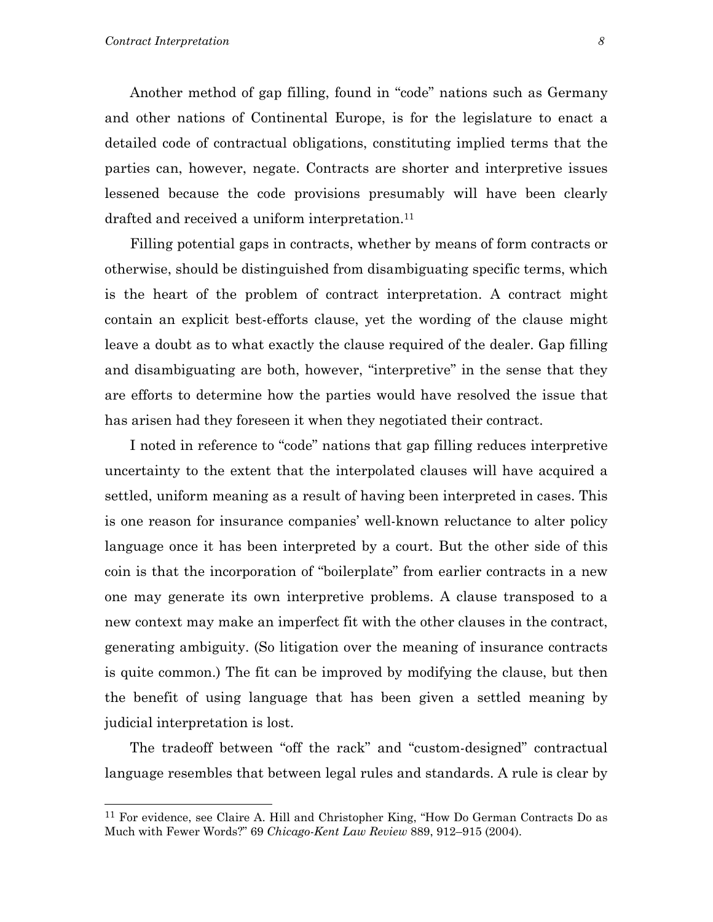Another method of gap filling, found in "code" nations such as Germany and other nations of Continental Europe, is for the legislature to enact a detailed code of contractual obligations, constituting implied terms that the parties can, however, negate. Contracts are shorter and interpretive issues lessened because the code provisions presumably will have been clearly drafted and received a uniform interpretation.<sup>[11](#page-9-0)</sup>

 Filling potential gaps in contracts, whether by means of form contracts or otherwise, should be distinguished from disambiguating specific terms, which is the heart of the problem of contract interpretation. A contract might contain an explicit best-efforts clause, yet the wording of the clause might leave a doubt as to what exactly the clause required of the dealer. Gap filling and disambiguating are both, however, "interpretive" in the sense that they are efforts to determine how the parties would have resolved the issue that has arisen had they foreseen it when they negotiated their contract.

I noted in reference to "code" nations that gap filling reduces interpretive uncertainty to the extent that the interpolated clauses will have acquired a settled, uniform meaning as a result of having been interpreted in cases. This is one reason for insurance companies' well-known reluctance to alter policy language once it has been interpreted by a court. But the other side of this coin is that the incorporation of "boilerplate" from earlier contracts in a new one may generate its own interpretive problems. A clause transposed to a new context may make an imperfect fit with the other clauses in the contract, generating ambiguity. (So litigation over the meaning of insurance contracts is quite common.) The fit can be improved by modifying the clause, but then the benefit of using language that has been given a settled meaning by judicial interpretation is lost.

The tradeoff between "off the rack" and "custom-designed" contractual language resembles that between legal rules and standards. A rule is clear by

<span id="page-9-0"></span><sup>11</sup> For evidence, see Claire A. Hill and Christopher King, "How Do German Contracts Do as Much with Fewer Words?" 69 *Chicago-Kent Law Review* 889, 912–915 (2004).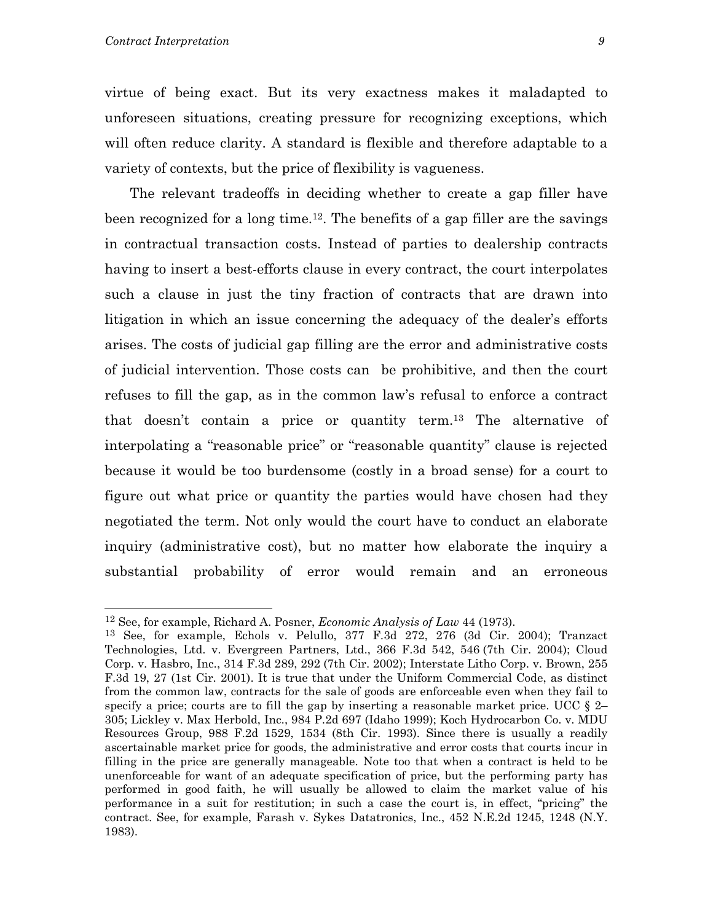virtue of being exact. But its very exactness makes it maladapted to unforeseen situations, creating pressure for recognizing exceptions, which will often reduce clarity. A standard is flexible and therefore adaptable to a variety of contexts, but the price of flexibility is vagueness.

The relevant tradeoffs in deciding whether to create a gap filler have been recognized for a long time.[12.](#page-10-0) The benefits of a gap filler are the savings in contractual transaction costs. Instead of parties to dealership contracts having to insert a best-efforts clause in every contract, the court interpolates such a clause in just the tiny fraction of contracts that are drawn into litigation in which an issue concerning the adequacy of the dealer's efforts arises. The costs of judicial gap filling are the error and administrative costs of judicial intervention. Those costs can be prohibitive, and then the court refuses to fill the gap, as in the common law's refusal to enforce a contract that doesn't contain a price or quantity term[.13](#page-10-1) The alternative of interpolating a "reasonable price" or "reasonable quantity" clause is rejected because it would be too burdensome (costly in a broad sense) for a court to figure out what price or quantity the parties would have chosen had they negotiated the term. Not only would the court have to conduct an elaborate inquiry (administrative cost), but no matter how elaborate the inquiry a substantial probability of error would remain and an erroneous

<span id="page-10-0"></span><sup>12</sup> See, for example, Richard A. Posner, *Economic Analysis of Law* 44 (1973).

<span id="page-10-1"></span><sup>13</sup> See, for example, Echols v. Pelullo, 377 F.3d 272, 276 (3d Cir. 2004); Tranzact Technologies, Ltd. v. Evergreen Partners, Ltd., 366 F.3d 542, 546 (7th Cir. 2004); Cloud Corp. v. Hasbro, Inc., 314 F.3d 289, 292 (7th Cir. 2002); Interstate Litho Corp. v. Brown, 255 F.3d 19, 27 (1st Cir. 2001). It is true that under the Uniform Commercial Code, as distinct from the common law, contracts for the sale of goods are enforceable even when they fail to specify a price; courts are to fill the gap by inserting a reasonable market price. UCC  $\S$  2– 305; Lickley v. Max Herbold, Inc., 984 P.2d 697 (Idaho 1999); Koch Hydrocarbon Co. v. MDU Resources Group, 988 F.2d 1529, 1534 (8th Cir. 1993). Since there is usually a readily ascertainable market price for goods, the administrative and error costs that courts incur in filling in the price are generally manageable. Note too that when a contract is held to be unenforceable for want of an adequate specification of price, but the performing party has performed in good faith, he will usually be allowed to claim the market value of his performance in a suit for restitution; in such a case the court is, in effect, "pricing" the contract. See, for example, Farash v. Sykes Datatronics, Inc., 452 N.E.2d 1245, 1248 (N.Y. 1983).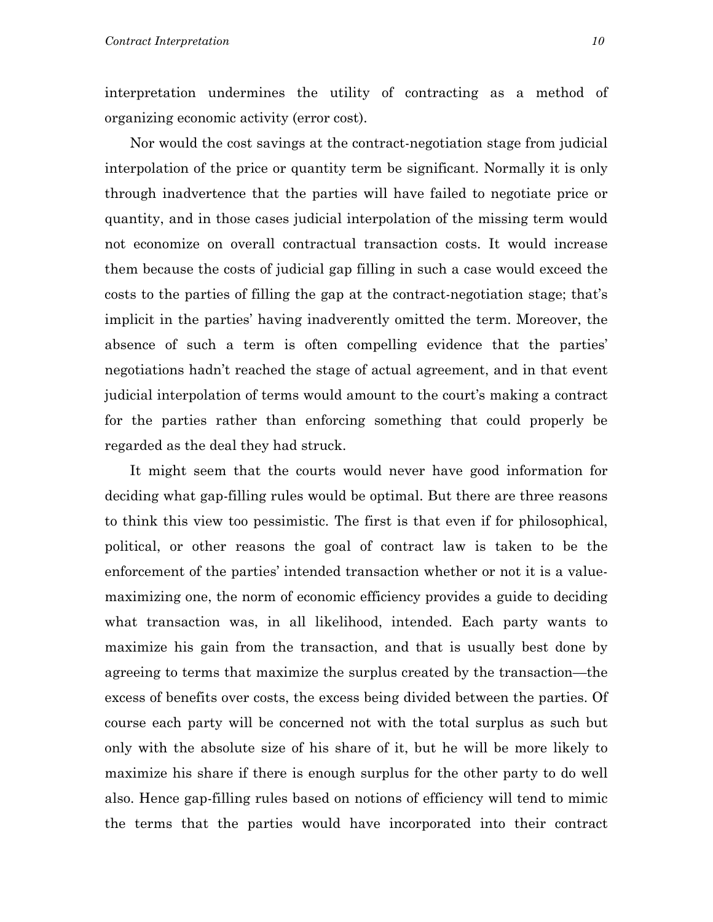interpretation undermines the utility of contracting as a method of organizing economic activity (error cost).

Nor would the cost savings at the contract-negotiation stage from judicial interpolation of the price or quantity term be significant. Normally it is only through inadvertence that the parties will have failed to negotiate price or quantity, and in those cases judicial interpolation of the missing term would not economize on overall contractual transaction costs. It would increase them because the costs of judicial gap filling in such a case would exceed the costs to the parties of filling the gap at the contract-negotiation stage; that's implicit in the parties' having inadverently omitted the term. Moreover, the absence of such a term is often compelling evidence that the parties' negotiations hadn't reached the stage of actual agreement, and in that event judicial interpolation of terms would amount to the court's making a contract for the parties rather than enforcing something that could properly be regarded as the deal they had struck.

 It might seem that the courts would never have good information for deciding what gap-filling rules would be optimal. But there are three reasons to think this view too pessimistic. The first is that even if for philosophical, political, or other reasons the goal of contract law is taken to be the enforcement of the parties' intended transaction whether or not it is a valuemaximizing one, the norm of economic efficiency provides a guide to deciding what transaction was, in all likelihood, intended. Each party wants to maximize his gain from the transaction, and that is usually best done by agreeing to terms that maximize the surplus created by the transaction—the excess of benefits over costs, the excess being divided between the parties. Of course each party will be concerned not with the total surplus as such but only with the absolute size of his share of it, but he will be more likely to maximize his share if there is enough surplus for the other party to do well also. Hence gap-filling rules based on notions of efficiency will tend to mimic the terms that the parties would have incorporated into their contract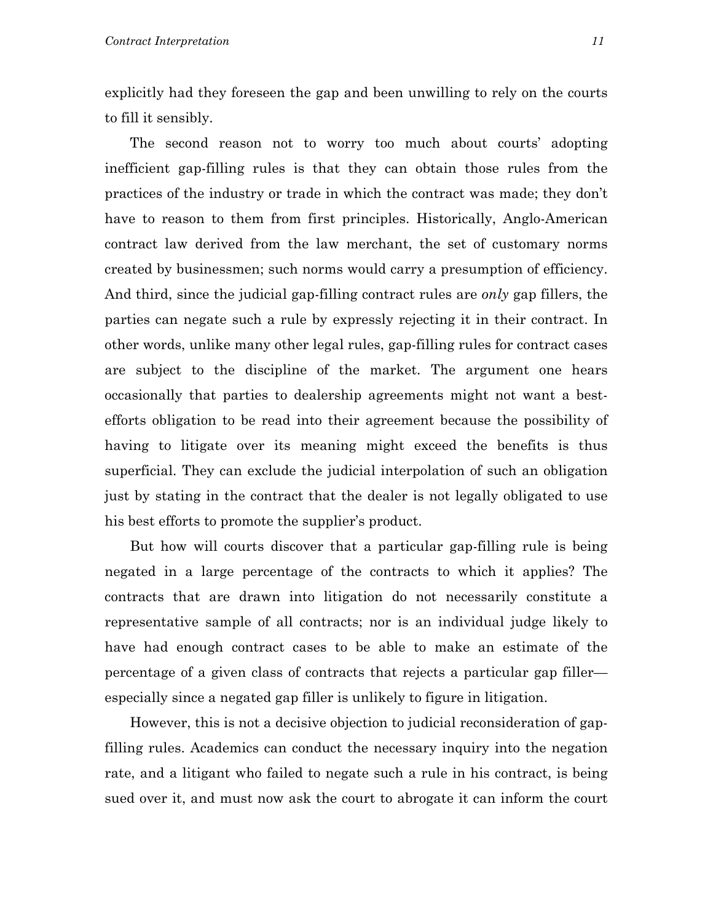explicitly had they foreseen the gap and been unwilling to rely on the courts to fill it sensibly.

 The second reason not to worry too much about courts' adopting inefficient gap-filling rules is that they can obtain those rules from the practices of the industry or trade in which the contract was made; they don't have to reason to them from first principles. Historically, Anglo-American contract law derived from the law merchant, the set of customary norms created by businessmen; such norms would carry a presumption of efficiency. And third, since the judicial gap-filling contract rules are *only* gap fillers, the parties can negate such a rule by expressly rejecting it in their contract. In other words, unlike many other legal rules, gap-filling rules for contract cases are subject to the discipline of the market. The argument one hears occasionally that parties to dealership agreements might not want a bestefforts obligation to be read into their agreement because the possibility of having to litigate over its meaning might exceed the benefits is thus superficial. They can exclude the judicial interpolation of such an obligation just by stating in the contract that the dealer is not legally obligated to use his best efforts to promote the supplier's product.

 But how will courts discover that a particular gap-filling rule is being negated in a large percentage of the contracts to which it applies? The contracts that are drawn into litigation do not necessarily constitute a representative sample of all contracts; nor is an individual judge likely to have had enough contract cases to be able to make an estimate of the percentage of a given class of contracts that rejects a particular gap filler especially since a negated gap filler is unlikely to figure in litigation.

However, this is not a decisive objection to judicial reconsideration of gapfilling rules. Academics can conduct the necessary inquiry into the negation rate, and a litigant who failed to negate such a rule in his contract, is being sued over it, and must now ask the court to abrogate it can inform the court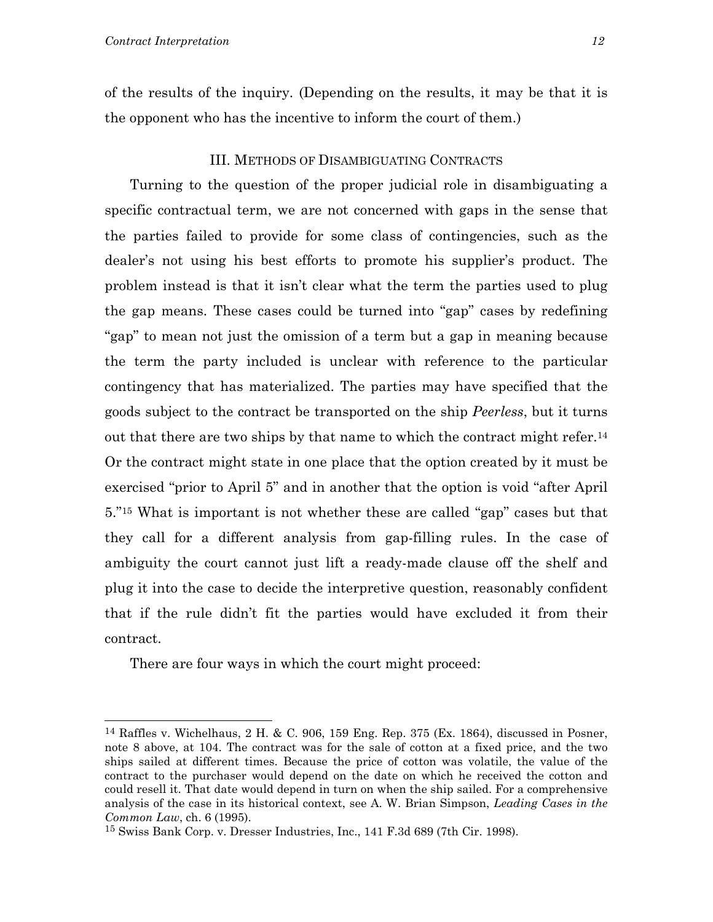of the results of the inquiry. (Depending on the results, it may be that it is the opponent who has the incentive to inform the court of them.)

#### III. METHODS OF DISAMBIGUATING CONTRACTS

 Turning to the question of the proper judicial role in disambiguating a specific contractual term, we are not concerned with gaps in the sense that the parties failed to provide for some class of contingencies, such as the dealer's not using his best efforts to promote his supplier's product. The problem instead is that it isn't clear what the term the parties used to plug the gap means. These cases could be turned into "gap" cases by redefining "gap" to mean not just the omission of a term but a gap in meaning because the term the party included is unclear with reference to the particular contingency that has materialized. The parties may have specified that the goods subject to the contract be transported on the ship *Peerless*, but it turns out that there are two ships by that name to which the contract might refer[.14](#page-13-0) Or the contract might state in one place that the option created by it must be exercised "prior to April 5" and in another that the option is void "after April 5."[15](#page-13-1) What is important is not whether these are called "gap" cases but that they call for a different analysis from gap-filling rules. In the case of ambiguity the court cannot just lift a ready-made clause off the shelf and plug it into the case to decide the interpretive question, reasonably confident that if the rule didn't fit the parties would have excluded it from their contract.

There are four ways in which the court might proceed:

<span id="page-13-0"></span><sup>&</sup>lt;sup>14</sup> Raffles v. Wichelhaus, 2 H. & C. 906, 159 Eng. Rep. 375 (Ex. 1864), discussed in Posner, note 8 above, at 104. The contract was for the sale of cotton at a fixed price, and the two ships sailed at different times. Because the price of cotton was volatile, the value of the contract to the purchaser would depend on the date on which he received the cotton and could resell it. That date would depend in turn on when the ship sailed. For a comprehensive analysis of the case in its historical context, see A. W. Brian Simpson, *Leading Cases in the Common Law*, ch. 6 (1995).

<span id="page-13-1"></span><sup>15</sup> Swiss Bank Corp. v. Dresser Industries, Inc., 141 F.3d 689 (7th Cir. 1998).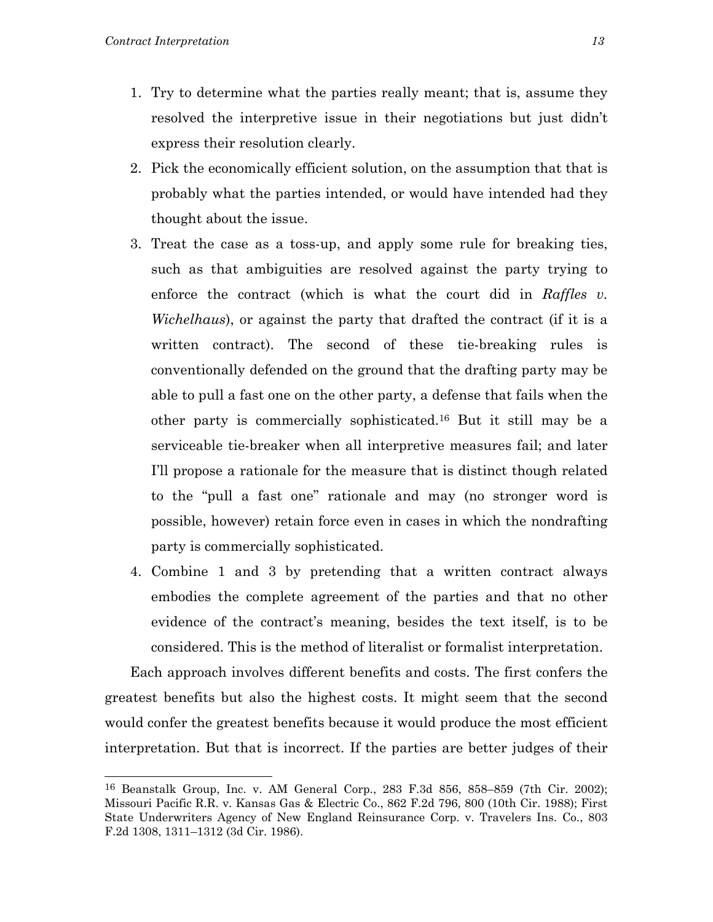- 1. Try to determine what the parties really meant; that is, assume they resolved the interpretive issue in their negotiations but just didn't express their resolution clearly.
- 2. Pick the economically efficient solution, on the assumption that that is probably what the parties intended, or would have intended had they thought about the issue.
- 3. Treat the case as a toss-up, and apply some rule for breaking ties, such as that ambiguities are resolved against the party trying to enforce the contract (which is what the court did in *Raffles v. Wichelhaus*), or against the party that drafted the contract (if it is a written contract). The second of these tie-breaking rules is conventionally defended on the ground that the drafting party may be able to pull a fast one on the other party, a defense that fails when the other party is commercially sophisticated[.16](#page-14-0) But it still may be a serviceable tie-breaker when all interpretive measures fail; and later I'll propose a rationale for the measure that is distinct though related to the "pull a fast one" rationale and may (no stronger word is possible, however) retain force even in cases in which the nondrafting party is commercially sophisticated.
- 4. Combine 1 and 3 by pretending that a written contract always embodies the complete agreement of the parties and that no other evidence of the contract's meaning, besides the text itself, is to be considered. This is the method of literalist or formalist interpretation.

Each approach involves different benefits and costs. The first confers the greatest benefits but also the highest costs. It might seem that the second would confer the greatest benefits because it would produce the most efficient interpretation. But that is incorrect. If the parties are better judges of their

<span id="page-14-0"></span><sup>16</sup> Beanstalk Group, Inc. v. AM General Corp., 283 F.3d 856, 858–859 (7th Cir. 2002); Missouri Pacific R.R. v. Kansas Gas & Electric Co., 862 F.2d 796, 800 (10th Cir. 1988); First State Underwriters Agency of New England Reinsurance Corp. v. Travelers Ins. Co., 803 F.2d 1308, 1311–1312 (3d Cir. 1986).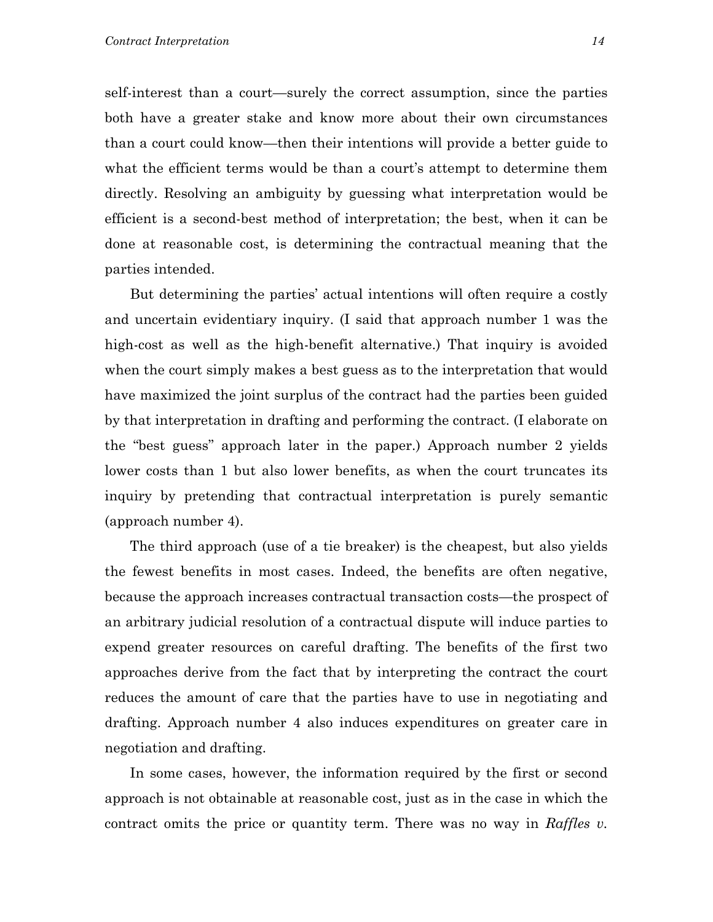self-interest than a court—surely the correct assumption, since the parties both have a greater stake and know more about their own circumstances than a court could know—then their intentions will provide a better guide to what the efficient terms would be than a court's attempt to determine them directly. Resolving an ambiguity by guessing what interpretation would be efficient is a second-best method of interpretation; the best, when it can be done at reasonable cost, is determining the contractual meaning that the parties intended.

But determining the parties' actual intentions will often require a costly and uncertain evidentiary inquiry. (I said that approach number 1 was the high-cost as well as the high-benefit alternative.) That inquiry is avoided when the court simply makes a best guess as to the interpretation that would have maximized the joint surplus of the contract had the parties been guided by that interpretation in drafting and performing the contract. (I elaborate on the "best guess" approach later in the paper.) Approach number 2 yields lower costs than 1 but also lower benefits, as when the court truncates its inquiry by pretending that contractual interpretation is purely semantic (approach number 4).

The third approach (use of a tie breaker) is the cheapest, but also yields the fewest benefits in most cases. Indeed, the benefits are often negative, because the approach increases contractual transaction costs—the prospect of an arbitrary judicial resolution of a contractual dispute will induce parties to expend greater resources on careful drafting. The benefits of the first two approaches derive from the fact that by interpreting the contract the court reduces the amount of care that the parties have to use in negotiating and drafting. Approach number 4 also induces expenditures on greater care in negotiation and drafting.

In some cases, however, the information required by the first or second approach is not obtainable at reasonable cost, just as in the case in which the contract omits the price or quantity term. There was no way in *Raffles v.*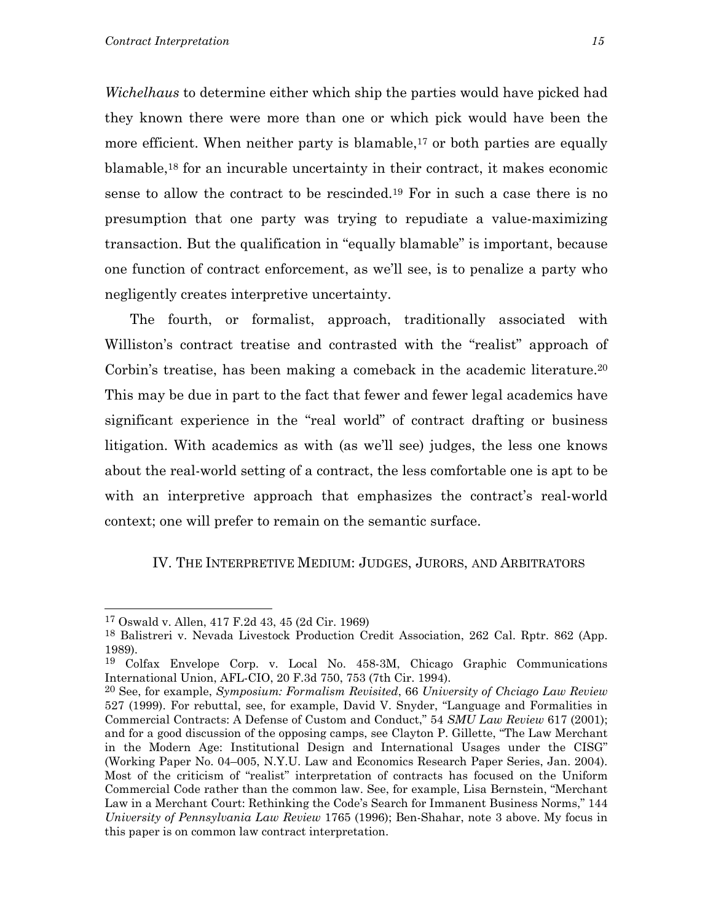*Wichelhaus* to determine either which ship the parties would have picked had they known there were more than one or which pick would have been the more efficient. When neither party is blamable,<sup>17</sup> or both parties are equally blamable[,18](#page-16-1) for an incurable uncertainty in their contract, it makes economic sense to allow the contract to be rescinded[.19](#page-16-2) For in such a case there is no presumption that one party was trying to repudiate a value-maximizing transaction. But the qualification in "equally blamable" is important, because one function of contract enforcement, as we'll see, is to penalize a party who negligently creates interpretive uncertainty.

The fourth, or formalist, approach, traditionally associated with Williston's contract treatise and contrasted with the "realist" approach of Corbin's treatise, has been making a comeback in the academic literature.<sup>20</sup> This may be due in part to the fact that fewer and fewer legal academics have significant experience in the "real world" of contract drafting or business litigation. With academics as with (as we'll see) judges, the less one knows about the real-world setting of a contract, the less comfortable one is apt to be with an interpretive approach that emphasizes the contract's real-world context; one will prefer to remain on the semantic surface.

#### IV. THE INTERPRETIVE MEDIUM: JUDGES, JURORS, AND ARBITRATORS

<span id="page-16-0"></span><sup>17</sup> Oswald v. Allen, 417 F.2d 43, 45 (2d Cir. 1969)

<span id="page-16-1"></span><sup>18</sup> Balistreri v. Nevada Livestock Production Credit Association, 262 Cal. Rptr. 862 (App. 1989).

<span id="page-16-2"></span><sup>19</sup> Colfax Envelope Corp. v. Local No. 458-3M, Chicago Graphic Communications International Union, AFL-CIO, 20 F.3d 750, 753 (7th Cir. 1994).

<span id="page-16-3"></span><sup>20</sup> See, for example, *Symposium: Formalism Revisited*, 66 *University of Chciago Law Review* 527 (1999). For rebuttal, see, for example, David V. Snyder, "Language and Formalities in Commercial Contracts: A Defense of Custom and Conduct," 54 *SMU Law Review* 617 (2001); and for a good discussion of the opposing camps, see Clayton P. Gillette, "The Law Merchant in the Modern Age: Institutional Design and International Usages under the CISG" (Working Paper No. 04–005, N.Y.U. Law and Economics Research Paper Series, Jan. 2004). Most of the criticism of "realist" interpretation of contracts has focused on the Uniform Commercial Code rather than the common law. See, for example, Lisa Bernstein, "Merchant Law in a Merchant Court: Rethinking the Code's Search for Immanent Business Norms," 144 *University of Pennsylvania Law Review* 1765 (1996); Ben-Shahar, note 3 above. My focus in this paper is on common law contract interpretation.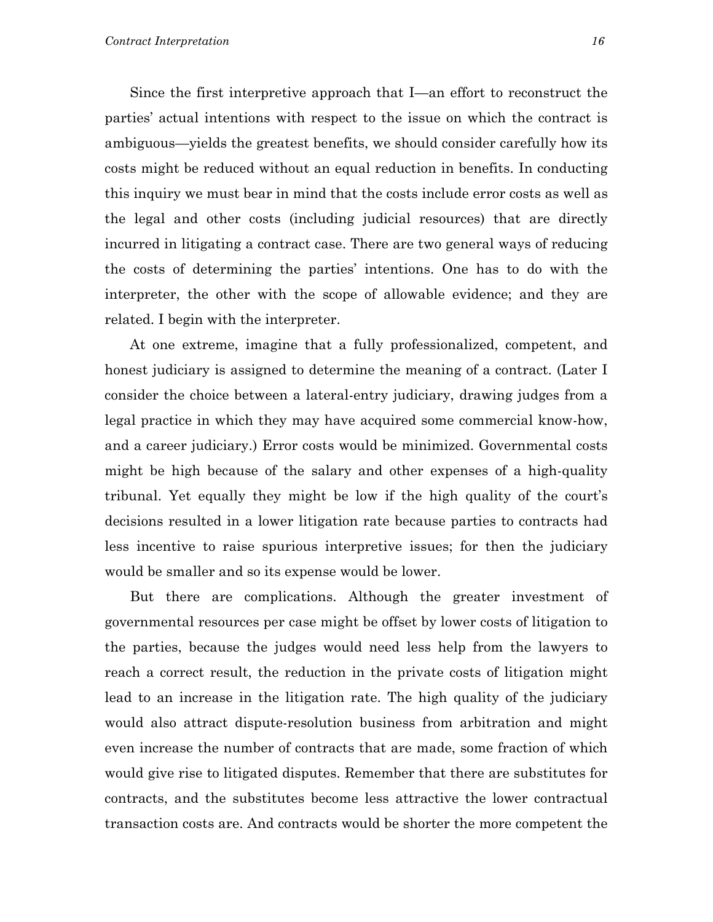Since the first interpretive approach that I—an effort to reconstruct the parties' actual intentions with respect to the issue on which the contract is ambiguous—yields the greatest benefits, we should consider carefully how its costs might be reduced without an equal reduction in benefits. In conducting this inquiry we must bear in mind that the costs include error costs as well as the legal and other costs (including judicial resources) that are directly incurred in litigating a contract case. There are two general ways of reducing the costs of determining the parties' intentions. One has to do with the interpreter, the other with the scope of allowable evidence; and they are related. I begin with the interpreter.

At one extreme, imagine that a fully professionalized, competent, and honest judiciary is assigned to determine the meaning of a contract. (Later I consider the choice between a lateral-entry judiciary, drawing judges from a legal practice in which they may have acquired some commercial know-how, and a career judiciary.) Error costs would be minimized. Governmental costs might be high because of the salary and other expenses of a high-quality tribunal. Yet equally they might be low if the high quality of the court's decisions resulted in a lower litigation rate because parties to contracts had less incentive to raise spurious interpretive issues; for then the judiciary would be smaller and so its expense would be lower.

But there are complications. Although the greater investment of governmental resources per case might be offset by lower costs of litigation to the parties, because the judges would need less help from the lawyers to reach a correct result, the reduction in the private costs of litigation might lead to an increase in the litigation rate. The high quality of the judiciary would also attract dispute-resolution business from arbitration and might even increase the number of contracts that are made, some fraction of which would give rise to litigated disputes. Remember that there are substitutes for contracts, and the substitutes become less attractive the lower contractual transaction costs are. And contracts would be shorter the more competent the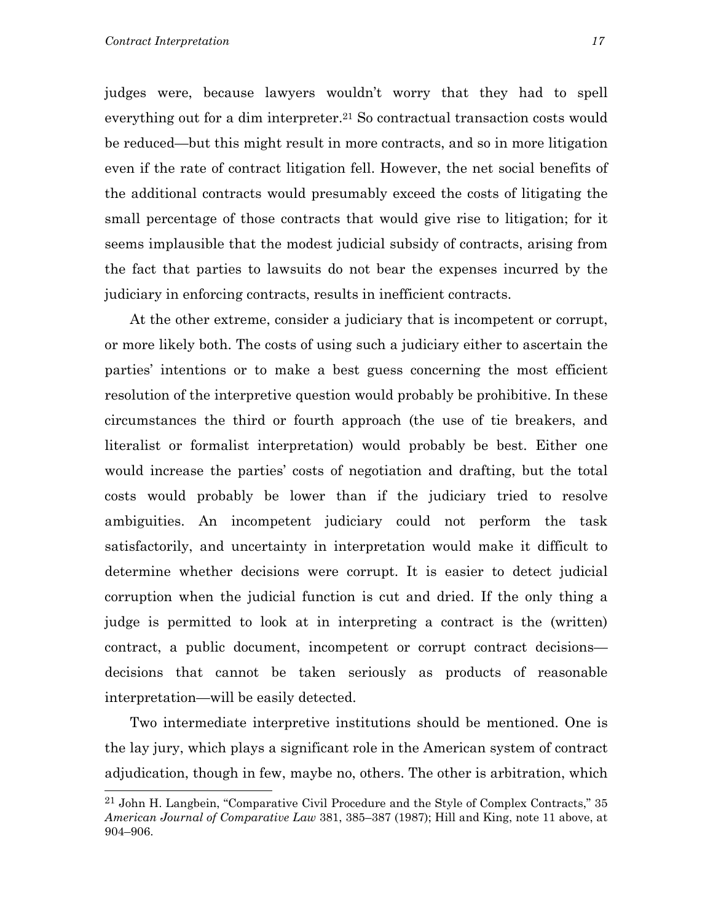judges were, because lawyers wouldn't worry that they had to spell everything out for a dim interpreter.<sup>21</sup> So contractual transaction costs would be reduced—but this might result in more contracts, and so in more litigation even if the rate of contract litigation fell. However, the net social benefits of the additional contracts would presumably exceed the costs of litigating the small percentage of those contracts that would give rise to litigation; for it seems implausible that the modest judicial subsidy of contracts, arising from the fact that parties to lawsuits do not bear the expenses incurred by the judiciary in enforcing contracts, results in inefficient contracts.

At the other extreme, consider a judiciary that is incompetent or corrupt, or more likely both. The costs of using such a judiciary either to ascertain the parties' intentions or to make a best guess concerning the most efficient resolution of the interpretive question would probably be prohibitive. In these circumstances the third or fourth approach (the use of tie breakers, and literalist or formalist interpretation) would probably be best. Either one would increase the parties' costs of negotiation and drafting, but the total costs would probably be lower than if the judiciary tried to resolve ambiguities. An incompetent judiciary could not perform the task satisfactorily, and uncertainty in interpretation would make it difficult to determine whether decisions were corrupt. It is easier to detect judicial corruption when the judicial function is cut and dried. If the only thing a judge is permitted to look at in interpreting a contract is the (written) contract, a public document, incompetent or corrupt contract decisions decisions that cannot be taken seriously as products of reasonable interpretation—will be easily detected.

Two intermediate interpretive institutions should be mentioned. One is the lay jury, which plays a significant role in the American system of contract adjudication, though in few, maybe no, others. The other is arbitration, which

<span id="page-18-0"></span><sup>21</sup> John H. Langbein, "Comparative Civil Procedure and the Style of Complex Contracts," 35 *American Journal of Comparative Law* 381, 385–387 (1987); Hill and King, note 11 above, at 904–906.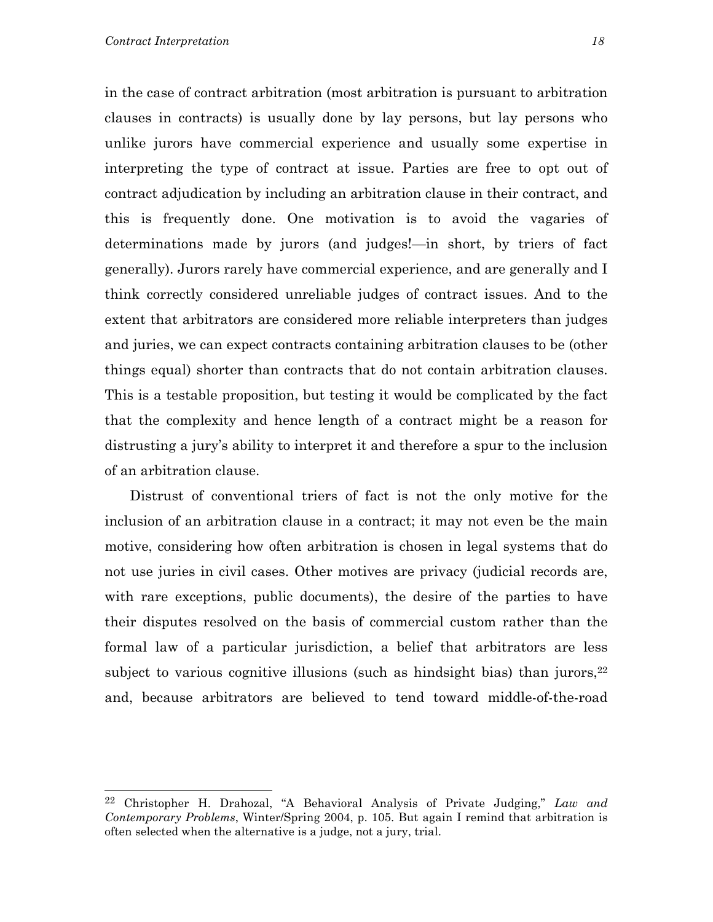in the case of contract arbitration (most arbitration is pursuant to arbitration clauses in contracts) is usually done by lay persons, but lay persons who unlike jurors have commercial experience and usually some expertise in interpreting the type of contract at issue. Parties are free to opt out of contract adjudication by including an arbitration clause in their contract, and this is frequently done. One motivation is to avoid the vagaries of determinations made by jurors (and judges!—in short, by triers of fact generally). Jurors rarely have commercial experience, and are generally and I think correctly considered unreliable judges of contract issues. And to the extent that arbitrators are considered more reliable interpreters than judges and juries, we can expect contracts containing arbitration clauses to be (other things equal) shorter than contracts that do not contain arbitration clauses. This is a testable proposition, but testing it would be complicated by the fact that the complexity and hence length of a contract might be a reason for distrusting a jury's ability to interpret it and therefore a spur to the inclusion of an arbitration clause.

Distrust of conventional triers of fact is not the only motive for the inclusion of an arbitration clause in a contract; it may not even be the main motive, considering how often arbitration is chosen in legal systems that do not use juries in civil cases. Other motives are privacy (judicial records are, with rare exceptions, public documents), the desire of the parties to have their disputes resolved on the basis of commercial custom rather than the formal law of a particular jurisdiction, a belief that arbitrators are less subject to various cognitive illusions (such as hindsight bias) than jurors,  $22$ and, because arbitrators are believed to tend toward middle-of-the-road

<span id="page-19-0"></span><sup>22</sup> Christopher H. Drahozal, "A Behavioral Analysis of Private Judging," *Law and Contemporary Problems*, Winter/Spring 2004, p. 105. But again I remind that arbitration is often selected when the alternative is a judge, not a jury, trial.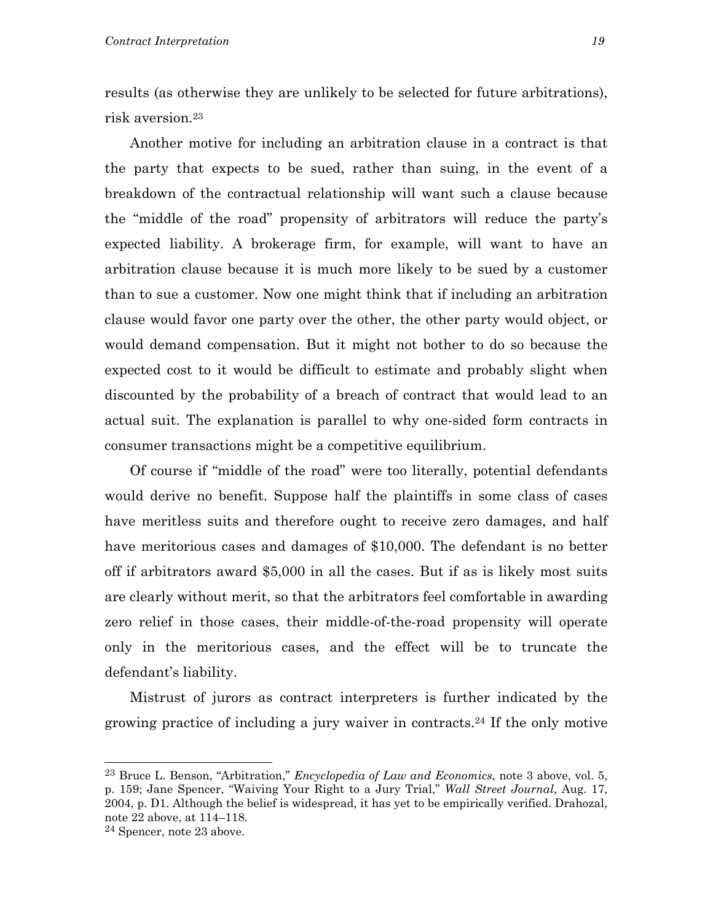results (as otherwise they are unlikely to be selected for future arbitrations), risk aversion.[23](#page-20-0)

Another motive for including an arbitration clause in a contract is that the party that expects to be sued, rather than suing, in the event of a breakdown of the contractual relationship will want such a clause because the "middle of the road" propensity of arbitrators will reduce the party's expected liability. A brokerage firm, for example, will want to have an arbitration clause because it is much more likely to be sued by a customer than to sue a customer. Now one might think that if including an arbitration clause would favor one party over the other, the other party would object, or would demand compensation. But it might not bother to do so because the expected cost to it would be difficult to estimate and probably slight when discounted by the probability of a breach of contract that would lead to an actual suit. The explanation is parallel to why one-sided form contracts in consumer transactions might be a competitive equilibrium.

Of course if "middle of the road" were too literally, potential defendants would derive no benefit. Suppose half the plaintiffs in some class of cases have meritless suits and therefore ought to receive zero damages, and half have meritorious cases and damages of \$10,000. The defendant is no better off if arbitrators award \$5,000 in all the cases. But if as is likely most suits are clearly without merit, so that the arbitrators feel comfortable in awarding zero relief in those cases, their middle-of-the-road propensity will operate only in the meritorious cases, and the effect will be to truncate the defendant's liability.

Mistrust of jurors as contract interpreters is further indicated by the growing practice of including a jury waiver in contracts.[24](#page-20-1) If the only motive

<span id="page-20-0"></span><sup>23</sup> Bruce L. Benson, "Arbitration," *Encyclopedia of Law and Economics*, note 3 above, vol. 5, p. 159; Jane Spencer, "Waiving Your Right to a Jury Trial," *Wall Street Journal*, Aug. 17, 2004, p. D1. Although the belief is widespread, it has yet to be empirically verified. Drahozal, note 22 above, at 114–118.

<span id="page-20-1"></span><sup>24</sup> Spencer, note 23 above.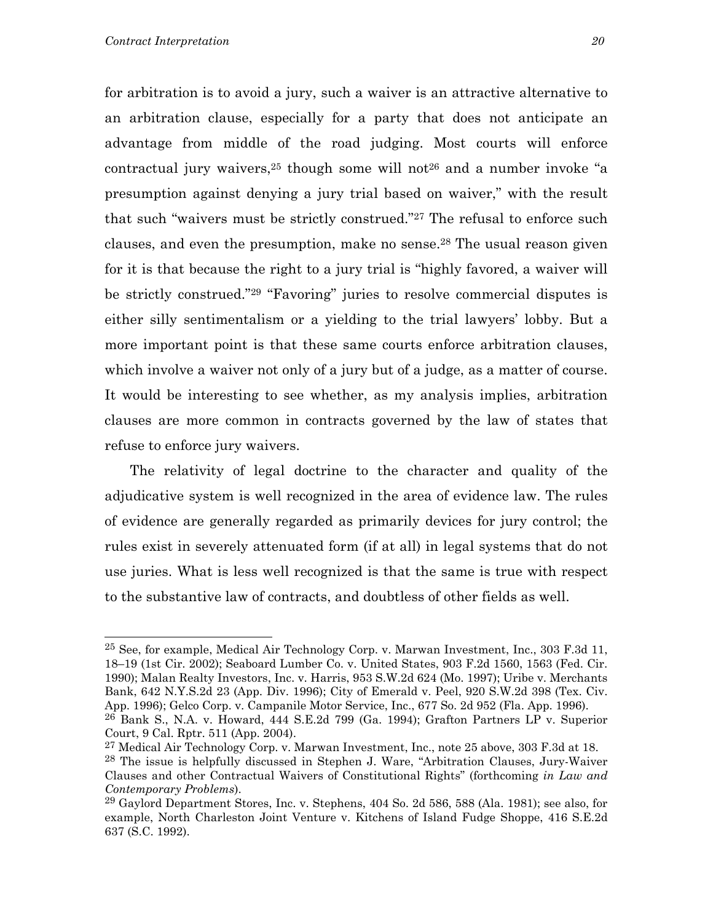for arbitration is to avoid a jury, such a waiver is an attractive alternative to an arbitration clause, especially for a party that does not anticipate an advantage from middle of the road judging. Most courts will enforce contractual jury waivers,  $25$  though some will not  $26$  and a number invoke "a presumption against denying a jury trial based on waiver," with the result that such "waivers must be strictly construed."[27](#page-21-2) The refusal to enforce such clauses, and even the presumption, make no sense[.28](#page-21-3) The usual reason given for it is that because the right to a jury trial is "highly favored, a waiver will be strictly construed.["29](#page-21-4) "Favoring" juries to resolve commercial disputes is either silly sentimentalism or a yielding to the trial lawyers' lobby. But a more important point is that these same courts enforce arbitration clauses, which involve a waiver not only of a jury but of a judge, as a matter of course. It would be interesting to see whether, as my analysis implies, arbitration clauses are more common in contracts governed by the law of states that refuse to enforce jury waivers.

The relativity of legal doctrine to the character and quality of the adjudicative system is well recognized in the area of evidence law. The rules of evidence are generally regarded as primarily devices for jury control; the rules exist in severely attenuated form (if at all) in legal systems that do not use juries. What is less well recognized is that the same is true with respect to the substantive law of contracts, and doubtless of other fields as well.

<span id="page-21-0"></span><sup>&</sup>lt;sup>25</sup> See, for example, Medical Air Technology Corp. v. Marwan Investment, Inc., 303 F.3d 11, 18–19 (1st Cir. 2002); Seaboard Lumber Co. v. United States, 903 F.2d 1560, 1563 (Fed. Cir. 1990); Malan Realty Investors, Inc. v. Harris, 953 S.W.2d 624 (Mo. 1997); Uribe v. Merchants Bank, 642 N.Y.S.2d 23 (App. Div. 1996); City of Emerald v. Peel, 920 S.W.2d 398 (Tex. Civ. App. 1996); Gelco Corp. v. Campanile Motor Service, Inc., 677 So. 2d 952 (Fla. App. 1996). 26 Bank S., N.A. v. Howard, 444 S.E.2d 799 (Ga. 1994); Grafton Partners LP v. Superior

<span id="page-21-1"></span>Court, 9 Cal. Rptr. 511 (App. 2004).

<span id="page-21-3"></span><span id="page-21-2"></span> $^{27}$  Medical Air Technology Corp. v. Marwan Investment, Inc., note 25 above, 303 F.3d at 18. 28 The issue is helpfully discussed in Stephen J. Ware, "Arbitration Clauses, Jury-Waiver Clauses and other Contractual Waivers of Constitutional Rights" (forthcoming *in Law and Contemporary Problems*).

<span id="page-21-4"></span><sup>29</sup> Gaylord Department Stores, Inc. v. Stephens, 404 So. 2d 586, 588 (Ala. 1981); see also, for example, North Charleston Joint Venture v. Kitchens of Island Fudge Shoppe, 416 S.E.2d 637 (S.C. 1992).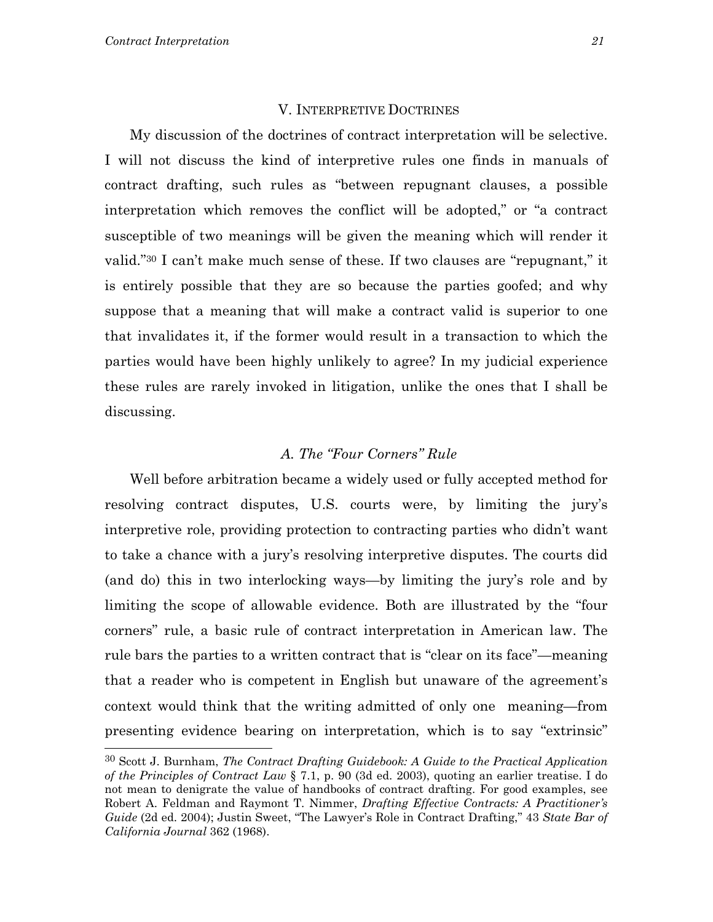#### V. INTERPRETIVE DOCTRINES

My discussion of the doctrines of contract interpretation will be selective. I will not discuss the kind of interpretive rules one finds in manuals of contract drafting, such rules as "between repugnant clauses, a possible interpretation which removes the conflict will be adopted," or "a contract susceptible of two meanings will be given the meaning which will render it valid.["30](#page-22-0) I can't make much sense of these. If two clauses are "repugnant," it is entirely possible that they are so because the parties goofed; and why suppose that a meaning that will make a contract valid is superior to one that invalidates it, if the former would result in a transaction to which the parties would have been highly unlikely to agree? In my judicial experience these rules are rarely invoked in litigation, unlike the ones that I shall be discussing.

#### *A. The "Four Corners" Rule*

Well before arbitration became a widely used or fully accepted method for resolving contract disputes, U.S. courts were, by limiting the jury's interpretive role, providing protection to contracting parties who didn't want to take a chance with a jury's resolving interpretive disputes. The courts did (and do) this in two interlocking ways—by limiting the jury's role and by limiting the scope of allowable evidence. Both are illustrated by the "four corners" rule, a basic rule of contract interpretation in American law. The rule bars the parties to a written contract that is "clear on its face"—meaning that a reader who is competent in English but unaware of the agreement's context would think that the writing admitted of only one meaning—from presenting evidence bearing on interpretation, which is to say "extrinsic"

<span id="page-22-0"></span><sup>30</sup> Scott J. Burnham, *The Contract Drafting Guidebook: A Guide to the Practical Application of the Principles of Contract Law* § 7.1, p. 90 (3d ed. 2003), quoting an earlier treatise. I do not mean to denigrate the value of handbooks of contract drafting. For good examples, see Robert A. Feldman and Raymont T. Nimmer, *Drafting Effective Contracts: A Practitioner's Guide* (2d ed. 2004); Justin Sweet, "The Lawyer's Role in Contract Drafting," 43 *State Bar of California Journal* 362 (1968).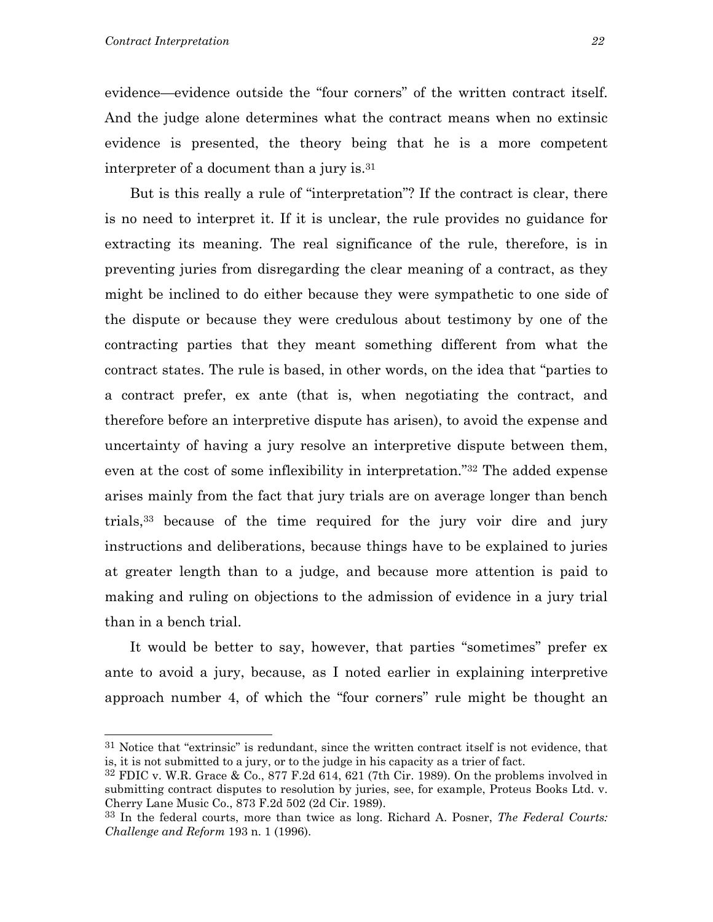evidence—evidence outside the "four corners" of the written contract itself. And the judge alone determines what the contract means when no extinsic evidence is presented, the theory being that he is a more competent interpreter of a document than a jury is.[31](#page-23-0)

But is this really a rule of "interpretation"? If the contract is clear, there is no need to interpret it. If it is unclear, the rule provides no guidance for extracting its meaning. The real significance of the rule, therefore, is in preventing juries from disregarding the clear meaning of a contract, as they might be inclined to do either because they were sympathetic to one side of the dispute or because they were credulous about testimony by one of the contracting parties that they meant something different from what the contract states. The rule is based, in other words, on the idea that "parties to a contract prefer, ex ante (that is, when negotiating the contract, and therefore before an interpretive dispute has arisen), to avoid the expense and uncertainty of having a jury resolve an interpretive dispute between them, even at the cost of some inflexibility in interpretation.["32](#page-23-1) The added expense arises mainly from the fact that jury trials are on average longer than bench trials[,33](#page-23-2) because of the time required for the jury voir dire and jury instructions and deliberations, because things have to be explained to juries at greater length than to a judge, and because more attention is paid to making and ruling on objections to the admission of evidence in a jury trial than in a bench trial.

It would be better to say, however, that parties "sometimes" prefer ex ante to avoid a jury, because, as I noted earlier in explaining interpretive approach number 4, of which the "four corners" rule might be thought an

<span id="page-23-0"></span> $31$  Notice that "extrinsic" is redundant, since the written contract itself is not evidence, that is, it is not submitted to a jury, or to the judge in his capacity as a trier of fact.

<span id="page-23-1"></span> $32$  FDIC v. W.R. Grace & Co.,  $877$  F.2d 614, 621 (7th Cir. 1989). On the problems involved in submitting contract disputes to resolution by juries, see, for example, Proteus Books Ltd. v. Cherry Lane Music Co., 873 F.2d 502 (2d Cir. 1989).

<span id="page-23-2"></span><sup>33</sup> In the federal courts, more than twice as long. Richard A. Posner, *The Federal Courts: Challenge and Reform* 193 n. 1 (1996).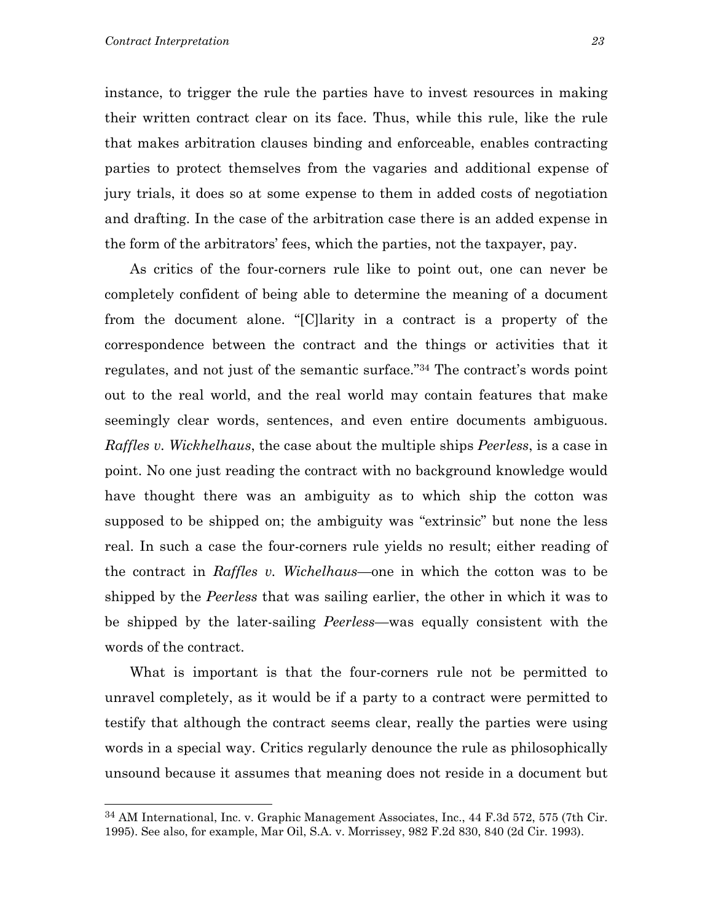instance, to trigger the rule the parties have to invest resources in making their written contract clear on its face. Thus, while this rule, like the rule that makes arbitration clauses binding and enforceable, enables contracting parties to protect themselves from the vagaries and additional expense of jury trials, it does so at some expense to them in added costs of negotiation and drafting. In the case of the arbitration case there is an added expense in the form of the arbitrators' fees, which the parties, not the taxpayer, pay.

As critics of the four-corners rule like to point out, one can never be completely confident of being able to determine the meaning of a document from the document alone. "[C]larity in a contract is a property of the correspondence between the contract and the things or activities that it regulates, and not just of the semantic surface.["34](#page-24-0) The contract's words point out to the real world, and the real world may contain features that make seemingly clear words, sentences, and even entire documents ambiguous. *Raffles v. Wickhelhaus*, the case about the multiple ships *Peerless*, is a case in point. No one just reading the contract with no background knowledge would have thought there was an ambiguity as to which ship the cotton was supposed to be shipped on; the ambiguity was "extrinsic" but none the less real. In such a case the four-corners rule yields no result; either reading of the contract in *Raffles v. Wichelhaus*—one in which the cotton was to be shipped by the *Peerless* that was sailing earlier, the other in which it was to be shipped by the later-sailing *Peerless*—was equally consistent with the words of the contract.

What is important is that the four-corners rule not be permitted to unravel completely, as it would be if a party to a contract were permitted to testify that although the contract seems clear, really the parties were using words in a special way. Critics regularly denounce the rule as philosophically unsound because it assumes that meaning does not reside in a document but

<span id="page-24-0"></span><sup>34</sup> AM International, Inc. v. Graphic Management Associates, Inc., 44 F.3d 572, 575 (7th Cir. 1995). See also, for example, Mar Oil, S.A. v. Morrissey, 982 F.2d 830, 840 (2d Cir. 1993).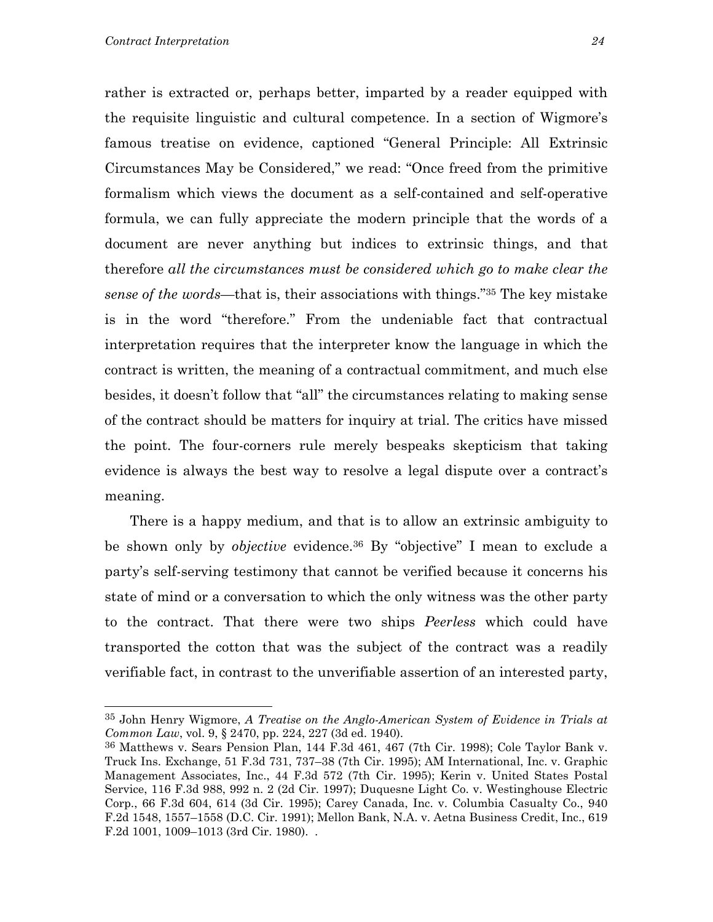rather is extracted or, perhaps better, imparted by a reader equipped with the requisite linguistic and cultural competence. In a section of Wigmore's famous treatise on evidence, captioned "General Principle: All Extrinsic Circumstances May be Considered," we read: "Once freed from the primitive formalism which views the document as a self-contained and self-operative formula, we can fully appreciate the modern principle that the words of a document are never anything but indices to extrinsic things, and that therefore *all the circumstances must be considered which go to make clear the sense of the words*—that is, their associations with things.["35](#page-25-0) The key mistake is in the word "therefore." From the undeniable fact that contractual interpretation requires that the interpreter know the language in which the contract is written, the meaning of a contractual commitment, and much else besides, it doesn't follow that "all" the circumstances relating to making sense of the contract should be matters for inquiry at trial. The critics have missed the point. The four-corners rule merely bespeaks skepticism that taking evidence is always the best way to resolve a legal dispute over a contract's meaning.

There is a happy medium, and that is to allow an extrinsic ambiguity to be shown only by *objective* evidence[.36](#page-25-1) By "objective" I mean to exclude a party's self-serving testimony that cannot be verified because it concerns his state of mind or a conversation to which the only witness was the other party to the contract. That there were two ships *Peerless* which could have transported the cotton that was the subject of the contract was a readily verifiable fact, in contrast to the unverifiable assertion of an interested party,

<span id="page-25-0"></span><sup>35</sup> John Henry Wigmore, *A Treatise on the Anglo-American System of Evidence in Trials at Common Law*, vol. 9, § 2470, pp. 224, 227 (3d ed. 1940).

<span id="page-25-1"></span><sup>36</sup> Matthews v. Sears Pension Plan, 144 F.3d 461, 467 (7th Cir. 1998); Cole Taylor Bank v. Truck Ins. Exchange, 51 F.3d 731, 737–38 (7th Cir. 1995); AM International, Inc. v. Graphic Management Associates, Inc., 44 F.3d 572 (7th Cir. 1995); Kerin v. United States Postal Service, 116 F.3d 988, 992 n. 2 (2d Cir. 1997); Duquesne Light Co. v. Westinghouse Electric Corp., 66 F.3d 604, 614 (3d Cir. 1995); Carey Canada, Inc. v. Columbia Casualty Co., 940 F.2d 1548, 1557–1558 (D.C. Cir. 1991); Mellon Bank, N.A. v. Aetna Business Credit, Inc., 619 F.2d 1001, 1009–1013 (3rd Cir. 1980). .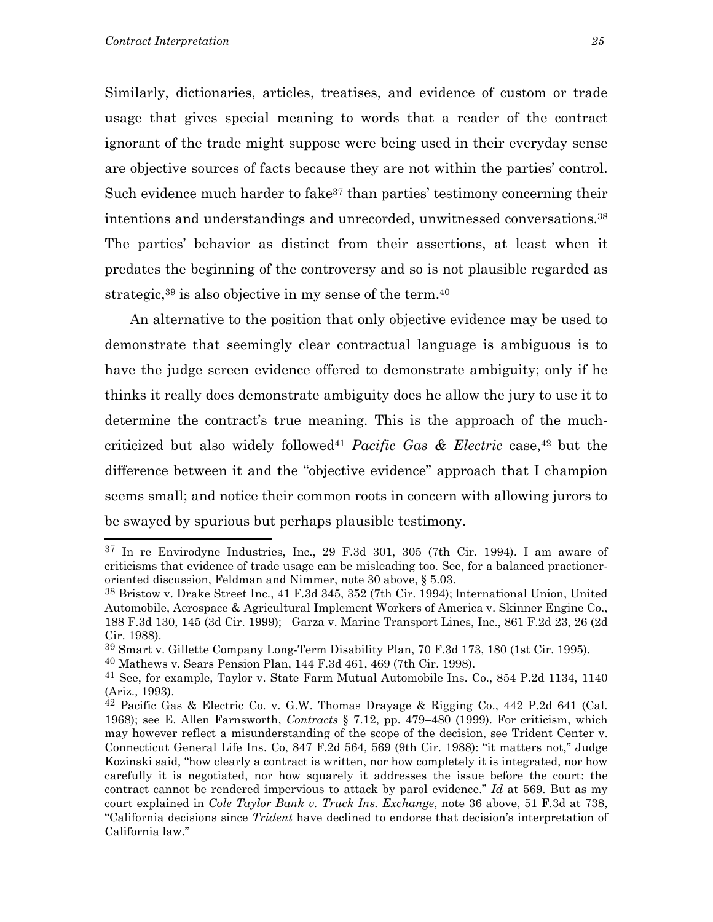Similarly, dictionaries, articles, treatises, and evidence of custom or trade usage that gives special meaning to words that a reader of the contract ignorant of the trade might suppose were being used in their everyday sense are objective sources of facts because they are not within the parties' control. Such evidence much harder to fake<sup>37</sup> than parties' testimony concerning their intentions and understandings and unrecorded, unwitnessed conversations[.38](#page-26-1) The parties' behavior as distinct from their assertions, at least when it predates the beginning of the controversy and so is not plausible regarded as strategic,  $39$  is also objective in my sense of the term.  $40$ 

An alternative to the position that only objective evidence may be used to demonstrate that seemingly clear contractual language is ambiguous is to have the judge screen evidence offered to demonstrate ambiguity; only if he thinks it really does demonstrate ambiguity does he allow the jury to use it to determine the contract's true meaning. This is the approach of the muchcriticized but also widely followe[d41](#page-26-4) *Pacific Gas & Electric* case,[42](#page-26-5) but the difference between it and the "objective evidence" approach that I champion seems small; and notice their common roots in concern with allowing jurors to be swayed by spurious but perhaps plausible testimony.

<span id="page-26-0"></span><sup>37</sup> In re Envirodyne Industries, Inc., 29 F.3d 301, 305 (7th Cir. 1994). I am aware of criticisms that evidence of trade usage can be misleading too. See, for a balanced practioneroriented discussion, Feldman and Nimmer, note 30 above, § 5.03.

<span id="page-26-1"></span><sup>38</sup> Bristow v. Drake Street Inc., 41 F.3d 345, 352 (7th Cir. 1994); lnternational Union, United Automobile, Aerospace & Agricultural Implement Workers of America v. Skinner Engine Co., 188 F.3d 130, 145 (3d Cir. 1999); Garza v. Marine Transport Lines, Inc., 861 F.2d 23, 26 (2d Cir. 1988).

<span id="page-26-2"></span><sup>39</sup> Smart v. Gillette Company Long-Term Disability Plan, 70 F.3d 173, 180 (1st Cir. 1995).

<span id="page-26-3"></span><sup>40</sup> Mathews v. Sears Pension Plan, 144 F.3d 461, 469 (7th Cir. 1998).

<span id="page-26-4"></span><sup>41</sup> See, for example, Taylor v. State Farm Mutual Automobile Ins. Co., 854 P.2d 1134, 1140 (Ariz., 1993).

<span id="page-26-5"></span> $42$  Pacific Gas & Electric Co. v. G.W. Thomas Drayage & Rigging Co.,  $442$  P.2d 641 (Cal.) 1968); see E. Allen Farnsworth, *Contracts* § 7.12, pp. 479–480 (1999). For criticism, which may however reflect a misunderstanding of the scope of the decision, see Trident Center v. Connecticut General Life Ins. Co, 847 F.2d 564, 569 (9th Cir. 1988): "it matters not," Judge Kozinski said, "how clearly a contract is written, nor how completely it is integrated, nor how carefully it is negotiated, nor how squarely it addresses the issue before the court: the contract cannot be rendered impervious to attack by parol evidence." *Id* at 569. But as my court explained in *Cole Taylor Bank v. Truck Ins. Exchange*, note 36 above, 51 F.3d at 738, "California decisions since *Trident* have declined to endorse that decision's interpretation of California law."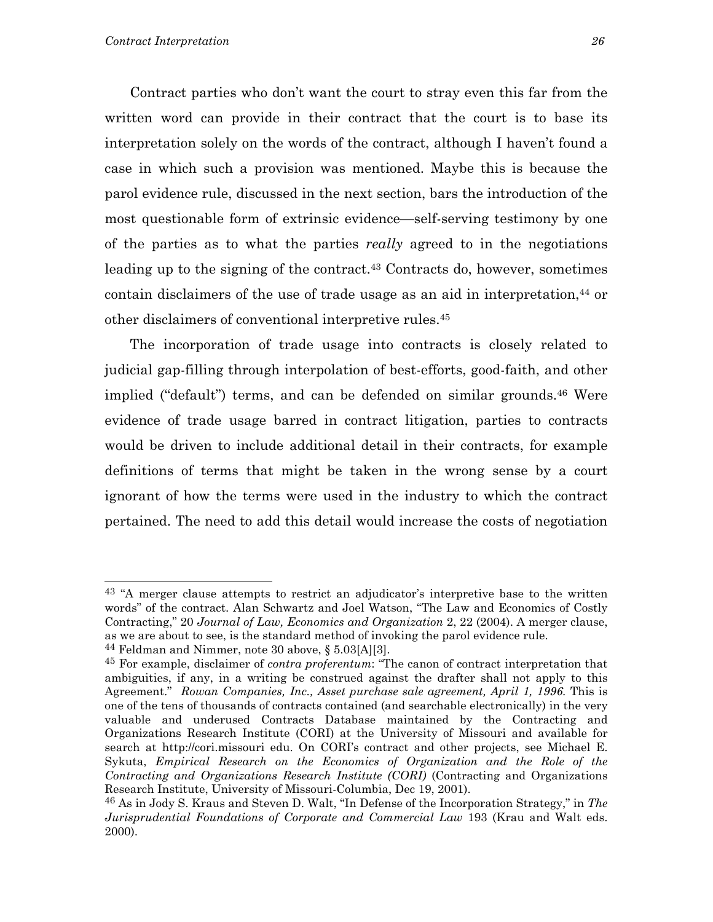Contract parties who don't want the court to stray even this far from the written word can provide in their contract that the court is to base its interpretation solely on the words of the contract, although I haven't found a case in which such a provision was mentioned. Maybe this is because the parol evidence rule, discussed in the next section, bars the introduction of the most questionable form of extrinsic evidence—self-serving testimony by one of the parties as to what the parties *really* agreed to in the negotiations leading up to the signing of the contract.<sup>43</sup> Contracts do, however, sometimes contain disclaimers of the use of trade usage as an aid in interpretation,<sup>44</sup> or other disclaimers of conventional interpretive rules.[45](#page-27-2)

The incorporation of trade usage into contracts is closely related to judicial gap-filling through interpolation of best-efforts, good-faith, and other implied ("default") terms, and can be defended on similar grounds.<sup>46</sup> Were evidence of trade usage barred in contract litigation, parties to contracts would be driven to include additional detail in their contracts, for example definitions of terms that might be taken in the wrong sense by a court ignorant of how the terms were used in the industry to which the contract pertained. The need to add this detail would increase the costs of negotiation

<span id="page-27-0"></span><sup>&</sup>lt;sup>43</sup> "A merger clause attempts to restrict an adjudicator's interpretive base to the written words" of the contract. Alan Schwartz and Joel Watson, "The Law and Economics of Costly Contracting," 20 *Journal of Law, Economics and Organization* 2, 22 (2004). A merger clause, as we are about to see, is the standard method of invoking the parol evidence rule.

<span id="page-27-1"></span><sup>44</sup> Feldman and Nimmer, note 30 above, § 5.03[A][3].

<span id="page-27-2"></span><sup>45</sup> For example, disclaimer of *contra proferentum*: "The canon of contract interpretation that ambiguities, if any, in a writing be construed against the drafter shall not apply to this Agreement." *Rowan Companies, Inc., Asset purchase sale agreement, April 1, 1996.* This is one of the tens of thousands of contracts contained (and searchable electronically) in the very valuable and underused Contracts Database maintained by the Contracting and Organizations Research Institute (CORI) at the University of Missouri and available for search at http://cori.missouri edu. On CORI's contract and other projects, see Michael E. Sykuta, *Empirical Research on the Economics of Organization and the Role of the Contracting and Organizations Research Institute (CORI)* (Contracting and Organizations Research Institute, University of Missouri-Columbia, Dec 19, 2001).

<span id="page-27-3"></span><sup>46</sup> As in Jody S. Kraus and Steven D. Walt, "In Defense of the Incorporation Strategy," in *The Jurisprudential Foundations of Corporate and Commercial Law* 193 (Krau and Walt eds. 2000).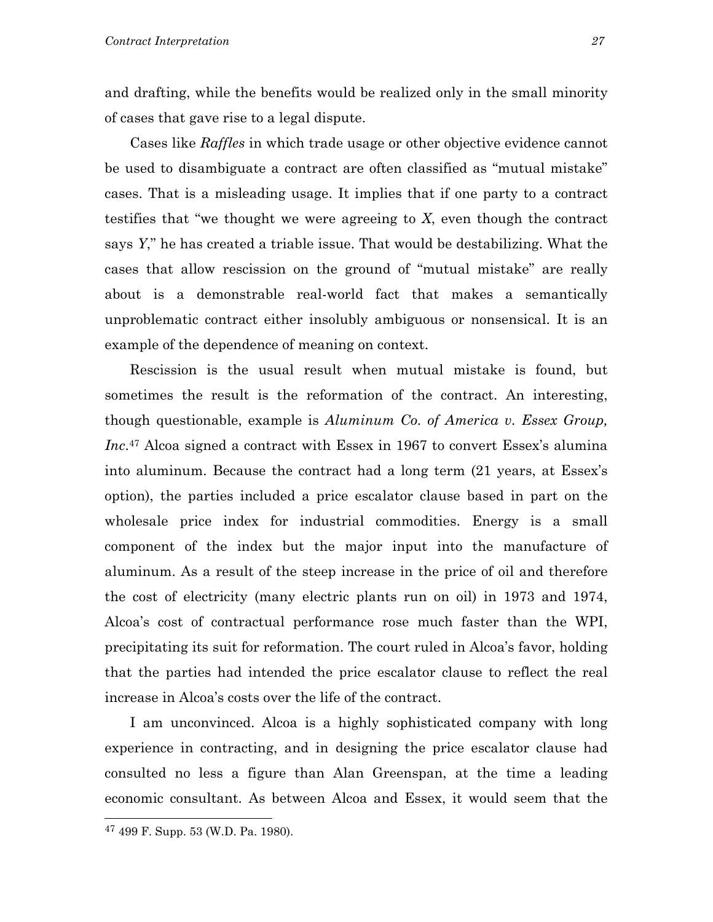and drafting, while the benefits would be realized only in the small minority of cases that gave rise to a legal dispute.

Cases like *Raffles* in which trade usage or other objective evidence cannot be used to disambiguate a contract are often classified as "mutual mistake" cases. That is a misleading usage. It implies that if one party to a contract testifies that "we thought we were agreeing to *X*, even though the contract says *Y*," he has created a triable issue. That would be destabilizing. What the cases that allow rescission on the ground of "mutual mistake" are really about is a demonstrable real-world fact that makes a semantically unproblematic contract either insolubly ambiguous or nonsensical. It is an example of the dependence of meaning on context.

Rescission is the usual result when mutual mistake is found, but sometimes the result is the reformation of the contract. An interesting, though questionable, example is *Aluminum Co. of America v. Essex Group, Inc*.[47](#page-28-0) Alcoa signed a contract with Essex in 1967 to convert Essex's alumina into aluminum. Because the contract had a long term (21 years, at Essex's option), the parties included a price escalator clause based in part on the wholesale price index for industrial commodities. Energy is a small component of the index but the major input into the manufacture of aluminum. As a result of the steep increase in the price of oil and therefore the cost of electricity (many electric plants run on oil) in 1973 and 1974, Alcoa's cost of contractual performance rose much faster than the WPI, precipitating its suit for reformation. The court ruled in Alcoa's favor, holding that the parties had intended the price escalator clause to reflect the real increase in Alcoa's costs over the life of the contract.

I am unconvinced. Alcoa is a highly sophisticated company with long experience in contracting, and in designing the price escalator clause had consulted no less a figure than Alan Greenspan, at the time a leading economic consultant. As between Alcoa and Essex, it would seem that the

<span id="page-28-0"></span><sup>47 499</sup> F. Supp. 53 (W.D. Pa. 1980).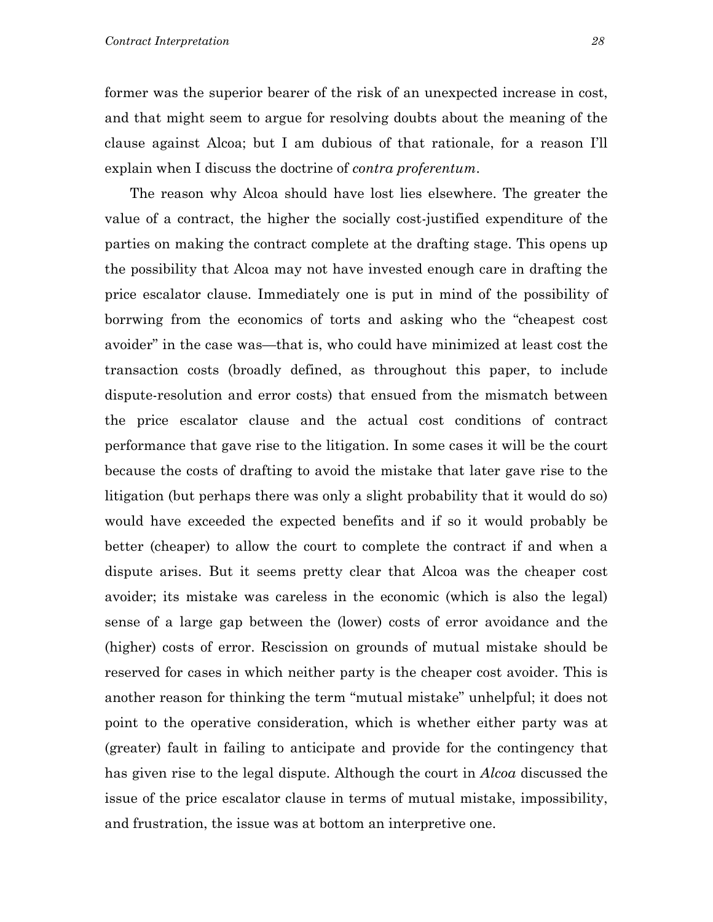former was the superior bearer of the risk of an unexpected increase in cost, and that might seem to argue for resolving doubts about the meaning of the clause against Alcoa; but I am dubious of that rationale, for a reason I'll explain when I discuss the doctrine of *contra proferentum*.

The reason why Alcoa should have lost lies elsewhere. The greater the value of a contract, the higher the socially cost-justified expenditure of the parties on making the contract complete at the drafting stage. This opens up the possibility that Alcoa may not have invested enough care in drafting the price escalator clause. Immediately one is put in mind of the possibility of borrwing from the economics of torts and asking who the "cheapest cost avoider" in the case was—that is, who could have minimized at least cost the transaction costs (broadly defined, as throughout this paper, to include dispute-resolution and error costs) that ensued from the mismatch between the price escalator clause and the actual cost conditions of contract performance that gave rise to the litigation. In some cases it will be the court because the costs of drafting to avoid the mistake that later gave rise to the litigation (but perhaps there was only a slight probability that it would do so) would have exceeded the expected benefits and if so it would probably be better (cheaper) to allow the court to complete the contract if and when a dispute arises. But it seems pretty clear that Alcoa was the cheaper cost avoider; its mistake was careless in the economic (which is also the legal) sense of a large gap between the (lower) costs of error avoidance and the (higher) costs of error. Rescission on grounds of mutual mistake should be reserved for cases in which neither party is the cheaper cost avoider. This is another reason for thinking the term "mutual mistake" unhelpful; it does not point to the operative consideration, which is whether either party was at (greater) fault in failing to anticipate and provide for the contingency that has given rise to the legal dispute. Although the court in *Alcoa* discussed the issue of the price escalator clause in terms of mutual mistake, impossibility, and frustration, the issue was at bottom an interpretive one.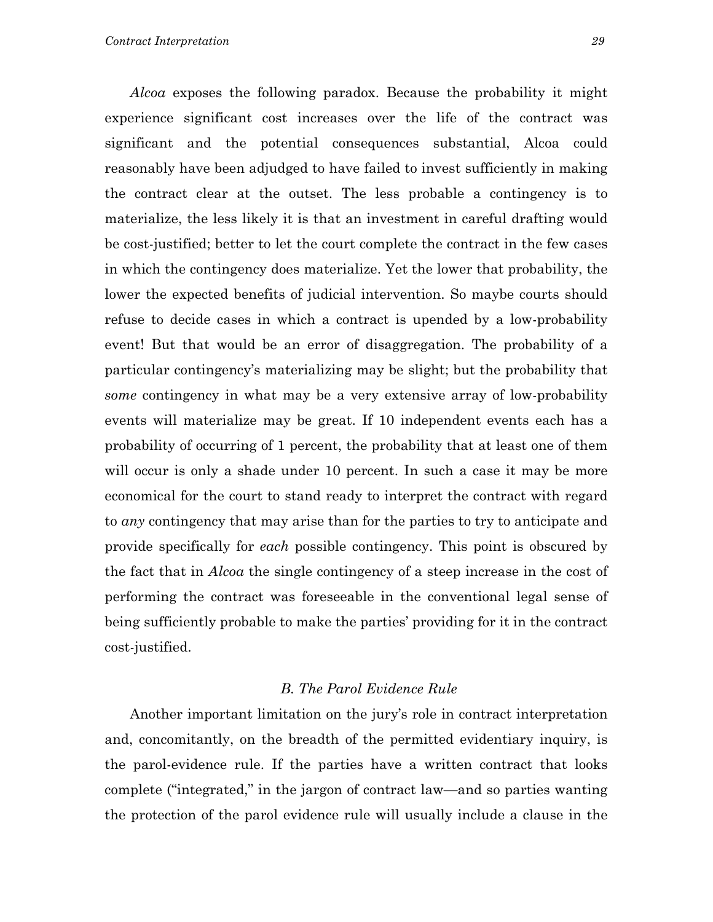*Alcoa* exposes the following paradox. Because the probability it might experience significant cost increases over the life of the contract was significant and the potential consequences substantial, Alcoa could reasonably have been adjudged to have failed to invest sufficiently in making the contract clear at the outset. The less probable a contingency is to materialize, the less likely it is that an investment in careful drafting would be cost-justified; better to let the court complete the contract in the few cases in which the contingency does materialize. Yet the lower that probability, the lower the expected benefits of judicial intervention. So maybe courts should refuse to decide cases in which a contract is upended by a low-probability event! But that would be an error of disaggregation. The probability of a particular contingency's materializing may be slight; but the probability that *some* contingency in what may be a very extensive array of low-probability events will materialize may be great. If 10 independent events each has a probability of occurring of 1 percent, the probability that at least one of them will occur is only a shade under 10 percent. In such a case it may be more economical for the court to stand ready to interpret the contract with regard to *any* contingency that may arise than for the parties to try to anticipate and provide specifically for *each* possible contingency. This point is obscured by the fact that in *Alcoa* the single contingency of a steep increase in the cost of performing the contract was foreseeable in the conventional legal sense of being sufficiently probable to make the parties' providing for it in the contract cost-justified.

#### *B. The Parol Evidence Rule*

Another important limitation on the jury's role in contract interpretation and, concomitantly, on the breadth of the permitted evidentiary inquiry, is the parol-evidence rule. If the parties have a written contract that looks complete ("integrated," in the jargon of contract law—and so parties wanting the protection of the parol evidence rule will usually include a clause in the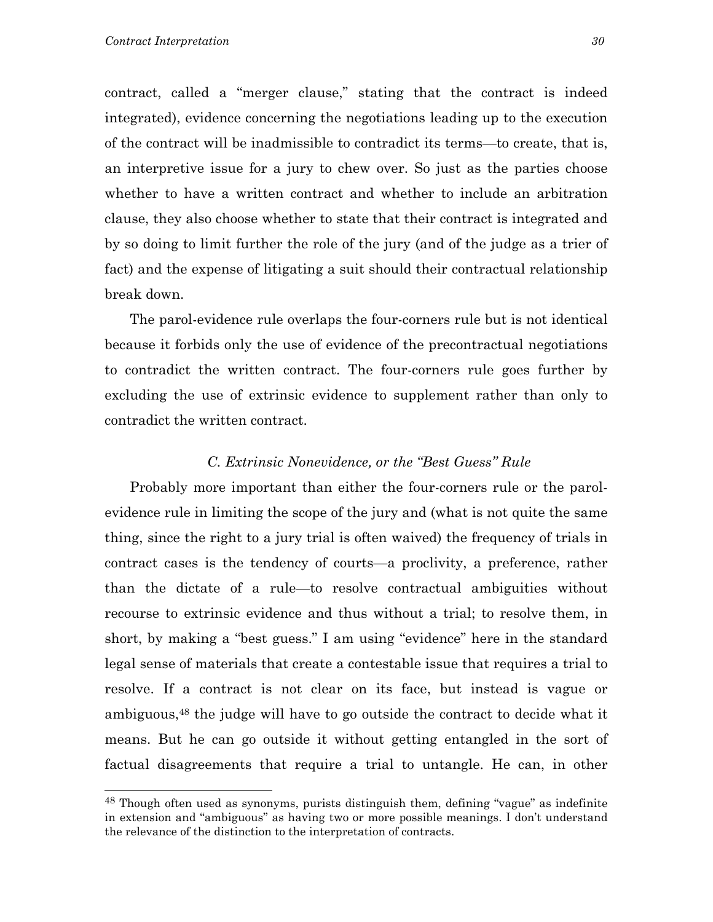contract, called a "merger clause," stating that the contract is indeed integrated), evidence concerning the negotiations leading up to the execution of the contract will be inadmissible to contradict its terms—to create, that is, an interpretive issue for a jury to chew over. So just as the parties choose whether to have a written contract and whether to include an arbitration clause, they also choose whether to state that their contract is integrated and by so doing to limit further the role of the jury (and of the judge as a trier of fact) and the expense of litigating a suit should their contractual relationship break down.

The parol-evidence rule overlaps the four-corners rule but is not identical because it forbids only the use of evidence of the precontractual negotiations to contradict the written contract. The four-corners rule goes further by excluding the use of extrinsic evidence to supplement rather than only to contradict the written contract.

#### *C. Extrinsic Nonevidence, or the "Best Guess" Rule*

Probably more important than either the four-corners rule or the parolevidence rule in limiting the scope of the jury and (what is not quite the same thing, since the right to a jury trial is often waived) the frequency of trials in contract cases is the tendency of courts—a proclivity, a preference, rather than the dictate of a rule—to resolve contractual ambiguities without recourse to extrinsic evidence and thus without a trial; to resolve them, in short, by making a "best guess." I am using "evidence" here in the standard legal sense of materials that create a contestable issue that requires a trial to resolve. If a contract is not clear on its face, but instead is vague or ambiguous,[48](#page-31-0) the judge will have to go outside the contract to decide what it means. But he can go outside it without getting entangled in the sort of factual disagreements that require a trial to untangle. He can, in other

<span id="page-31-0"></span><sup>48</sup> Though often used as synonyms, purists distinguish them, defining "vague" as indefinite in extension and "ambiguous" as having two or more possible meanings. I don't understand the relevance of the distinction to the interpretation of contracts.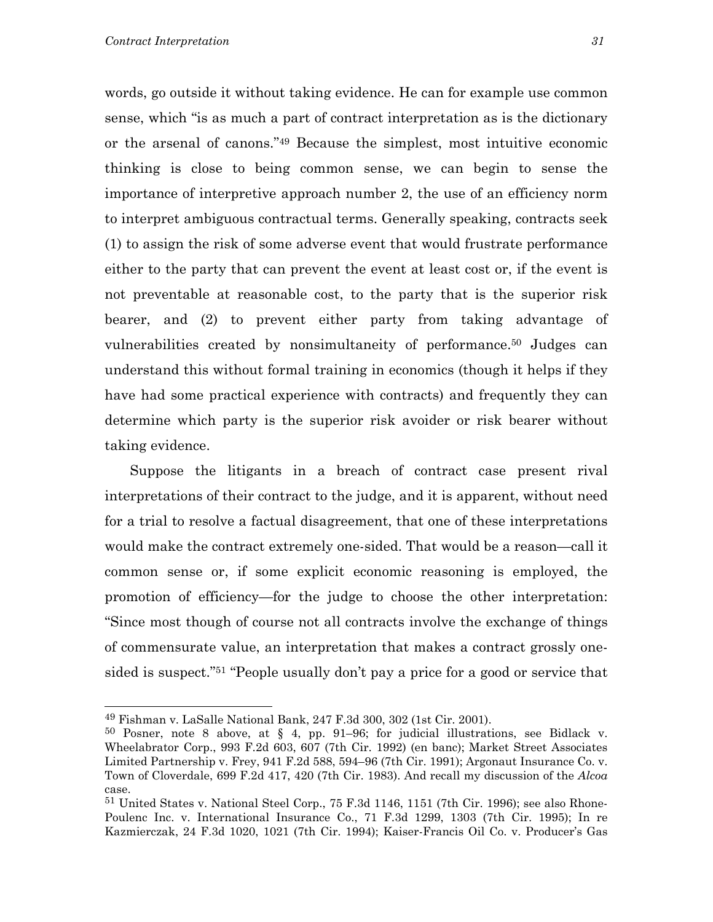<span id="page-32-2"></span>words, go outside it without taking evidence. He can for example use common sense, which "is as much a part of contract interpretation as is the dictionary or the arsenal of canons."[49](#page-32-0) Because the simplest, most intuitive economic thinking is close to being common sense, we can begin to sense the importance of interpretive approach number 2, the use of an efficiency norm to interpret ambiguous contractual terms. Generally speaking, contracts seek (1) to assign the risk of some adverse event that would frustrate performance either to the party that can prevent the event at least cost or, if the event is not preventable at reasonable cost, to the party that is the superior risk bearer, and (2) to prevent either party from taking advantage of vulnerabilities created by nonsimultaneity of performance[.50](#page-32-1) Judges can understand this without formal training in economics (though it helps if they have had some practical experience with contracts) and frequently they can determine which party is the superior risk avoider or risk bearer without taking evidence.

Suppose the litigants in a breach of contract case present rival interpretations of their contract to the judge, and it is apparent, without need for a trial to resolve a factual disagreement, that one of these interpretations would make the contract extremely one-sided. That would be a reason—call it common sense or, if some explicit economic reasoning is employed, the promotion of efficiency—for the judge to choose the other interpretation: "Since most though of course not all contracts involve the exchange of things of commensurate value, an interpretation that makes a contract grossly onesided is suspect.["51](#page-32-2) "People usually don't pay a price for a good or service that

<span id="page-32-0"></span><sup>49</sup> Fishman v. LaSalle National Bank, 247 F.3d 300, 302 (1st Cir. 2001).

<span id="page-32-1"></span><sup>&</sup>lt;sup>50</sup> Posner, note 8 above, at § 4, pp. 91–96; for judicial illustrations, see Bidlack v. Wheelabrator Corp., 993 F.2d 603, 607 (7th Cir. 1992) (en banc); Market Street Associates Limited Partnership v. Frey, 941 F.2d 588, 594–96 (7th Cir. 1991); Argonaut Insurance Co. v. Town of Cloverdale, 699 F.2d 417, 420 (7th Cir. 1983). And recall my discussion of the *Alcoa* case.

<sup>51</sup> United States v. National Steel Corp., 75 F.3d 1146, 1151 (7th Cir. 1996); see also Rhone-Poulenc Inc. v. International Insurance Co., 71 F.3d 1299, 1303 (7th Cir. 1995); In re Kazmierczak, 24 F.3d 1020, 1021 (7th Cir. 1994); Kaiser-Francis Oil Co. v. Producer's Gas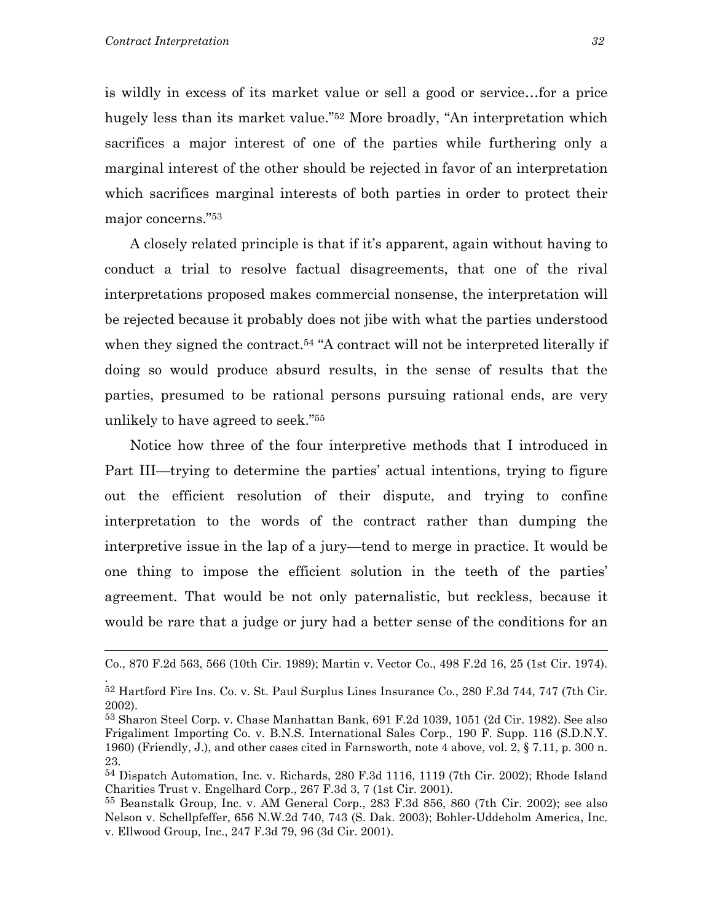.

is wildly in excess of its market value or sell a good or service…for a price hugely less than its market value.["52](#page-33-0) More broadly, "An interpretation which sacrifices a major interest of one of the parties while furthering only a marginal interest of the other should be rejected in favor of an interpretation which sacrifices marginal interests of both parties in order to protect their major concerns."[53](#page-33-1)

A closely related principle is that if it's apparent, again without having to conduct a trial to resolve factual disagreements, that one of the rival interpretations proposed makes commercial nonsense, the interpretation will be rejected because it probably does not jibe with what the parties understood when they signed the contract.<sup>54</sup> "A contract will not be interpreted literally if doing so would produce absurd results, in the sense of results that the parties, presumed to be rational persons pursuing rational ends, are very unlikely to have agreed to seek.["55](#page-33-3)

Notice how three of the four interpretive methods that I introduced in Part III—trying to determine the parties' actual intentions, trying to figure out the efficient resolution of their dispute, and trying to confine interpretation to the words of the contract rather than dumping the interpretive issue in the lap of a jury—tend to merge in practice. It would be one thing to impose the efficient solution in the teeth of the parties' agreement. That would be not only paternalistic, but reckless, because it would be rare that a judge or jury had a better sense of the conditions for an

Co., 870 F.2d 563, 566 (10th Cir. 1989); Martin v. Vector Co., 498 F.2d 16, 25 (1st Cir. 1974).

<span id="page-33-0"></span><sup>52</sup> Hartford Fire Ins. Co. v. St. Paul Surplus Lines Insurance Co., 280 F.3d 744, 747 (7th Cir. 2002).

<span id="page-33-1"></span><sup>53</sup> Sharon Steel Corp. v. Chase Manhattan Bank, 691 F.2d 1039, 1051 (2d Cir. 1982). See also Frigaliment Importing Co. v. B.N.S. International Sales Corp., 190 F. Supp. 116 (S.D.N.Y. 1960) (Friendly, J.), and other cases cited in Farnsworth, note 4 above, vol. 2, § 7.11, p. 300 n. 23.

<span id="page-33-2"></span><sup>54</sup> Dispatch Automation, Inc. v. Richards, 280 F.3d 1116, 1119 (7th Cir. 2002); Rhode Island Charities Trust v. Engelhard Corp., 267 F.3d 3, 7 (1st Cir. 2001).

<span id="page-33-3"></span><sup>55</sup> Beanstalk Group, Inc. v. AM General Corp., 283 F.3d 856, 860 (7th Cir. 2002); see also Nelson v. Schellpfeffer, 656 N.W.2d 740, 743 (S. Dak. 2003); Bohler-Uddeholm America, Inc. v. Ellwood Group, Inc., 247 F.3d 79, 96 (3d Cir. 2001).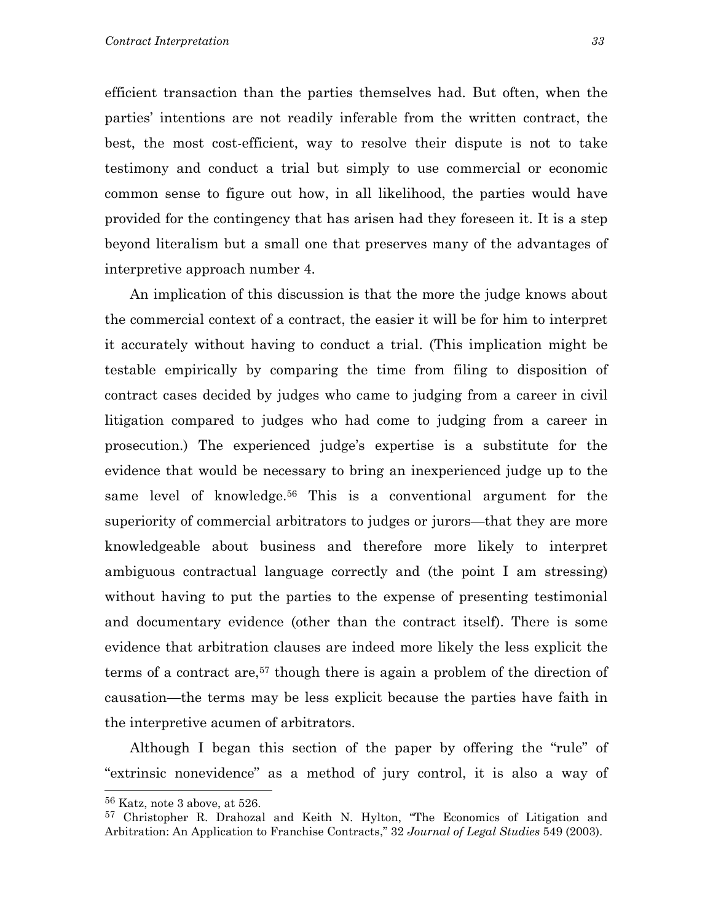efficient transaction than the parties themselves had. But often, when the parties' intentions are not readily inferable from the written contract, the best, the most cost-efficient, way to resolve their dispute is not to take testimony and conduct a trial but simply to use commercial or economic common sense to figure out how, in all likelihood, the parties would have provided for the contingency that has arisen had they foreseen it. It is a step beyond literalism but a small one that preserves many of the advantages of interpretive approach number 4.

An implication of this discussion is that the more the judge knows about the commercial context of a contract, the easier it will be for him to interpret it accurately without having to conduct a trial. (This implication might be testable empirically by comparing the time from filing to disposition of contract cases decided by judges who came to judging from a career in civil litigation compared to judges who had come to judging from a career in prosecution.) The experienced judge's expertise is a substitute for the evidence that would be necessary to bring an inexperienced judge up to the same level of knowledge.<sup>56</sup> This is a conventional argument for the superiority of commercial arbitrators to judges or jurors—that they are more knowledgeable about business and therefore more likely to interpret ambiguous contractual language correctly and (the point I am stressing) without having to put the parties to the expense of presenting testimonial and documentary evidence (other than the contract itself). There is some evidence that arbitration clauses are indeed more likely the less explicit the terms of a contract are,<sup>57</sup> though there is again a problem of the direction of causation—the terms may be less explicit because the parties have faith in the interpretive acumen of arbitrators.

Although I began this section of the paper by offering the "rule" of "extrinsic nonevidence" as a method of jury control, it is also a way of

<span id="page-34-0"></span><sup>56</sup> Katz, note 3 above, at 526.

<span id="page-34-1"></span><sup>57</sup> Christopher R. Drahozal and Keith N. Hylton, "The Economics of Litigation and Arbitration: An Application to Franchise Contracts," 32 *Journal of Legal Studies* 549 (2003).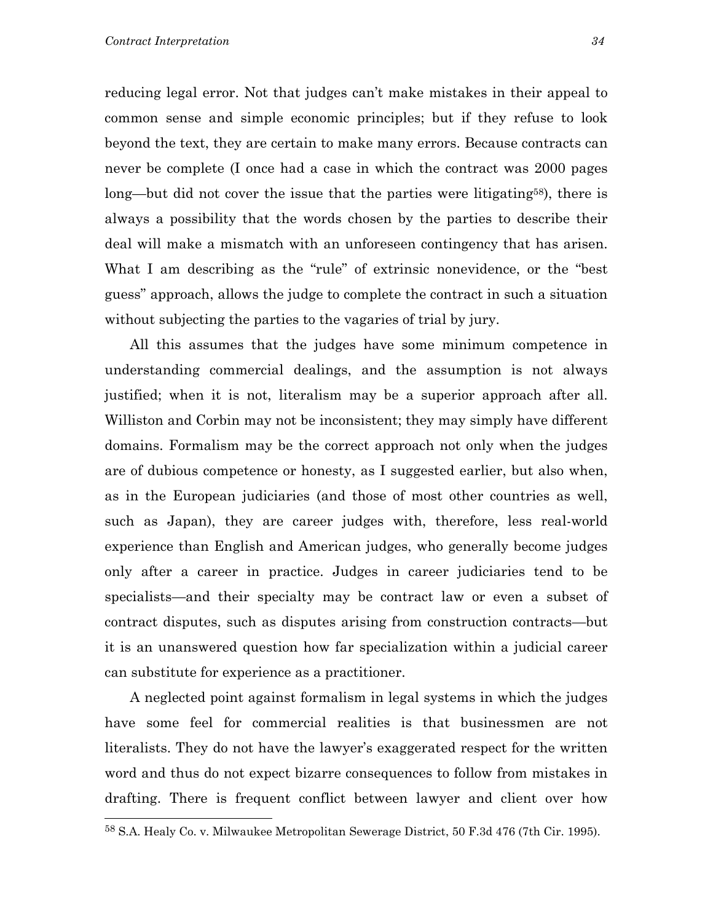reducing legal error. Not that judges can't make mistakes in their appeal to common sense and simple economic principles; but if they refuse to look beyond the text, they are certain to make many errors. Because contracts can never be complete (I once had a case in which the contract was 2000 pages long—but did not cover the issue that the parties were litigating<sup>58</sup>, there is always a possibility that the words chosen by the parties to describe their deal will make a mismatch with an unforeseen contingency that has arisen. What I am describing as the "rule" of extrinsic nonevidence, or the "best" guess" approach, allows the judge to complete the contract in such a situation without subjecting the parties to the vagaries of trial by jury.

All this assumes that the judges have some minimum competence in understanding commercial dealings, and the assumption is not always justified; when it is not, literalism may be a superior approach after all. Williston and Corbin may not be inconsistent; they may simply have different domains. Formalism may be the correct approach not only when the judges are of dubious competence or honesty, as I suggested earlier, but also when, as in the European judiciaries (and those of most other countries as well, such as Japan), they are career judges with, therefore, less real-world experience than English and American judges, who generally become judges only after a career in practice. Judges in career judiciaries tend to be specialists—and their specialty may be contract law or even a subset of contract disputes, such as disputes arising from construction contracts—but it is an unanswered question how far specialization within a judicial career can substitute for experience as a practitioner.

A neglected point against formalism in legal systems in which the judges have some feel for commercial realities is that businessmen are not literalists. They do not have the lawyer's exaggerated respect for the written word and thus do not expect bizarre consequences to follow from mistakes in drafting. There is frequent conflict between lawyer and client over how

<span id="page-35-0"></span><sup>58</sup> S.A. Healy Co. v. Milwaukee Metropolitan Sewerage District, 50 F.3d 476 (7th Cir. 1995).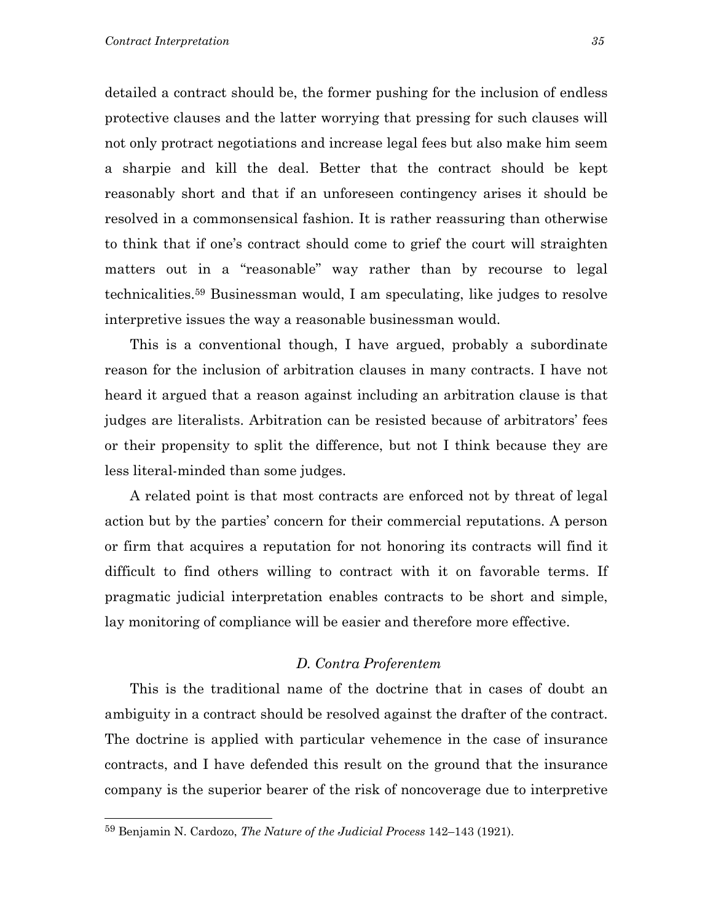detailed a contract should be, the former pushing for the inclusion of endless protective clauses and the latter worrying that pressing for such clauses will not only protract negotiations and increase legal fees but also make him seem a sharpie and kill the deal. Better that the contract should be kept reasonably short and that if an unforeseen contingency arises it should be resolved in a commonsensical fashion. It is rather reassuring than otherwise to think that if one's contract should come to grief the court will straighten matters out in a "reasonable" way rather than by recourse to legal technicalities[.59](#page-36-0) Businessman would, I am speculating, like judges to resolve interpretive issues the way a reasonable businessman would.

This is a conventional though, I have argued, probably a subordinate reason for the inclusion of arbitration clauses in many contracts. I have not heard it argued that a reason against including an arbitration clause is that judges are literalists. Arbitration can be resisted because of arbitrators' fees or their propensity to split the difference, but not I think because they are less literal-minded than some judges.

A related point is that most contracts are enforced not by threat of legal action but by the parties' concern for their commercial reputations. A person or firm that acquires a reputation for not honoring its contracts will find it difficult to find others willing to contract with it on favorable terms. If pragmatic judicial interpretation enables contracts to be short and simple, lay monitoring of compliance will be easier and therefore more effective.

#### *D. Contra Proferentem*

This is the traditional name of the doctrine that in cases of doubt an ambiguity in a contract should be resolved against the drafter of the contract. The doctrine is applied with particular vehemence in the case of insurance contracts, and I have defended this result on the ground that the insurance company is the superior bearer of the risk of noncoverage due to interpretive

<span id="page-36-0"></span><sup>59</sup> Benjamin N. Cardozo, *The Nature of the Judicial Process* 142–143 (1921).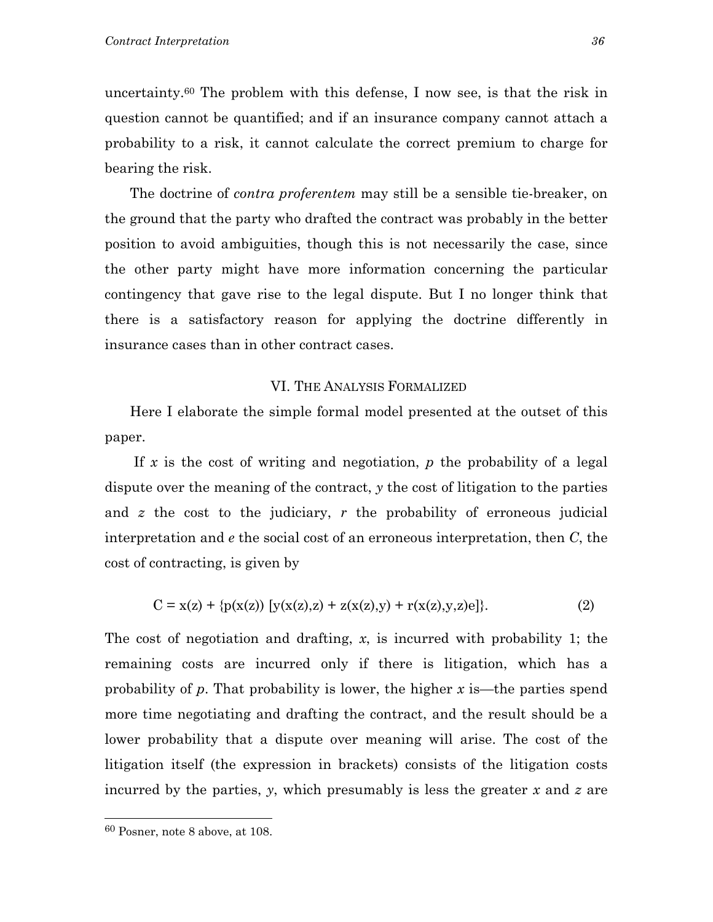uncertainty[.60](#page-37-0) The problem with this defense, I now see, is that the risk in question cannot be quantified; and if an insurance company cannot attach a probability to a risk, it cannot calculate the correct premium to charge for bearing the risk.

The doctrine of *contra proferentem* may still be a sensible tie-breaker, on the ground that the party who drafted the contract was probably in the better position to avoid ambiguities, though this is not necessarily the case, since the other party might have more information concerning the particular contingency that gave rise to the legal dispute. But I no longer think that there is a satisfactory reason for applying the doctrine differently in insurance cases than in other contract cases.

#### VI. THE ANALYSIS FORMALIZED

 Here I elaborate the simple formal model presented at the outset of this paper.

 If *x* is the cost of writing and negotiation, *p* the probability of a legal dispute over the meaning of the contract, *y* the cost of litigation to the parties and *z* the cost to the judiciary, *r* the probability of erroneous judicial interpretation and *e* the social cost of an erroneous interpretation, then *C*, the cost of contracting, is given by

$$
C = x(z) + {p(x(z)) [y(x(z), z) + z(x(z), y) + r(x(z), y, z)e]}.
$$
 (2)

The cost of negotiation and drafting, *x*, is incurred with probability 1; the remaining costs are incurred only if there is litigation, which has a probability of *p*. That probability is lower, the higher *x* is—the parties spend more time negotiating and drafting the contract, and the result should be a lower probability that a dispute over meaning will arise. The cost of the litigation itself (the expression in brackets) consists of the litigation costs incurred by the parties, *y*, which presumably is less the greater *x* and *z* are

<span id="page-37-0"></span><sup>60</sup> Posner, note 8 above, at 108.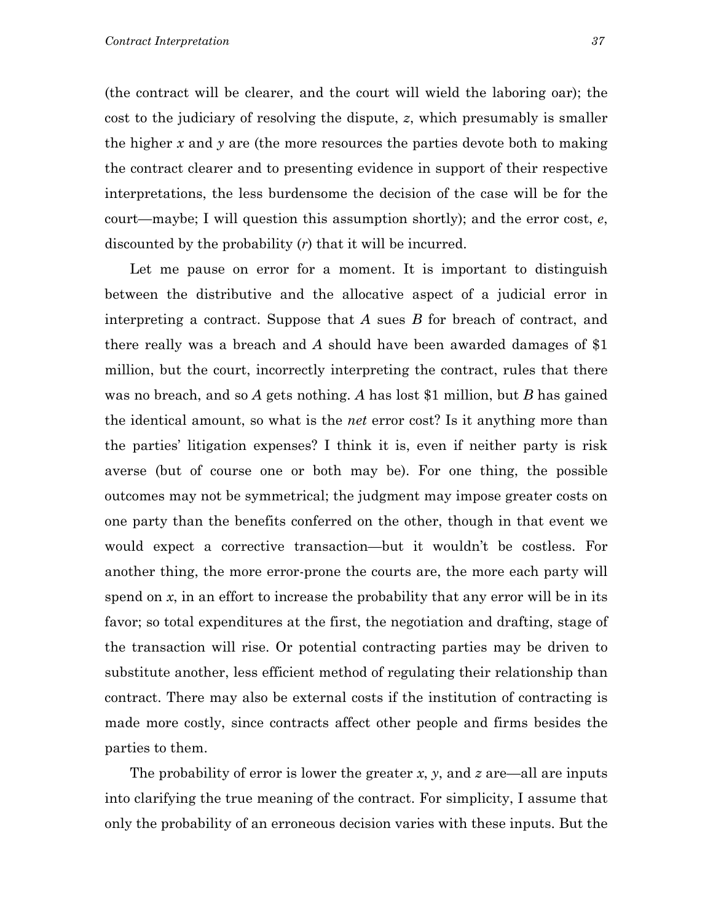(the contract will be clearer, and the court will wield the laboring oar); the cost to the judiciary of resolving the dispute, *z*, which presumably is smaller the higher *x* and *y* are (the more resources the parties devote both to making the contract clearer and to presenting evidence in support of their respective interpretations, the less burdensome the decision of the case will be for the court—maybe; I will question this assumption shortly); and the error cost, *e*, discounted by the probability (*r*) that it will be incurred.

Let me pause on error for a moment. It is important to distinguish between the distributive and the allocative aspect of a judicial error in interpreting a contract. Suppose that *A* sues *B* for breach of contract, and there really was a breach and *A* should have been awarded damages of \$1 million, but the court, incorrectly interpreting the contract, rules that there was no breach, and so *A* gets nothing. *A* has lost \$1 million, but *B* has gained the identical amount, so what is the *net* error cost? Is it anything more than the parties' litigation expenses? I think it is, even if neither party is risk averse (but of course one or both may be). For one thing, the possible outcomes may not be symmetrical; the judgment may impose greater costs on one party than the benefits conferred on the other, though in that event we would expect a corrective transaction—but it wouldn't be costless. For another thing, the more error-prone the courts are, the more each party will spend on *x*, in an effort to increase the probability that any error will be in its favor; so total expenditures at the first, the negotiation and drafting, stage of the transaction will rise. Or potential contracting parties may be driven to substitute another, less efficient method of regulating their relationship than contract. There may also be external costs if the institution of contracting is made more costly, since contracts affect other people and firms besides the parties to them.

The probability of error is lower the greater *x*, *y*, and *z* are—all are inputs into clarifying the true meaning of the contract. For simplicity, I assume that only the probability of an erroneous decision varies with these inputs. But the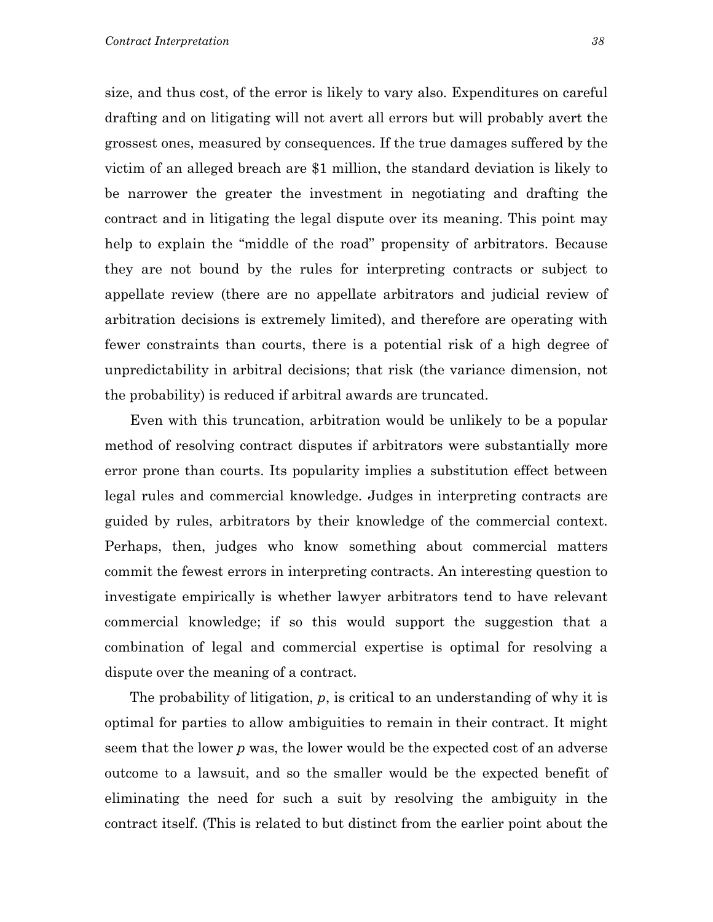size, and thus cost, of the error is likely to vary also. Expenditures on careful drafting and on litigating will not avert all errors but will probably avert the grossest ones, measured by consequences. If the true damages suffered by the victim of an alleged breach are \$1 million, the standard deviation is likely to be narrower the greater the investment in negotiating and drafting the contract and in litigating the legal dispute over its meaning. This point may help to explain the "middle of the road" propensity of arbitrators. Because they are not bound by the rules for interpreting contracts or subject to appellate review (there are no appellate arbitrators and judicial review of arbitration decisions is extremely limited), and therefore are operating with fewer constraints than courts, there is a potential risk of a high degree of unpredictability in arbitral decisions; that risk (the variance dimension, not the probability) is reduced if arbitral awards are truncated.

Even with this truncation, arbitration would be unlikely to be a popular method of resolving contract disputes if arbitrators were substantially more error prone than courts. Its popularity implies a substitution effect between legal rules and commercial knowledge. Judges in interpreting contracts are guided by rules, arbitrators by their knowledge of the commercial context. Perhaps, then, judges who know something about commercial matters commit the fewest errors in interpreting contracts. An interesting question to investigate empirically is whether lawyer arbitrators tend to have relevant commercial knowledge; if so this would support the suggestion that a combination of legal and commercial expertise is optimal for resolving a dispute over the meaning of a contract.

 The probability of litigation, *p*, is critical to an understanding of why it is optimal for parties to allow ambiguities to remain in their contract. It might seem that the lower *p* was, the lower would be the expected cost of an adverse outcome to a lawsuit, and so the smaller would be the expected benefit of eliminating the need for such a suit by resolving the ambiguity in the contract itself. (This is related to but distinct from the earlier point about the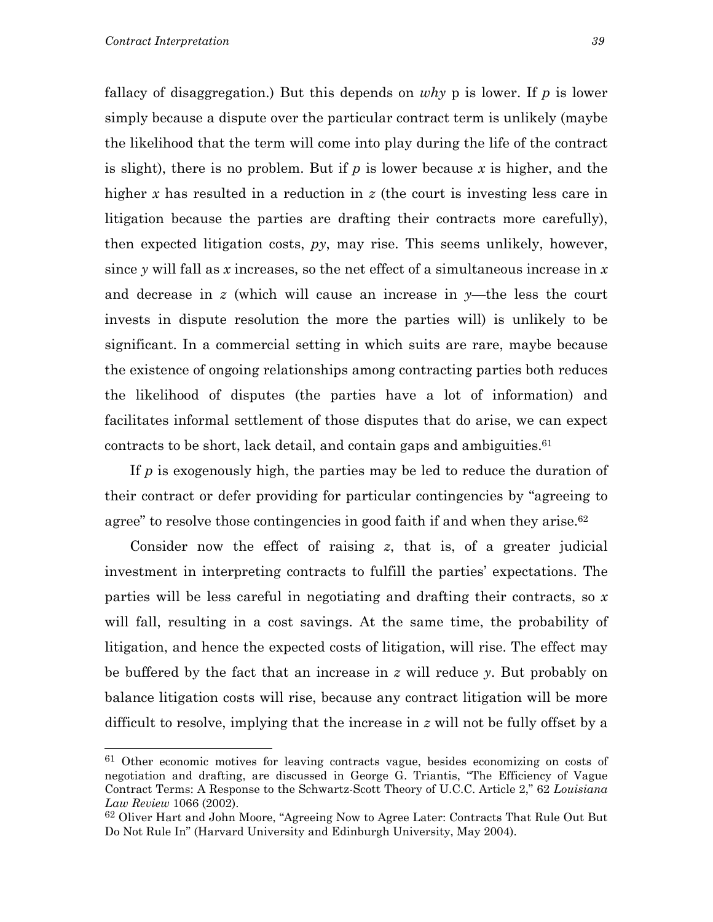fallacy of disaggregation.) But this depends on *why* p is lower. If *p* is lower simply because a dispute over the particular contract term is unlikely (maybe the likelihood that the term will come into play during the life of the contract is slight), there is no problem. But if *p* is lower because *x* is higher, and the higher *x* has resulted in a reduction in *z* (the court is investing less care in litigation because the parties are drafting their contracts more carefully), then expected litigation costs, *py*, may rise. This seems unlikely, however, since *y* will fall as *x* increases, so the net effect of a simultaneous increase in *x* and decrease in *z* (which will cause an increase in *y*—the less the court invests in dispute resolution the more the parties will) is unlikely to be significant. In a commercial setting in which suits are rare, maybe because the existence of ongoing relationships among contracting parties both reduces the likelihood of disputes (the parties have a lot of information) and facilitates informal settlement of those disputes that do arise, we can expect contracts to be short, lack detail, and contain gaps and ambiguities[.61](#page-40-0)

 If *p* is exogenously high, the parties may be led to reduce the duration of their contract or defer providing for particular contingencies by "agreeing to agree" to resolve those contingencies in good faith if and when they arise.<sup>[62](#page-40-1)</sup>

 Consider now the effect of raising *z*, that is, of a greater judicial investment in interpreting contracts to fulfill the parties' expectations. The parties will be less careful in negotiating and drafting their contracts, so *x* will fall, resulting in a cost savings. At the same time, the probability of litigation, and hence the expected costs of litigation, will rise. The effect may be buffered by the fact that an increase in *z* will reduce *y*. But probably on balance litigation costs will rise, because any contract litigation will be more difficult to resolve, implying that the increase in *z* will not be fully offset by a

<span id="page-40-0"></span><sup>&</sup>lt;sup>61</sup> Other economic motives for leaving contracts vague, besides economizing on costs of negotiation and drafting, are discussed in George G. Triantis, "The Efficiency of Vague Contract Terms: A Response to the Schwartz-Scott Theory of U.C.C. Article 2," 62 *Louisiana Law Review* 1066 (2002).

<span id="page-40-1"></span><sup>62</sup> Oliver Hart and John Moore, "Agreeing Now to Agree Later: Contracts That Rule Out But Do Not Rule In" (Harvard University and Edinburgh University, May 2004).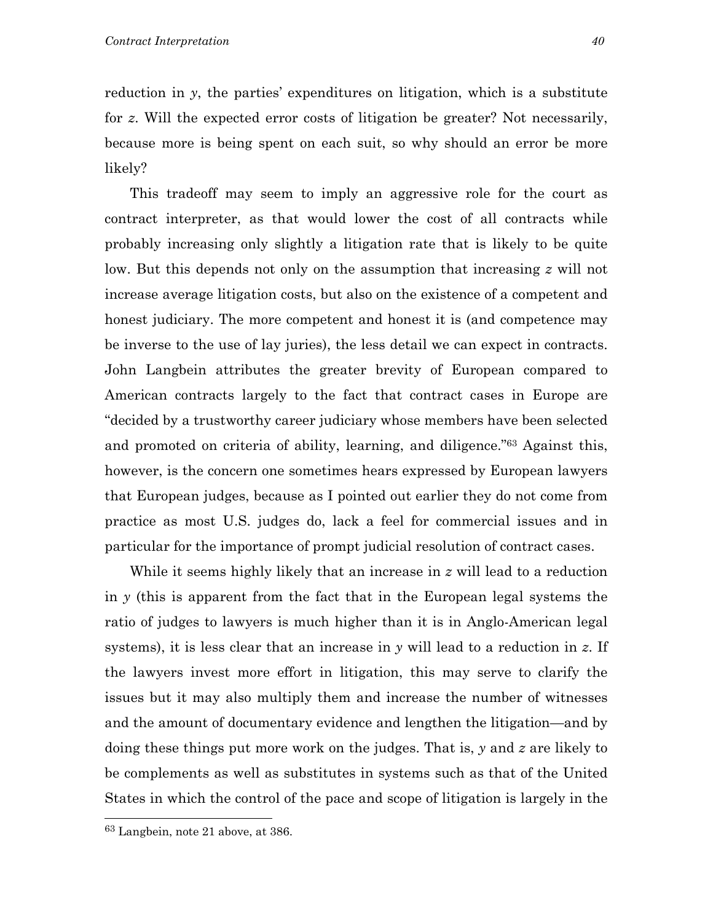reduction in *y*, the parties' expenditures on litigation, which is a substitute for *z*. Will the expected error costs of litigation be greater? Not necessarily, because more is being spent on each suit, so why should an error be more likely?

 This tradeoff may seem to imply an aggressive role for the court as contract interpreter, as that would lower the cost of all contracts while probably increasing only slightly a litigation rate that is likely to be quite low. But this depends not only on the assumption that increasing *z* will not increase average litigation costs, but also on the existence of a competent and honest judiciary. The more competent and honest it is (and competence may be inverse to the use of lay juries), the less detail we can expect in contracts. John Langbein attributes the greater brevity of European compared to American contracts largely to the fact that contract cases in Europe are "decided by a trustworthy career judiciary whose members have been selected and promoted on criteria of ability, learning, and diligence."[63](#page-41-0) Against this, however, is the concern one sometimes hears expressed by European lawyers that European judges, because as I pointed out earlier they do not come from practice as most U.S. judges do, lack a feel for commercial issues and in particular for the importance of prompt judicial resolution of contract cases.

 While it seems highly likely that an increase in *z* will lead to a reduction in *y* (this is apparent from the fact that in the European legal systems the ratio of judges to lawyers is much higher than it is in Anglo-American legal systems), it is less clear that an increase in *y* will lead to a reduction in *z*. If the lawyers invest more effort in litigation, this may serve to clarify the issues but it may also multiply them and increase the number of witnesses and the amount of documentary evidence and lengthen the litigation—and by doing these things put more work on the judges. That is, *y* and *z* are likely to be complements as well as substitutes in systems such as that of the United States in which the control of the pace and scope of litigation is largely in the

<span id="page-41-0"></span><sup>63</sup> Langbein, note 21 above, at 386.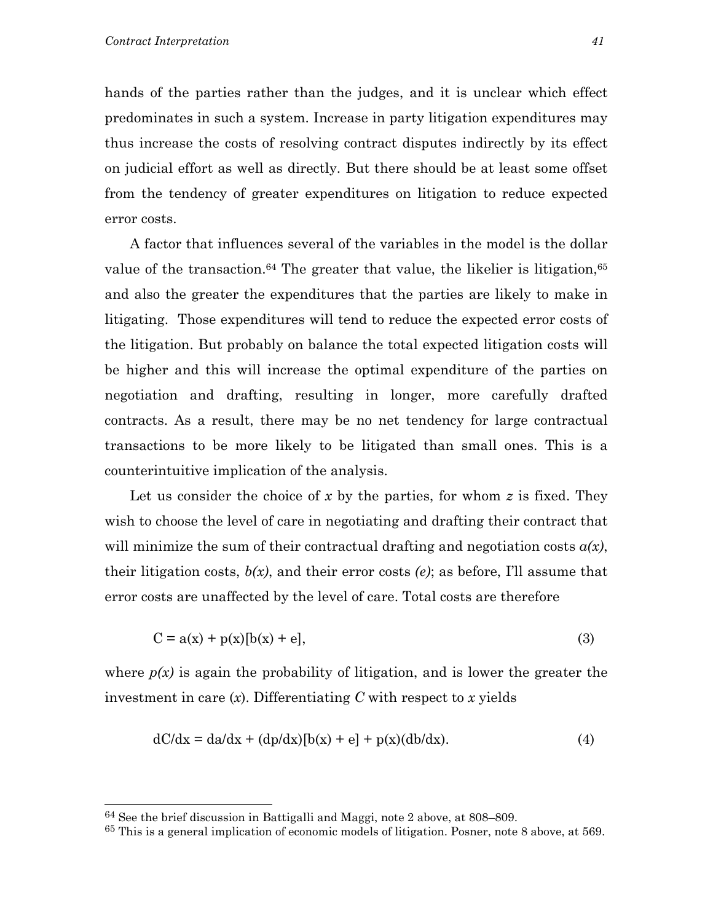hands of the parties rather than the judges, and it is unclear which effect predominates in such a system. Increase in party litigation expenditures may thus increase the costs of resolving contract disputes indirectly by its effect on judicial effort as well as directly. But there should be at least some offset from the tendency of greater expenditures on litigation to reduce expected error costs.

 A factor that influences several of the variables in the model is the dollar value of the transaction.<sup>64</sup> The greater that value, the likelier is litigation,<sup>65</sup> and also the greater the expenditures that the parties are likely to make in litigating. Those expenditures will tend to reduce the expected error costs of the litigation. But probably on balance the total expected litigation costs will be higher and this will increase the optimal expenditure of the parties on negotiation and drafting, resulting in longer, more carefully drafted contracts. As a result, there may be no net tendency for large contractual transactions to be more likely to be litigated than small ones. This is a counterintuitive implication of the analysis.

 Let us consider the choice of *x* by the parties, for whom *z* is fixed. They wish to choose the level of care in negotiating and drafting their contract that will minimize the sum of their contractual drafting and negotiation costs  $a(x)$ , their litigation costs, *b(x)*, and their error costs *(e)*; as before, I'll assume that error costs are unaffected by the level of care. Total costs are therefore

$$
C = a(x) + p(x)[b(x) + e],
$$
 (3)

where  $p(x)$  is again the probability of litigation, and is lower the greater the investment in care (*x*). Differentiating *C* with respect to *x* yields

$$
dC/dx = da/dx + (dp/dx)[b(x) + e] + p(x)(db/dx).
$$
 (4)

<span id="page-42-0"></span><sup>64</sup> See the brief discussion in Battigalli and Maggi, note 2 above, at 808–809.

<span id="page-42-1"></span><sup>65</sup> This is a general implication of economic models of litigation. Posner, note 8 above, at 569.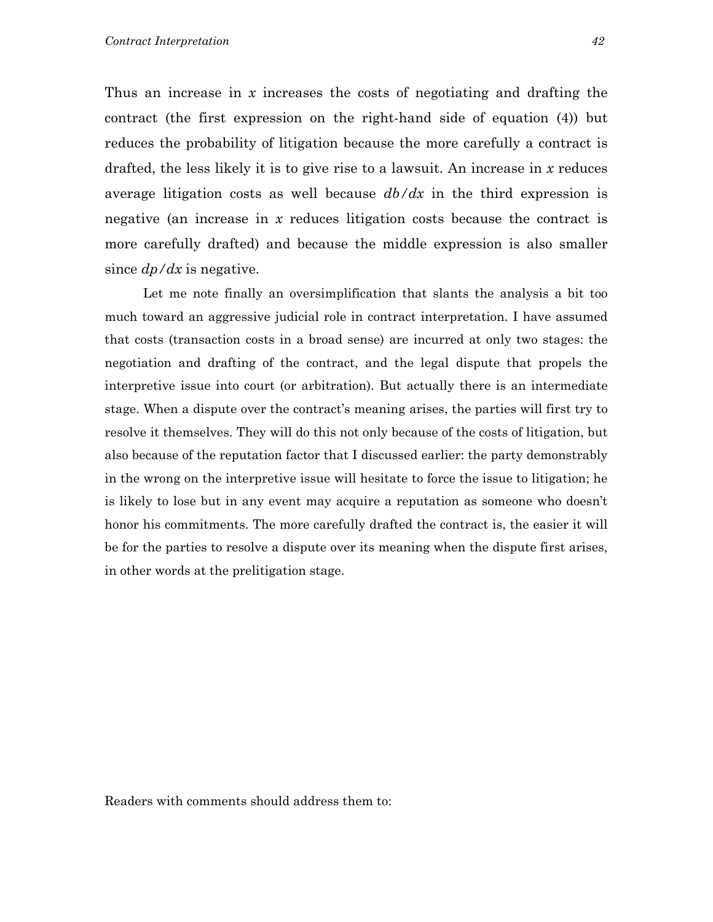Thus an increase in *x* increases the costs of negotiating and drafting the contract (the first expression on the right-hand side of equation (4)) but reduces the probability of litigation because the more carefully a contract is drafted, the less likely it is to give rise to a lawsuit. An increase in *x* reduces average litigation costs as well because *db/dx* in the third expression is negative (an increase in *x* reduces litigation costs because the contract is more carefully drafted) and because the middle expression is also smaller since *dp/dx* is negative.

 Let me note finally an oversimplification that slants the analysis a bit too much toward an aggressive judicial role in contract interpretation. I have assumed that costs (transaction costs in a broad sense) are incurred at only two stages: the negotiation and drafting of the contract, and the legal dispute that propels the interpretive issue into court (or arbitration). But actually there is an intermediate stage. When a dispute over the contract's meaning arises, the parties will first try to resolve it themselves. They will do this not only because of the costs of litigation, but also because of the reputation factor that I discussed earlier: the party demonstrably in the wrong on the interpretive issue will hesitate to force the issue to litigation; he is likely to lose but in any event may acquire a reputation as someone who doesn't honor his commitments. The more carefully drafted the contract is, the easier it will be for the parties to resolve a dispute over its meaning when the dispute first arises, in other words at the prelitigation stage.

Readers with comments should address them to: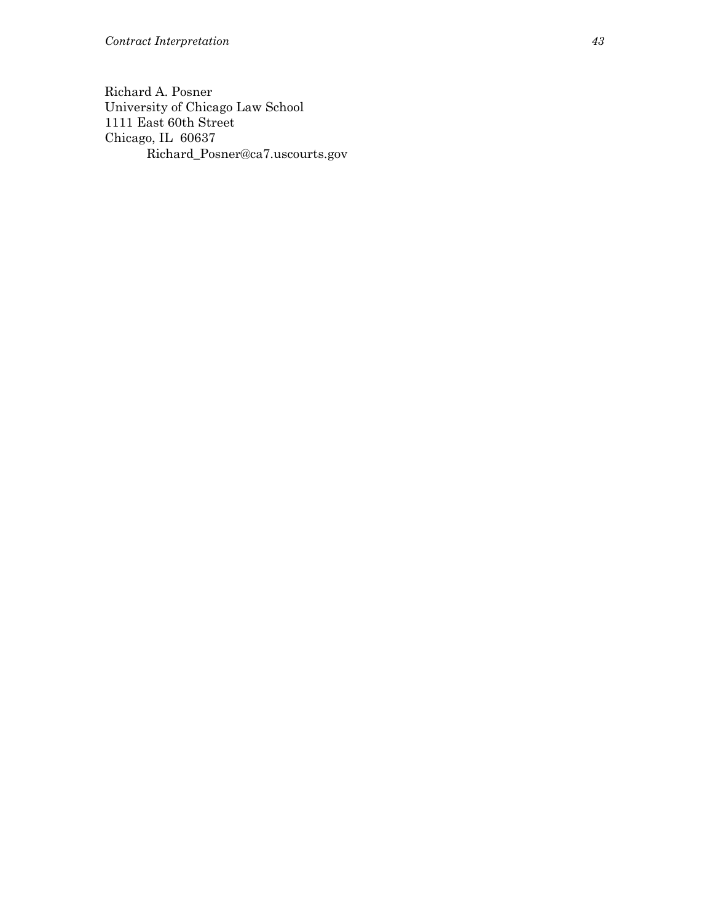Richard A. Posner University of Chicago Law School 1111 East 60th Street Chicago, IL 60637 Richard\_Posner@ca7.uscourts.gov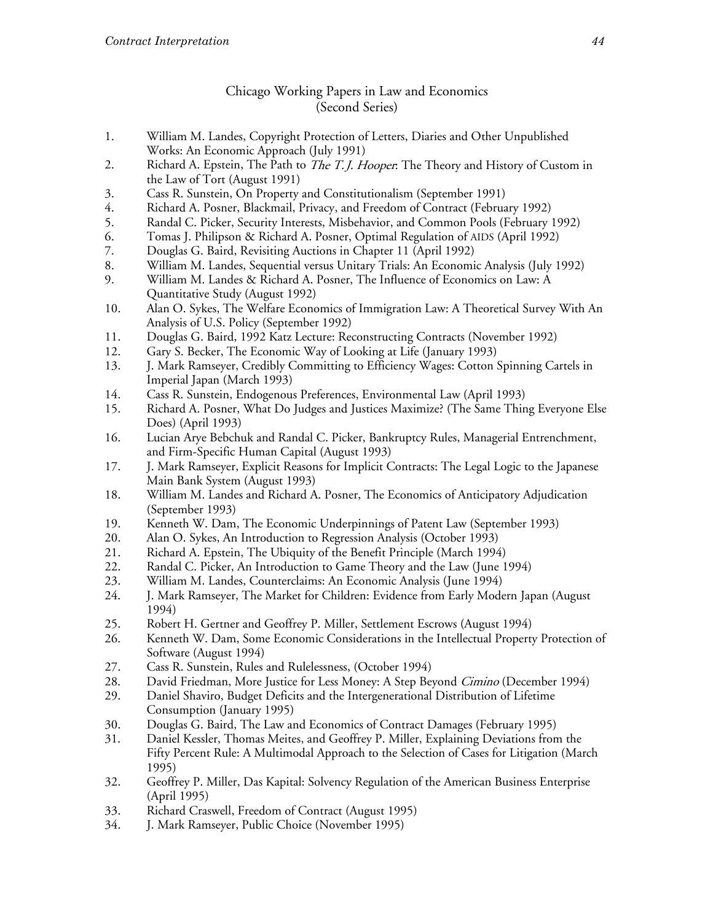#### Chicago Working Papers in Law and Economics (Second Series)

- 1. William M. Landes, Copyright Protection of Letters, Diaries and Other Unpublished Works: An Economic Approach (July 1991)
- 2. Richard A. Epstein, The Path to *The T.J. Hooper*: The Theory and History of Custom in the Law of Tort (August 1991)
- Cass R. Sunstein, On Property and Constitutionalism (September 1991) 3.
- 4. Richard A. Posner, Blackmail, Privacy, and Freedom of Contract (February 1992)
- 5. Randal C. Picker, Security Interests, Misbehavior, and Common Pools (February 1992)
- 6. Tomas J. Philipson & Richard A. Posner, Optimal Regulation of AIDS (April 1992)
- 7. Douglas G. Baird, Revisiting Auctions in Chapter 11 (April 1992)
- 8. William M. Landes, Sequential versus Unitary Trials: An Economic Analysis (July 1992)
- 9. William M. Landes & Richard A. Posner, The Influence of Economics on Law: A Quantitative Study (August 1992)
- Alan O. Sykes, The Welfare Economics of Immigration Law: A Theoretical Survey With An 10. Analysis of U.S. Policy (September 1992)
- Douglas G. Baird, 1992 Katz Lecture: Reconstructing Contracts (November 1992) 11.
- 12. Gary S. Becker, The Economic Way of Looking at Life (January 1993)
- 13. J. Mark Ramseyer, Credibly Committing to Efficiency Wages: Cotton Spinning Cartels in Imperial Japan (March 1993)
- 14. Cass R. Sunstein, Endogenous Preferences, Environmental Law (April 1993)
- 15. Richard A. Posner, What Do Judges and Justices Maximize? (The Same Thing Everyone Else Does) (April 1993)
- 16. Lucian Arye Bebchuk and Randal C. Picker, Bankruptcy Rules, Managerial Entrenchment, and Firm-Specific Human Capital (August 1993)
- 17. J. Mark Ramseyer, Explicit Reasons for Implicit Contracts: The Legal Logic to the Japanese Main Bank System (August 1993)
- William M. Landes and Richard A. Posner, The Economics of Anticipatory Adjudication 18. (September 1993)
- 19. Kenneth W. Dam, The Economic Underpinnings of Patent Law (September 1993)
- 20. Alan O. Sykes, An Introduction to Regression Analysis (October 1993)
- Richard A. Epstein, The Ubiquity of the Benefit Principle (March 1994) 21.
- 22. Randal C. Picker, An Introduction to Game Theory and the Law (June 1994)
- William M. Landes, Counterclaims: An Economic Analysis (June 1994) 23.
- 24. J. Mark Ramseyer, The Market for Children: Evidence from Early Modern Japan (August 1994)
- 25. Robert H. Gertner and Geoffrey P. Miller, Settlement Escrows (August 1994)
- Kenneth W. Dam, Some Economic Considerations in the Intellectual Property Protection of 26. Software (August 1994)
- 27. Cass R. Sunstein, Rules and Rulelessness, (October 1994)
- 28. David Friedman, More Justice for Less Money: A Step Beyond Cimino (December 1994)
- 29. Daniel Shaviro, Budget Deficits and the Intergenerational Distribution of Lifetime Consumption (January 1995)
- 30. Douglas G. Baird, The Law and Economics of Contract Damages (February 1995)
- Daniel Kessler, Thomas Meites, and Geoffrey P. Miller, Explaining Deviations from the 31. Fifty Percent Rule: A Multimodal Approach to the Selection of Cases for Litigation (March 1995)
- 32. Geoffrey P. Miller, Das Kapital: Solvency Regulation of the American Business Enterprise (April 1995)
- Richard Craswell, Freedom of Contract (August 1995) 33.
- 34. J. Mark Ramseyer, Public Choice (November 1995)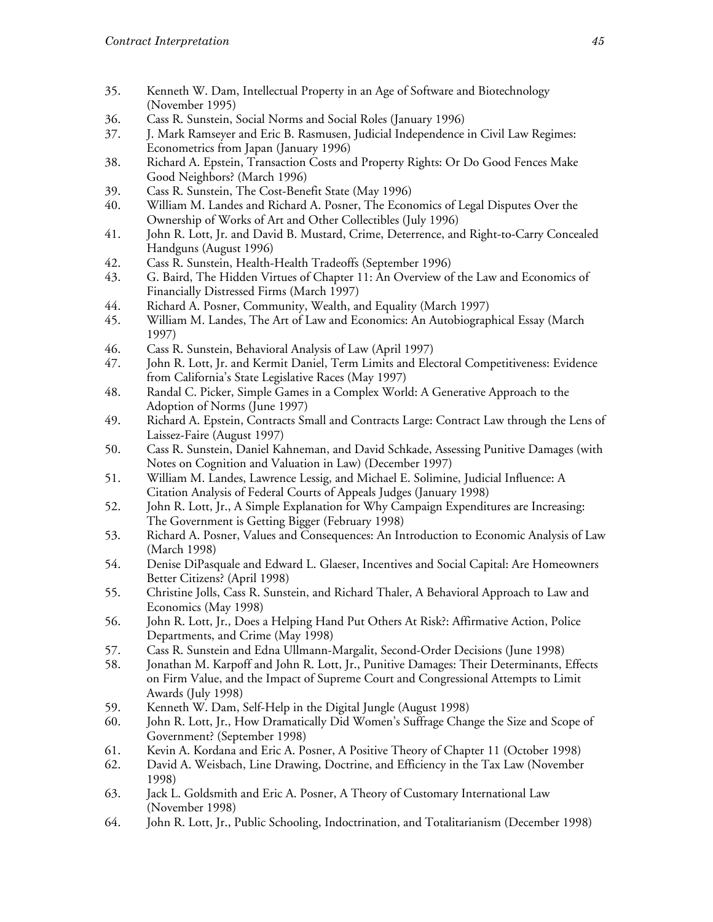- 35. Kenneth W. Dam, Intellectual Property in an Age of Software and Biotechnology (November 1995)
- Cass R. Sunstein, Social Norms and Social Roles (January 1996) 36.
- J. Mark Ramseyer and Eric B. Rasmusen, Judicial Independence in Civil Law Regimes:  $37.$ Econometrics from Japan (January 1996)
- 38. Richard A. Epstein, Transaction Costs and Property Rights: Or Do Good Fences Make Good Neighbors? (March 1996)
- 39. Cass R. Sunstein, The Cost-Benefit State (May 1996)
- 40. William M. Landes and Richard A. Posner, The Economics of Legal Disputes Over the Ownership of Works of Art and Other Collectibles (July 1996)
- 41. John R. Lott, Jr. and David B. Mustard, Crime, Deterrence, and Right-to-Carry Concealed Handguns (August 1996)
- Cass R. Sunstein, Health-Health Tradeoffs (September 1996) 42.
- 43. G. Baird, The Hidden Virtues of Chapter 11: An Overview of the Law and Economics of Financially Distressed Firms (March 1997)
- 44. Richard A. Posner, Community, Wealth, and Equality (March 1997)
- 45. William M. Landes, The Art of Law and Economics: An Autobiographical Essay (March 1997)
- 46. Cass R. Sunstein, Behavioral Analysis of Law (April 1997)
- 47. John R. Lott, Jr. and Kermit Daniel, Term Limits and Electoral Competitiveness: Evidence from California's State Legislative Races (May 1997)
- Randal C. Picker, Simple Games in a Complex World: A Generative Approach to the 48. Adoption of Norms (June 1997)
- 49. Richard A. Epstein, Contracts Small and Contracts Large: Contract Law through the Lens of Laissez-Faire (August 1997)
- Cass R. Sunstein, Daniel Kahneman, and David Schkade, Assessing Punitive Damages (with 50. Notes on Cognition and Valuation in Law) (December 1997)
- William M. Landes, Lawrence Lessig, and Michael E. Solimine, Judicial Influence: A 51. Citation Analysis of Federal Courts of Appeals Judges (January 1998)
- 52. John R. Lott, Jr., A Simple Explanation for Why Campaign Expenditures are Increasing: The Government is Getting Bigger (February 1998)
- Richard A. Posner, Values and Consequences: An Introduction to Economic Analysis of Law 53. (March 1998)
- 54. Denise DiPasquale and Edward L. Glaeser, Incentives and Social Capital: Are Homeowners Better Citizens? (April 1998)
- 55. Christine Jolls, Cass R. Sunstein, and Richard Thaler, A Behavioral Approach to Law and Economics (May 1998)
- John R. Lott, Jr., Does a Helping Hand Put Others At Risk?: Affirmative Action, Police 56. Departments, and Crime (May 1998)
- 57. Cass R. Sunstein and Edna Ullmann-Margalit, Second-Order Decisions (June 1998)
- 58. Jonathan M. Karpoff and John R. Lott, Jr., Punitive Damages: Their Determinants, Effects on Firm Value, and the Impact of Supreme Court and Congressional Attempts to Limit Awards (July 1998)
- 59. Kenneth W. Dam, Self-Help in the Digital Jungle (August 1998)
- 60. John R. Lott, Jr., How Dramatically Did Women's Suffrage Change the Size and Scope of Government? (September 1998)
- 61. Kevin A. Kordana and Eric A. Posner, A Positive Theory of Chapter 11 (October 1998)
- David A. Weisbach, Line Drawing, Doctrine, and Efficiency in the Tax Law (November 62. 1998)
- 63. Jack L. Goldsmith and Eric A. Posner, A Theory of Customary International Law (November 1998)
- 64. John R. Lott, Jr., Public Schooling, Indoctrination, and Totalitarianism (December 1998)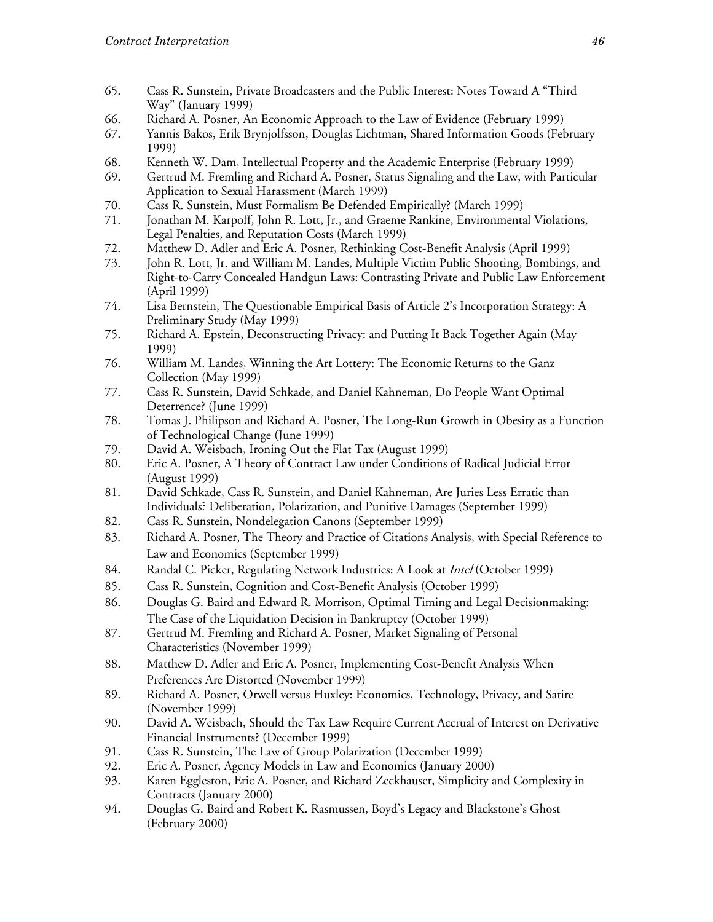- Cass R. Sunstein, Private Broadcasters and the Public Interest: Notes Toward A "Third 65. Way" (January 1999)
- Richard A. Posner, An Economic Approach to the Law of Evidence (February 1999) 66.
- Yannis Bakos, Erik Brynjolfsson, Douglas Lichtman, Shared Information Goods (February 67. 1999)
- Kenneth W. Dam, Intellectual Property and the Academic Enterprise (February 1999) 68.
- 69. Gertrud M. Fremling and Richard A. Posner, Status Signaling and the Law, with Particular Application to Sexual Harassment (March 1999)
- 70. Cass R. Sunstein, Must Formalism Be Defended Empirically? (March 1999)
- 71. Jonathan M. Karpoff, John R. Lott, Jr., and Graeme Rankine, Environmental Violations, Legal Penalties, and Reputation Costs (March 1999)
- 72. Matthew D. Adler and Eric A. Posner, Rethinking Cost-Benefit Analysis (April 1999)
- 73. John R. Lott, Jr. and William M. Landes, Multiple Victim Public Shooting, Bombings, and Right-to-Carry Concealed Handgun Laws: Contrasting Private and Public Law Enforcement (April 1999)
- 74. Lisa Bernstein, The Questionable Empirical Basis of Article 2's Incorporation Strategy: A Preliminary Study (May 1999)
- 75. Richard A. Epstein, Deconstructing Privacy: and Putting It Back Together Again (May 1999)
- 76. William M. Landes, Winning the Art Lottery: The Economic Returns to the Ganz Collection (May 1999)
- Cass R. Sunstein, David Schkade, and Daniel Kahneman, Do People Want Optimal 77. Deterrence? (June 1999)
- Tomas J. Philipson and Richard A. Posner, The Long-Run Growth in Obesity as a Function 78. of Technological Change (June 1999)
- 79. David A. Weisbach, Ironing Out the Flat Tax (August 1999)
- Eric A. Posner, A Theory of Contract Law under Conditions of Radical Judicial Error 80. (August 1999)
- 81. David Schkade, Cass R. Sunstein, and Daniel Kahneman, Are Juries Less Erratic than Individuals? Deliberation, Polarization, and Punitive Damages (September 1999)
- 82. Cass R. Sunstein, Nondelegation Canons (September 1999)
- 83. Richard A. Posner, The Theory and Practice of Citations Analysis, with Special Reference to Law and Economics (September 1999)
- Randal C. Picker, Regulating Network Industries: A Look at *Intel* (October 1999) 84.
- 85. Cass R. Sunstein, Cognition and Cost-Benefit Analysis (October 1999)
- 86. Douglas G. Baird and Edward R. Morrison, Optimal Timing and Legal Decisionmaking: The Case of the Liquidation Decision in Bankruptcy (October 1999)
- 87. Gertrud M. Fremling and Richard A. Posner, Market Signaling of Personal Characteristics (November 1999)
- 88. Matthew D. Adler and Eric A. Posner, Implementing Cost-Benefit Analysis When Preferences Are Distorted (November 1999)
- Richard A. Posner, Orwell versus Huxley: Economics, Technology, Privacy, and Satire 89. (November 1999)
- David A. Weisbach, Should the Tax Law Require Current Accrual of Interest on Derivative 90. Financial Instruments? (December 1999)
- 91. Cass R. Sunstein, The Law of Group Polarization (December 1999)
- Eric A. Posner, Agency Models in Law and Economics (January 2000) 92.
- 93. Karen Eggleston, Eric A. Posner, and Richard Zeckhauser, Simplicity and Complexity in Contracts (January 2000)
- 94. Douglas G. Baird and Robert K. Rasmussen, Boyd's Legacy and Blackstone's Ghost (February 2000)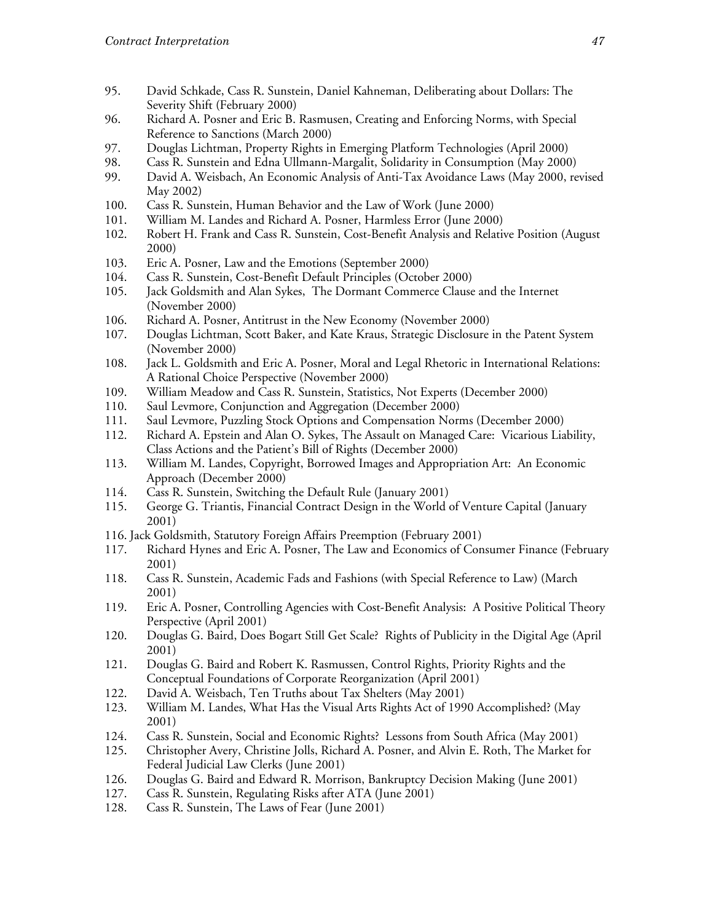- 95. David Schkade, Cass R. Sunstein, Daniel Kahneman, Deliberating about Dollars: The Severity Shift (February 2000)
- 96. Richard A. Posner and Eric B. Rasmusen, Creating and Enforcing Norms, with Special Reference to Sanctions (March 2000)
- 97. Douglas Lichtman, Property Rights in Emerging Platform Technologies (April 2000)
- 98. Cass R. Sunstein and Edna Ullmann-Margalit, Solidarity in Consumption (May 2000)
- 99. David A. Weisbach, An Economic Analysis of Anti-Tax Avoidance Laws (May 2000, revised May 2002)
- 100. Cass R. Sunstein, Human Behavior and the Law of Work (June 2000)
- 101. William M. Landes and Richard A. Posner, Harmless Error (June 2000)
- 102. Robert H. Frank and Cass R. Sunstein, Cost-Benefit Analysis and Relative Position (August 2000)
- 103. Eric A. Posner, Law and the Emotions (September 2000)
- 104. Cass R. Sunstein, Cost-Benefit Default Principles (October 2000)
- 105. Jack Goldsmith and Alan Sykes, The Dormant Commerce Clause and the Internet (November 2000)
- 106. Richard A. Posner, Antitrust in the New Economy (November 2000)
- 107. Douglas Lichtman, Scott Baker, and Kate Kraus, Strategic Disclosure in the Patent System (November 2000)
- 108. Jack L. Goldsmith and Eric A. Posner, Moral and Legal Rhetoric in International Relations: A Rational Choice Perspective (November 2000)
- 109. William Meadow and Cass R. Sunstein, Statistics, Not Experts (December 2000)
- 110. Saul Levmore, Conjunction and Aggregation (December 2000)
- 111. Saul Levmore, Puzzling Stock Options and Compensation Norms (December 2000)
- 112. Richard A. Epstein and Alan O. Sykes, The Assault on Managed Care: Vicarious Liability, Class Actions and the Patient's Bill of Rights (December 2000)
- 113. William M. Landes, Copyright, Borrowed Images and Appropriation Art: An Economic Approach (December 2000)
- 114. Cass R. Sunstein, Switching the Default Rule (January 2001)
- George G. Triantis, Financial Contract Design in the World of Venture Capital (January 115.  $2001)$
- 116. Jack Goldsmith, Statutory Foreign Affairs Preemption (February 2001)
- 117. Richard Hynes and Eric A. Posner, The Law and Economics of Consumer Finance (February 2001)
- Cass R. Sunstein, Academic Fads and Fashions (with Special Reference to Law) (March 118. 2001)
- Eric A. Posner, Controlling Agencies with Cost-Benefit Analysis: A Positive Political Theory 119. Perspective (April 2001)
- Douglas G. Baird, Does Bogart Still Get Scale? Rights of Publicity in the Digital Age (April 120.  $2001)$
- 121. Douglas G. Baird and Robert K. Rasmussen, Control Rights, Priority Rights and the Conceptual Foundations of Corporate Reorganization (April 2001)
- David A. Weisbach, Ten Truths about Tax Shelters (May 2001) 122.
- William M. Landes, What Has the Visual Arts Rights Act of 1990 Accomplished? (May 123.  $2001)$
- 124. Cass R. Sunstein, Social and Economic Rights? Lessons from South Africa (May 2001)
- 125. Christopher Avery, Christine Jolls, Richard A. Posner, and Alvin E. Roth, The Market for Federal Judicial Law Clerks (June 2001)
- 126. Douglas G. Baird and Edward R. Morrison, Bankruptcy Decision Making (June 2001)
- 127. Cass R. Sunstein, Regulating Risks after ATA (June 2001)
- Cass R. Sunstein, The Laws of Fear (June 2001) 128.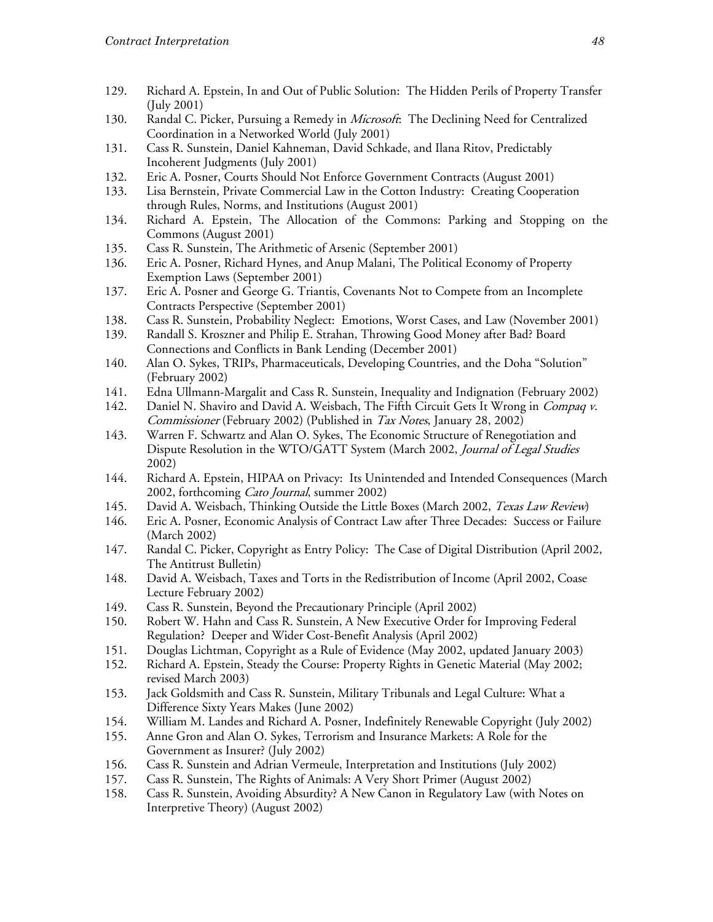- 129. Richard A. Epstein, In and Out of Public Solution: The Hidden Perils of Property Transfer  $(Iuly 2001)$
- 130. Randal C. Picker, Pursuing a Remedy in *Microsoft*: The Declining Need for Centralized Coordination in a Networked World (July 2001)
- 131. Cass R. Sunstein, Daniel Kahneman, David Schkade, and Ilana Ritov, Predictably Incoherent Judgments (July 2001)
- Eric A. Posner, Courts Should Not Enforce Government Contracts (August 2001) 132.
- 133. Lisa Bernstein, Private Commercial Law in the Cotton Industry: Creating Cooperation through Rules, Norms, and Institutions (August 2001)
- 134. Richard A. Epstein, The Allocation of the Commons: Parking and Stopping on the Commons (August 2001)
- 135. Cass R. Sunstein, The Arithmetic of Arsenic (September 2001)
- 136. Eric A. Posner, Richard Hynes, and Anup Malani, The Political Economy of Property Exemption Laws (September 2001)
- 137. Eric A. Posner and George G. Triantis, Covenants Not to Compete from an Incomplete Contracts Perspective (September 2001)
- Cass R. Sunstein, Probability Neglect: Emotions, Worst Cases, and Law (November 2001) 138.
- 139. Randall S. Kroszner and Philip E. Strahan, Throwing Good Money after Bad? Board Connections and Conflicts in Bank Lending (December 2001)
- 140. Alan O. Sykes, TRIPs, Pharmaceuticals, Developing Countries, and the Doha "Solution" (February 2002)
- 141. Edna Ullmann-Margalit and Cass R. Sunstein, Inequality and Indignation (February 2002)
- Daniel N. Shaviro and David A. Weisbach, The Fifth Circuit Gets It Wrong in Compaq v. 142. *Commissioner* (February 2002) (Published in *Tax Notes*, January 28, 2002)
- 143. Warren F. Schwartz and Alan O. Sykes, The Economic Structure of Renegotiation and Dispute Resolution in the WTO/GATT System (March 2002, Journal of Legal Studies 2002)
- 144. Richard A. Epstein, HIPAA on Privacy: Its Unintended and Intended Consequences (March 2002, forthcoming Cato Journal, summer 2002)
- 145. David A. Weisbach, Thinking Outside the Little Boxes (March 2002, Texas Law Review)
- 146. Eric A. Posner, Economic Analysis of Contract Law after Three Decades: Success or Failure (March 2002)
- 147. Randal C. Picker, Copyright as Entry Policy: The Case of Digital Distribution (April 2002, The Antitrust Bulletin)
- David A. Weisbach, Taxes and Torts in the Redistribution of Income (April 2002, Coase 148. Lecture February 2002)
- 149. Cass R. Sunstein, Beyond the Precautionary Principle (April 2002)
- 150. Robert W. Hahn and Cass R. Sunstein, A New Executive Order for Improving Federal Regulation? Deeper and Wider Cost-Benefit Analysis (April 2002)
- 151. Douglas Lichtman, Copyright as a Rule of Evidence (May 2002, updated January 2003)
- 152. Richard A. Epstein, Steady the Course: Property Rights in Genetic Material (May 2002; revised March 2003)
- Jack Goldsmith and Cass R. Sunstein, Military Tribunals and Legal Culture: What a 153. Difference Sixty Years Makes (June 2002)
- 154. William M. Landes and Richard A. Posner, Indefinitely Renewable Copyright (July 2002)
- 155. Anne Gron and Alan O. Sykes, Terrorism and Insurance Markets: A Role for the Government as Insurer? (July 2002)
- 156. Cass R. Sunstein and Adrian Vermeule, Interpretation and Institutions (July 2002)
- 157. Cass R. Sunstein, The Rights of Animals: A Very Short Primer (August 2002)
- 158. Cass R. Sunstein, Avoiding Absurdity? A New Canon in Regulatory Law (with Notes on Interpretive Theory) (August 2002)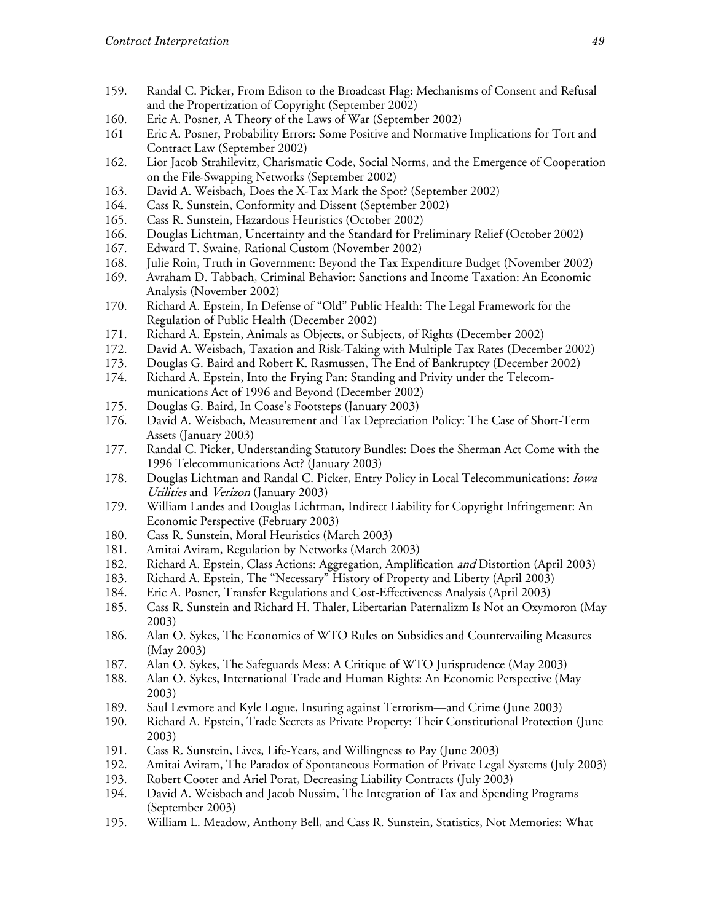- 159. Randal C. Picker, From Edison to the Broadcast Flag: Mechanisms of Consent and Refusal and the Propertization of Copyright (September 2002)
- Eric A. Posner, A Theory of the Laws of War (September 2002) 160.
- 161 Eric A. Posner, Probability Errors: Some Positive and Normative Implications for Tort and Contract Law (September 2002)
- 162. Lior Jacob Strahilevitz, Charismatic Code, Social Norms, and the Emergence of Cooperation on the File-Swapping Networks (September 2002)
- 163. David A. Weisbach, Does the X-Tax Mark the Spot? (September 2002)
- 164. Cass R. Sunstein, Conformity and Dissent (September 2002)
- 165. Cass R. Sunstein, Hazardous Heuristics (October 2002)
- Douglas Lichtman, Uncertainty and the Standard for Preliminary Relief (October 2002) 166.
- 167. Edward T. Swaine, Rational Custom (November 2002)
- 168. Julie Roin, Truth in Government: Beyond the Tax Expenditure Budget (November 2002)
- 169. Avraham D. Tabbach, Criminal Behavior: Sanctions and Income Taxation: An Economic Analysis (November 2002)
- 170. Richard A. Epstein, In Defense of "Old" Public Health: The Legal Framework for the Regulation of Public Health (December 2002)
- 171. Richard A. Epstein, Animals as Objects, or Subjects, of Rights (December 2002)
- 172. David A. Weisbach, Taxation and Risk-Taking with Multiple Tax Rates (December 2002)
- 173. Douglas G. Baird and Robert K. Rasmussen, The End of Bankruptcy (December 2002)
- 174. Richard A. Epstein, Into the Frying Pan: Standing and Privity under the Telecommunications Act of 1996 and Beyond (December 2002)
- 175. Douglas G. Baird, In Coase's Footsteps (January 2003)
- 176. David A. Weisbach, Measurement and Tax Depreciation Policy: The Case of Short-Term Assets (January 2003)
- 177. Randal C. Picker, Understanding Statutory Bundles: Does the Sherman Act Come with the 1996 Telecommunications Act? (January 2003)
- 178. Douglas Lichtman and Randal C. Picker, Entry Policy in Local Telecommunications: Iowa Utilities and Verizon (January 2003)
- William Landes and Douglas Lichtman, Indirect Liability for Copyright Infringement: An 179. Economic Perspective (February 2003)
- 180. Cass R. Sunstein, Moral Heuristics (March 2003)
- 181. Amitai Aviram, Regulation by Networks (March 2003)
- 182. Richard A. Epstein, Class Actions: Aggregation, Amplification and Distortion (April 2003)
- 183. Richard A. Epstein, The "Necessary" History of Property and Liberty (April 2003)
- 184. Eric A. Posner, Transfer Regulations and Cost-Effectiveness Analysis (April 2003)
- 185. Cass R. Sunstein and Richard H. Thaler, Libertarian Paternalizm Is Not an Oxymoron (May 2003)
- 186. Alan O. Sykes, The Economics of WTO Rules on Subsidies and Countervailing Measures (May 2003)
- 187. Alan O. Sykes, The Safeguards Mess: A Critique of WTO Jurisprudence (May 2003)
- 188. Alan O. Sykes, International Trade and Human Rights: An Economic Perspective (May 2003)
- 189. Saul Levmore and Kyle Logue, Insuring against Terrorism—and Crime (June 2003)
- 190. Richard A. Epstein, Trade Secrets as Private Property: Their Constitutional Protection (June 2003)
- 191. Cass R. Sunstein, Lives, Life-Years, and Willingness to Pay (June 2003)
- Amitai Aviram, The Paradox of Spontaneous Formation of Private Legal Systems (July 2003) 192.
- 193. Robert Cooter and Ariel Porat, Decreasing Liability Contracts (July 2003)
- 194. David A. Weisbach and Jacob Nussim, The Integration of Tax and Spending Programs (September 2003)
- 195. William L. Meadow, Anthony Bell, and Cass R. Sunstein, Statistics, Not Memories: What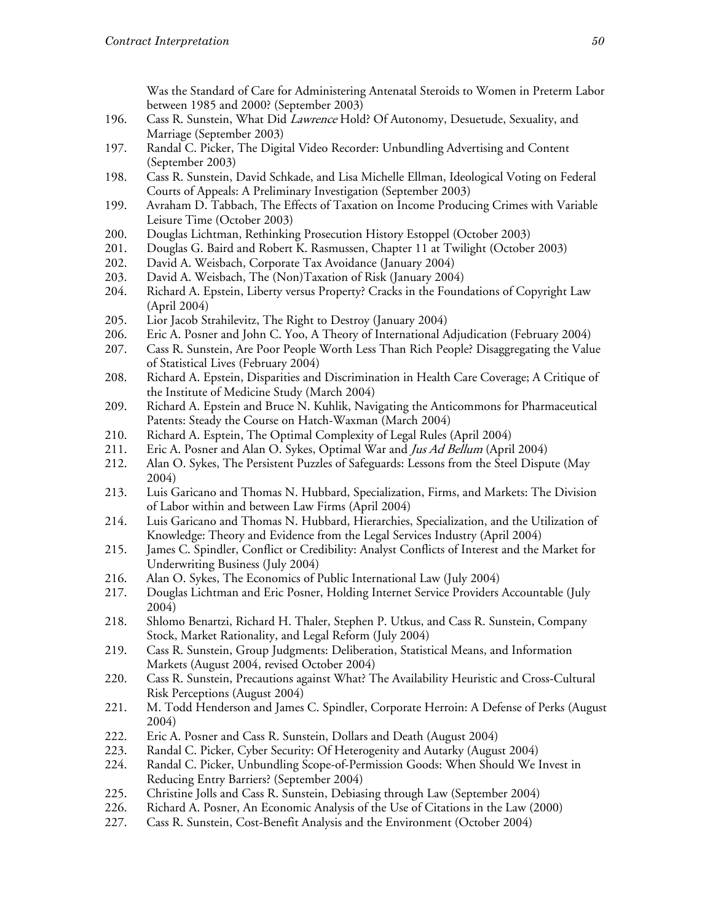Was the Standard of Care for Administering Antenatal Steroids to Women in Preterm Labor between 1985 and 2000? (September 2003)

- 196. Cass R. Sunstein, What Did *Lawrence* Hold? Of Autonomy, Desuetude, Sexuality, and Marriage (September 2003)
- 197. Randal C. Picker, The Digital Video Recorder: Unbundling Advertising and Content (September 2003)
- 198. Cass R. Sunstein, David Schkade, and Lisa Michelle Ellman, Ideological Voting on Federal Courts of Appeals: A Preliminary Investigation (September 2003)
- Avraham D. Tabbach, The Effects of Taxation on Income Producing Crimes with Variable 199. Leisure Time (October 2003)
- Douglas Lichtman, Rethinking Prosecution History Estoppel (October 2003) 200.
- 201. Douglas G. Baird and Robert K. Rasmussen, Chapter 11 at Twilight (October 2003)
- 202. David A. Weisbach, Corporate Tax Avoidance (January 2004)
- 203. David A. Weisbach, The (Non)Taxation of Risk (January 2004)
- Richard A. Epstein, Liberty versus Property? Cracks in the Foundations of Copyright Law 204. (April 2004)
- 205. Lior Jacob Strahilevitz, The Right to Destroy (January 2004)
- 206. Eric A. Posner and John C. Yoo, A Theory of International Adjudication (February 2004)
- 207. Cass R. Sunstein, Are Poor People Worth Less Than Rich People? Disaggregating the Value of Statistical Lives (February 2004)
- 208. Richard A. Epstein, Disparities and Discrimination in Health Care Coverage; A Critique of the Institute of Medicine Study (March 2004)
- Richard A. Epstein and Bruce N. Kuhlik, Navigating the Anticommons for Pharmaceutical 209. Patents: Steady the Course on Hatch-Waxman (March 2004)
- 210. Richard A. Esptein, The Optimal Complexity of Legal Rules (April 2004)
- 211. Eric A. Posner and Alan O. Sykes, Optimal War and *Jus Ad Bellum* (April 2004)
- 212. Alan O. Sykes, The Persistent Puzzles of Safeguards: Lessons from the Steel Dispute (May 2004)
- 213. Luis Garicano and Thomas N. Hubbard, Specialization, Firms, and Markets: The Division of Labor within and between Law Firms (April 2004)
- Luis Garicano and Thomas N. Hubbard, Hierarchies, Specialization, and the Utilization of 214. Knowledge: Theory and Evidence from the Legal Services Industry (April 2004)
- 215. James C. Spindler, Conflict or Credibility: Analyst Conflicts of Interest and the Market for Underwriting Business (July 2004)
- 216. Alan O. Sykes, The Economics of Public International Law (July 2004)
- 217. Douglas Lichtman and Eric Posner, Holding Internet Service Providers Accountable (July 2004)
- 218. Shlomo Benartzi, Richard H. Thaler, Stephen P. Utkus, and Cass R. Sunstein, Company Stock, Market Rationality, and Legal Reform (July 2004)
- 219. Cass R. Sunstein, Group Judgments: Deliberation, Statistical Means, and Information Markets (August 2004, revised October 2004)
- 220. Cass R. Sunstein, Precautions against What? The Availability Heuristic and Cross-Cultural Risk Perceptions (August 2004)
- 221. M. Todd Henderson and James C. Spindler, Corporate Herroin: A Defense of Perks (August 2004)
- 222. Eric A. Posner and Cass R. Sunstein, Dollars and Death (August 2004)
- 223. Randal C. Picker, Cyber Security: Of Heterogenity and Autarky (August 2004)
- 224. Randal C. Picker, Unbundling Scope-of-Permission Goods: When Should We Invest in Reducing Entry Barriers? (September 2004)
- 225. Christine Jolls and Cass R. Sunstein, Debiasing through Law (September 2004)
- 226. Richard A. Posner, An Economic Analysis of the Use of Citations in the Law (2000)
- 227. Cass R. Sunstein, Cost-Benefit Analysis and the Environment (October 2004)